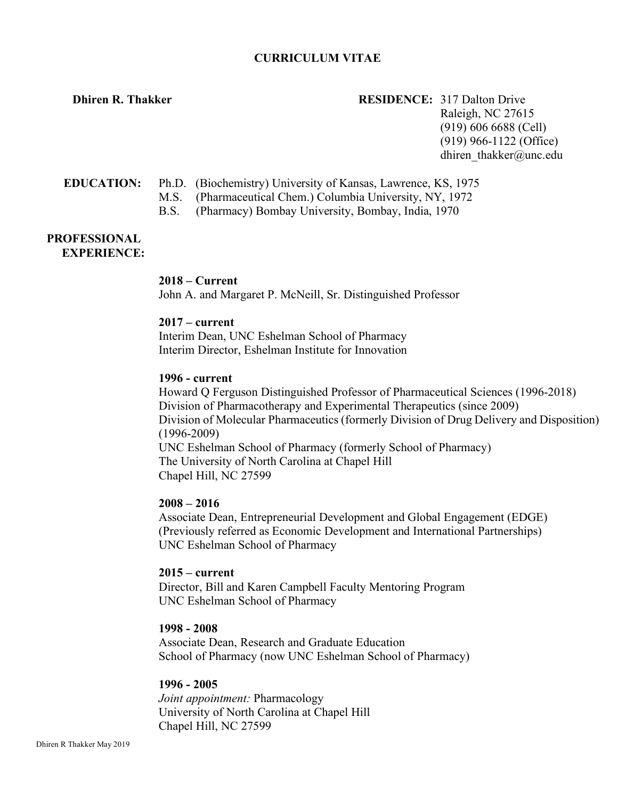# **CURRICULUM VITAE**

**Dhiren R. Thakker RESIDENCE:** 317 Dalton Drive Raleigh, NC 27615 (919) 606 6688 (Cell) (919) 966-1122 (Office) dhiren\_thakker@unc.edu

## **EDUCATION:** Ph.D. (Biochemistry) University of Kansas, Lawrence, KS, 1975

- M.S. (Pharmaceutical Chem.) Columbia University, NY, 1972
- B.S. (Pharmacy) Bombay University, Bombay, India, 1970

# **PROFESSIONAL EXPERIENCE:**

#### **2018 – Current**

John A. and Margaret P. McNeill, Sr. Distinguished Professor

#### **2017 – current**

Interim Dean, UNC Eshelman School of Pharmacy Interim Director, Eshelman Institute for Innovation

# **1996 - current**

Howard Q Ferguson Distinguished Professor of Pharmaceutical Sciences (1996-2018) Division of Pharmacotherapy and Experimental Therapeutics (since 2009) Division of Molecular Pharmaceutics (formerly Division of Drug Delivery and Disposition) (1996-2009) UNC Eshelman School of Pharmacy (formerly School of Pharmacy) The University of North Carolina at Chapel Hill Chapel Hill, NC 27599

### **2008 – 2016**

Associate Dean, Entrepreneurial Development and Global Engagement (EDGE) (Previously referred as Economic Development and International Partnerships) UNC Eshelman School of Pharmacy

## **2015 – current**

Director, Bill and Karen Campbell Faculty Mentoring Program UNC Eshelman School of Pharmacy

## **1998 - 2008**

Associate Dean, Research and Graduate Education School of Pharmacy (now UNC Eshelman School of Pharmacy)

#### **1996 - 2005**

*Joint appointment:* Pharmacology University of North Carolina at Chapel Hill Chapel Hill, NC 27599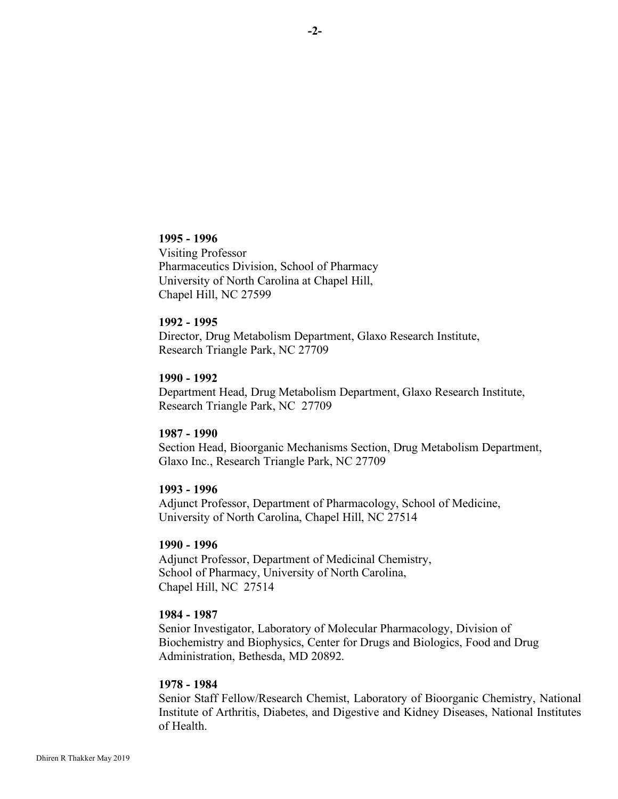#### **1995 - 1996**

Visiting Professor Pharmaceutics Division, School of Pharmacy University of North Carolina at Chapel Hill, Chapel Hill, NC 27599

## **1992 - 1995**

Director, Drug Metabolism Department, Glaxo Research Institute, Research Triangle Park, NC 27709

#### **1990 - 1992**

Department Head, Drug Metabolism Department, Glaxo Research Institute, Research Triangle Park, NC 27709

## **1987 - 1990**

Section Head, Bioorganic Mechanisms Section, Drug Metabolism Department, Glaxo Inc., Research Triangle Park, NC 27709

## **1993 - 1996**

Adjunct Professor, Department of Pharmacology, School of Medicine, University of North Carolina, Chapel Hill, NC 27514

#### **1990 - 1996**

Adjunct Professor, Department of Medicinal Chemistry, School of Pharmacy, University of North Carolina, Chapel Hill, NC 27514

#### **1984 - 1987**

Senior Investigator, Laboratory of Molecular Pharmacology, Division of Biochemistry and Biophysics, Center for Drugs and Biologics, Food and Drug Administration, Bethesda, MD 20892.

#### **1978 - 1984**

Senior Staff Fellow/Research Chemist, Laboratory of Bioorganic Chemistry, National Institute of Arthritis, Diabetes, and Digestive and Kidney Diseases, National Institutes of Health.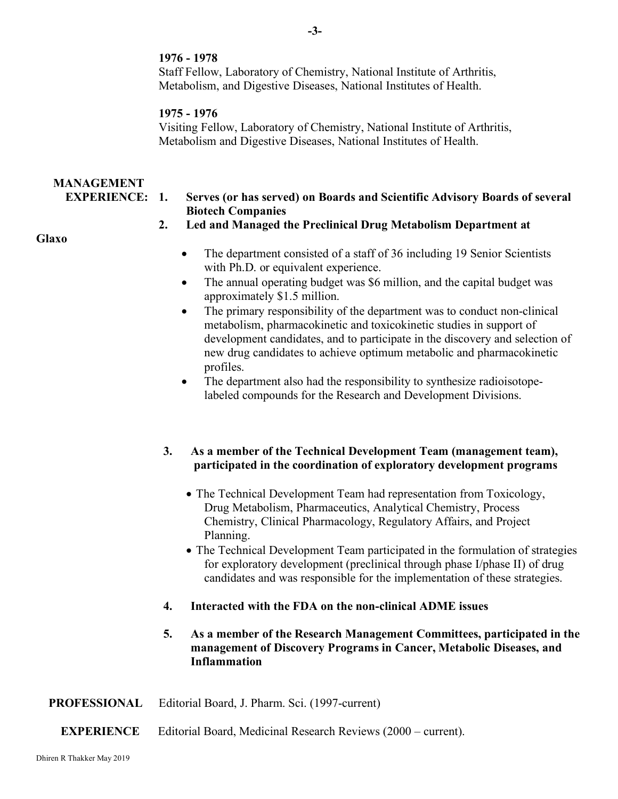# **1976 - 1978**

Staff Fellow, Laboratory of Chemistry, National Institute of Arthritis, Metabolism, and Digestive Diseases, National Institutes of Health.

# **1975 - 1976**

Visiting Fellow, Laboratory of Chemistry, National Institute of Arthritis, Metabolism and Digestive Diseases, National Institutes of Health.

# **MANAGEMENT**

 **EXPERIENCE: 1. Serves (or has served) on Boards and Scientific Advisory Boards of several Biotech Companies**

# **2. Led and Managed the Preclinical Drug Metabolism Department at**

**Glaxo**

- The department consisted of a staff of 36 including 19 Senior Scientists with Ph.D. or equivalent experience.
- The annual operating budget was \$6 million, and the capital budget was approximately \$1.5 million.
- The primary responsibility of the department was to conduct non-clinical metabolism, pharmacokinetic and toxicokinetic studies in support of development candidates, and to participate in the discovery and selection of new drug candidates to achieve optimum metabolic and pharmacokinetic profiles.
- The department also had the responsibility to synthesize radioisotopelabeled compounds for the Research and Development Divisions.

# **3. As a member of the Technical Development Team (management team), participated in the coordination of exploratory development programs**

- The Technical Development Team had representation from Toxicology, Drug Metabolism, Pharmaceutics, Analytical Chemistry, Process Chemistry, Clinical Pharmacology, Regulatory Affairs, and Project Planning.
- The Technical Development Team participated in the formulation of strategies for exploratory development (preclinical through phase I/phase II) of drug candidates and was responsible for the implementation of these strategies.
- **4. Interacted with the FDA on the non-clinical ADME issues**
- **5. As a member of the Research Management Committees, participated in the management of Discovery Programs in Cancer, Metabolic Diseases, and Inflammation**
- **PROFESSIONAL** Editorial Board, J. Pharm. Sci. (1997-current)
	- **EXPERIENCE** Editorial Board, Medicinal Research Reviews (2000 current).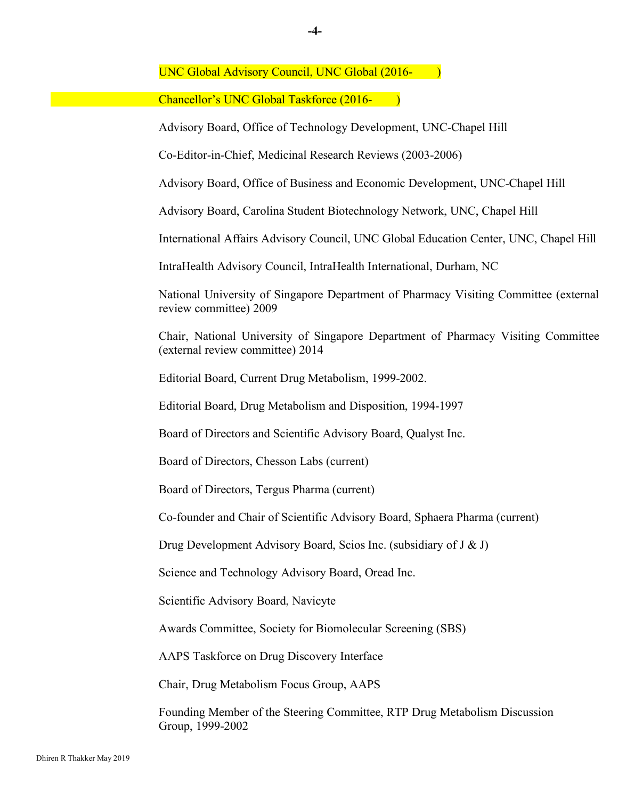UNC Global Advisory Council, UNC Global (2016- )

Chancellor's UNC Global Taskforce (2016-)

Advisory Board, Office of Technology Development, UNC-Chapel Hill

Co-Editor-in-Chief, Medicinal Research Reviews (2003-2006)

Advisory Board, Office of Business and Economic Development, UNC-Chapel Hill

Advisory Board, Carolina Student Biotechnology Network, UNC, Chapel Hill

International Affairs Advisory Council, UNC Global Education Center, UNC, Chapel Hill

IntraHealth Advisory Council, IntraHealth International, Durham, NC

National University of Singapore Department of Pharmacy Visiting Committee (external review committee) 2009

Chair, National University of Singapore Department of Pharmacy Visiting Committee (external review committee) 2014

Editorial Board, Current Drug Metabolism, 1999-2002.

Editorial Board, Drug Metabolism and Disposition, 1994-1997

Board of Directors and Scientific Advisory Board, Qualyst Inc.

Board of Directors, Chesson Labs (current)

Board of Directors, Tergus Pharma (current)

Co-founder and Chair of Scientific Advisory Board, Sphaera Pharma (current)

Drug Development Advisory Board, Scios Inc. (subsidiary of J & J)

Science and Technology Advisory Board, Oread Inc.

Scientific Advisory Board, Navicyte

Awards Committee, Society for Biomolecular Screening (SBS)

AAPS Taskforce on Drug Discovery Interface

Chair, Drug Metabolism Focus Group, AAPS

Founding Member of the Steering Committee, RTP Drug Metabolism Discussion Group, 1999-2002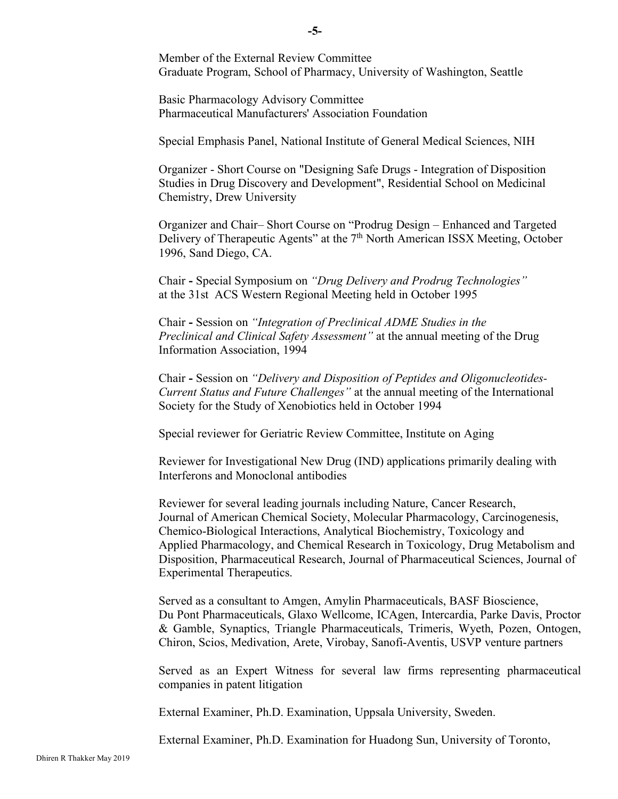Member of the External Review Committee Graduate Program, School of Pharmacy, University of Washington, Seattle

Basic Pharmacology Advisory Committee Pharmaceutical Manufacturers' Association Foundation

Special Emphasis Panel, National Institute of General Medical Sciences, NIH

Organizer - Short Course on "Designing Safe Drugs - Integration of Disposition Studies in Drug Discovery and Development", Residential School on Medicinal Chemistry, Drew University

Organizer and Chair– Short Course on "Prodrug Design – Enhanced and Targeted Delivery of Therapeutic Agents" at the 7<sup>th</sup> North American ISSX Meeting, October 1996, Sand Diego, CA.

Chair **-** Special Symposium on *"Drug Delivery and Prodrug Technologies"* at the 31st ACS Western Regional Meeting held in October 1995

Chair **-** Session on *"Integration of Preclinical ADME Studies in the Preclinical and Clinical Safety Assessment"* at the annual meeting of the Drug Information Association, 1994

Chair **-** Session on *"Delivery and Disposition of Peptides and Oligonucleotides-Current Status and Future Challenges"* at the annual meeting of the International Society for the Study of Xenobiotics held in October 1994

Special reviewer for Geriatric Review Committee, Institute on Aging

Reviewer for Investigational New Drug (IND) applications primarily dealing with Interferons and Monoclonal antibodies

Reviewer for several leading journals including Nature, Cancer Research, Journal of American Chemical Society, Molecular Pharmacology, Carcinogenesis, Chemico-Biological Interactions, Analytical Biochemistry, Toxicology and Applied Pharmacology, and Chemical Research in Toxicology, Drug Metabolism and Disposition, Pharmaceutical Research, Journal of Pharmaceutical Sciences, Journal of Experimental Therapeutics.

Served as a consultant to Amgen, Amylin Pharmaceuticals, BASF Bioscience, Du Pont Pharmaceuticals, Glaxo Wellcome, ICAgen, Intercardia, Parke Davis, Proctor & Gamble, Synaptics, Triangle Pharmaceuticals, Trimeris, Wyeth, Pozen, Ontogen, Chiron, Scios, Medivation, Arete, Virobay, Sanofi-Aventis, USVP venture partners

Served as an Expert Witness for several law firms representing pharmaceutical companies in patent litigation

External Examiner, Ph.D. Examination, Uppsala University, Sweden.

External Examiner, Ph.D. Examination for Huadong Sun, University of Toronto,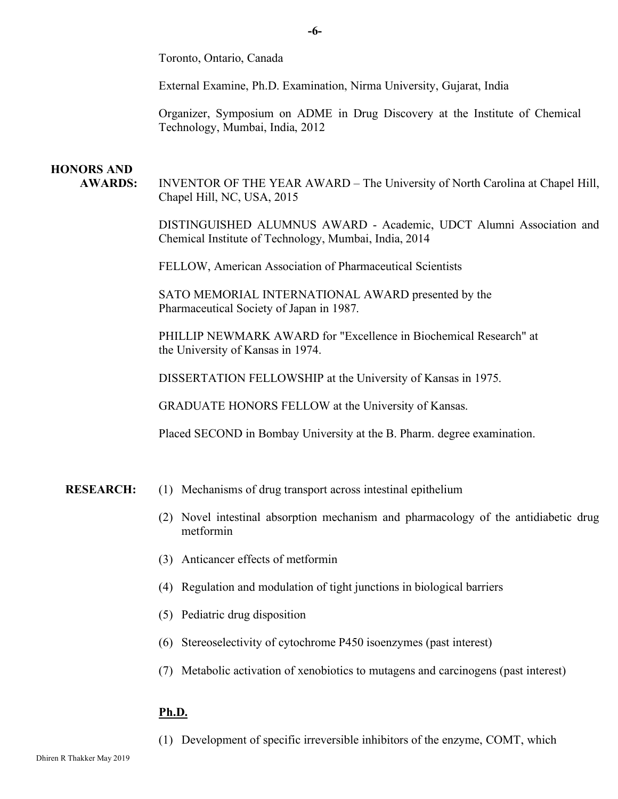Toronto, Ontario, Canada

External Examine, Ph.D. Examination, Nirma University, Gujarat, India

Organizer, Symposium on ADME in Drug Discovery at the Institute of Chemical Technology, Mumbai, India, 2012

# **HONORS AND**

**AWARDS:** INVENTOR OF THE YEAR AWARD – The University of North Carolina at Chapel Hill, Chapel Hill, NC, USA, 2015

> DISTINGUISHED ALUMNUS AWARD - Academic, UDCT Alumni Association and Chemical Institute of Technology, Mumbai, India, 2014

FELLOW, American Association of Pharmaceutical Scientists

SATO MEMORIAL INTERNATIONAL AWARD presented by the Pharmaceutical Society of Japan in 1987.

PHILLIP NEWMARK AWARD for "Excellence in Biochemical Research" at the University of Kansas in 1974.

DISSERTATION FELLOWSHIP at the University of Kansas in 1975.

GRADUATE HONORS FELLOW at the University of Kansas.

Placed SECOND in Bombay University at the B. Pharm. degree examination.

- **RESEARCH:** (1) Mechanisms of drug transport across intestinal epithelium
	- (2) Novel intestinal absorption mechanism and pharmacology of the antidiabetic drug metformin
	- (3) Anticancer effects of metformin
	- (4) Regulation and modulation of tight junctions in biological barriers
	- (5) Pediatric drug disposition
	- (6) Stereoselectivity of cytochrome P450 isoenzymes (past interest)
	- (7) Metabolic activation of xenobiotics to mutagens and carcinogens (past interest)

# **Ph.D.**

(1) Development of specific irreversible inhibitors of the enzyme, COMT, which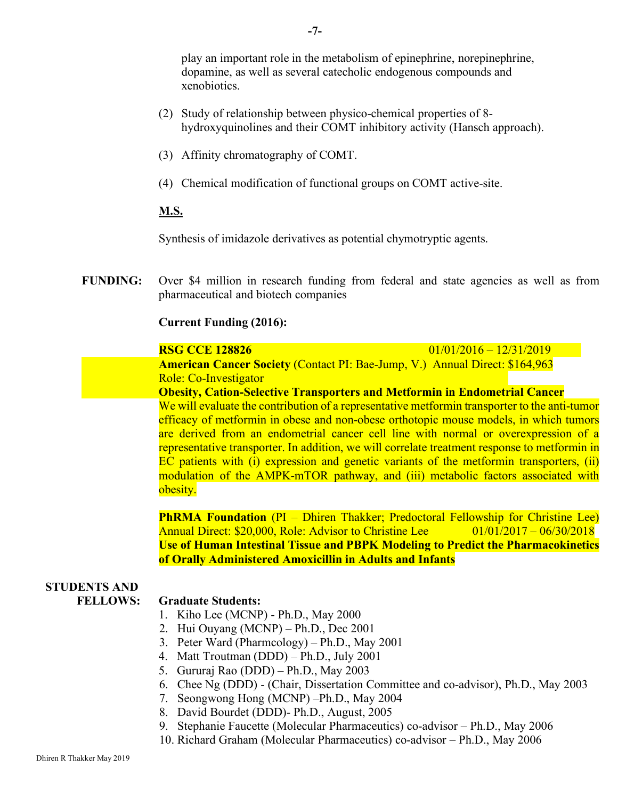- (2) Study of relationship between physico-chemical properties of 8 hydroxyquinolines and their COMT inhibitory activity (Hansch approach).
- (3) Affinity chromatography of COMT.
- (4) Chemical modification of functional groups on COMT active-site.

# **M.S.**

Synthesis of imidazole derivatives as potential chymotryptic agents.

**FUNDING:** Over \$4 million in research funding from federal and state agencies as well as from pharmaceutical and biotech companies

# **Current Funding (2016):**

**RSG CCE 128826** 01/01/2016 – 12/31/2019

**American Cancer Society** (Contact PI: Bae-Jump, V.) Annual Direct: \$164,963 Role: Co-Investigator

**Obesity, Cation-Selective Transporters and Metformin in Endometrial Cancer** We will evaluate the contribution of a representative metformin transporter to the anti-tumor efficacy of metformin in obese and non-obese orthotopic mouse models, in which tumors are derived from an endometrial cancer cell line with normal or overexpression of a representative transporter. In addition, we will correlate treatment response to metformin in EC patients with (i) expression and genetic variants of the metformin transporters, (ii) modulation of the AMPK-mTOR pathway, and (iii) metabolic factors associated with obesity.

**PhRMA Foundation** (PI – Dhiren Thakker; Predoctoral Fellowship for Christine Lee) Annual Direct:  $$20,000$ , Role: Advisor to Christine Lee  $01/01/2017 - 06/30/2018$ **Use of Human Intestinal Tissue and PBPK Modeling to Predict the Pharmacokinetics of Orally Administered Amoxicillin in Adults and Infants**

# **STUDENTS AND**

# **FELLOWS: Graduate Students:**

- 1. Kiho Lee (MCNP) Ph.D., May 2000
- 2. Hui Ouyang (MCNP) Ph.D., Dec 2001
- 3. Peter Ward (Pharmcology) Ph.D., May 2001
- 4. Matt Troutman (DDD) Ph.D., July 2001
- 5. Gururaj Rao (DDD) Ph.D., May 2003
- 6. Chee Ng (DDD) (Chair, Dissertation Committee and co-advisor), Ph.D., May 2003
- 7. Seongwong Hong (MCNP) –Ph.D., May 2004
- 8. David Bourdet (DDD)- Ph.D., August, 2005
- 9. Stephanie Faucette (Molecular Pharmaceutics) co-advisor Ph.D., May 2006
- 10. Richard Graham (Molecular Pharmaceutics) co-advisor Ph.D., May 2006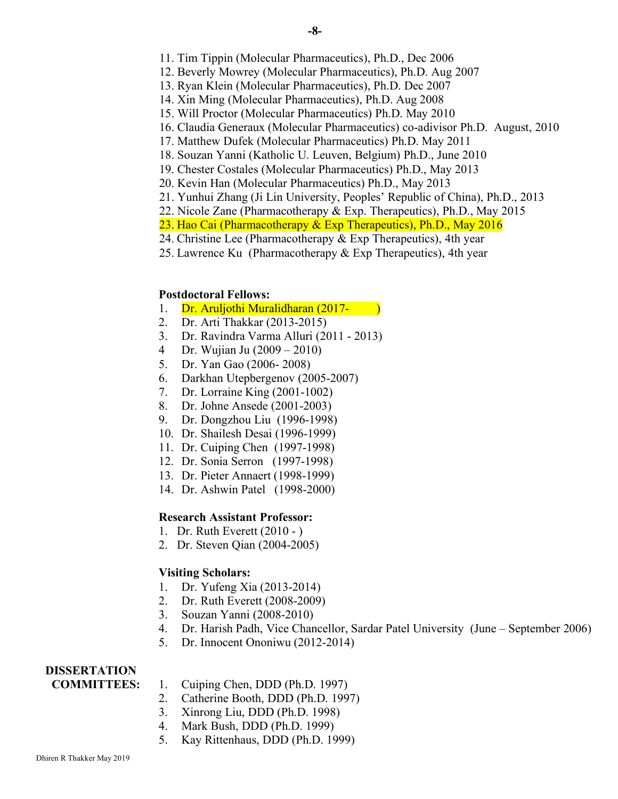- 11. Tim Tippin (Molecular Pharmaceutics), Ph.D., Dec 2006
- 12. Beverly Mowrey (Molecular Pharmaceutics), Ph.D. Aug 2007
- 13. Ryan Klein (Molecular Pharmaceutics), Ph.D. Dec 2007
- 14. Xin Ming (Molecular Pharmaceutics), Ph.D. Aug 2008
- 15. Will Proctor (Molecular Pharmaceutics) Ph.D. May 2010
- 16. Claudia Generaux (Molecular Pharmaceutics) co-adivisor Ph.D. August, 2010
- 17. Matthew Dufek (Molecular Pharmaceutics) Ph.D. May 2011
- 18. Souzan Yanni (Katholic U. Leuven, Belgium) Ph.D., June 2010
- 19. Chester Costales (Molecular Pharmaceutics) Ph.D., May 2013
- 20. Kevin Han (Molecular Pharmaceutics) Ph.D., May 2013
- 21. Yunhui Zhang (Ji Lin University, Peoples' Republic of China), Ph.D., 2013
- 22. Nicole Zane (Pharmacotherapy & Exp. Therapeutics), Ph.D., May 2015
- 23. Hao Cai (Pharmacotherapy & Exp Therapeutics), Ph.D., May 2016
- 24. Christine Lee (Pharmacotherapy & Exp Therapeutics), 4th year
- 25. Lawrence Ku (Pharmacotherapy & Exp Therapeutics), 4th year

# **Postdoctoral Fellows:**

- 1. Dr. Aruljothi Muralidharan (2017-
- 2. Dr. Arti Thakkar (2013-2015)
- 3. Dr. Ravindra Varma Alluri (2011 2013)
- 4 Dr. Wujian Ju (2009 2010)
- 5. Dr. Yan Gao (2006- 2008)
- 6. Darkhan Utepbergenov (2005-2007)
- 7. Dr. Lorraine King (2001-1002)
- 8. Dr. Johne Ansede (2001-2003)
- 9. Dr. Dongzhou Liu (1996-1998)
- 10. Dr. Shailesh Desai (1996-1999)
- 11. Dr. Cuiping Chen (1997-1998)
- 12. Dr. Sonia Serron (1997-1998)
- 13. Dr. Pieter Annaert (1998-1999)
- 14. Dr. Ashwin Patel (1998-2000)

# **Research Assistant Professor:**

- 1. Dr. Ruth Everett (2010 )
- 2. Dr. Steven Qian (2004-2005)

# **Visiting Scholars:**

- 1. Dr. Yufeng Xia (2013-2014)
- 2. Dr. Ruth Everett (2008-2009)
- 3. Souzan Yanni (2008-2010)
- 4. Dr. Harish Padh, Vice Chancellor, Sardar Patel University (June September 2006)
- 5. Dr. Innocent Ononiwu (2012-2014)

# **DISSERTATION**

- **COMMITTEES:** 1. Cuiping Chen, DDD (Ph.D. 1997)
	- 2. Catherine Booth, DDD (Ph.D. 1997)
	- 3. Xinrong Liu, DDD (Ph.D. 1998)
	- 4. Mark Bush, DDD (Ph.D. 1999)
	- 5. Kay Rittenhaus, DDD (Ph.D. 1999)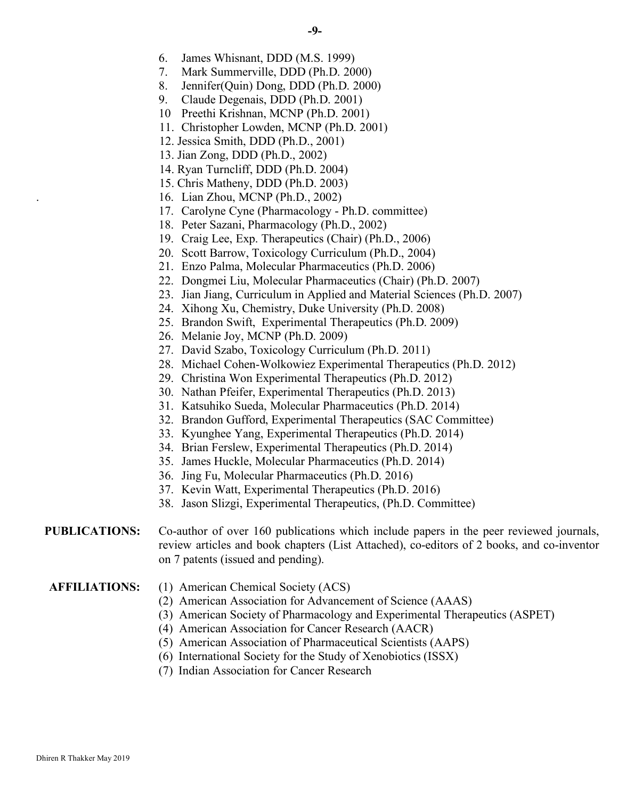- 6. James Whisnant, DDD (M.S. 1999)
- 7. Mark Summerville, DDD (Ph.D. 2000)
- 8. Jennifer(Quin) Dong, DDD (Ph.D. 2000)
- 9. Claude Degenais, DDD (Ph.D. 2001)
- 10 Preethi Krishnan, MCNP (Ph.D. 2001)
- 11. Christopher Lowden, MCNP (Ph.D. 2001)
- 12. Jessica Smith, DDD (Ph.D., 2001)
- 13. Jian Zong, DDD (Ph.D., 2002)
- 14. Ryan Turncliff, DDD (Ph.D. 2004)
- 15. Chris Matheny, DDD (Ph.D. 2003)
- . 16. Lian Zhou, MCNP (Ph.D., 2002)
- 17. Carolyne Cyne (Pharmacology Ph.D. committee)
- 18. Peter Sazani, Pharmacology (Ph.D., 2002)
- 19. Craig Lee, Exp. Therapeutics (Chair) (Ph.D., 2006)
- 20. Scott Barrow, Toxicology Curriculum (Ph.D., 2004)
- 21. Enzo Palma, Molecular Pharmaceutics (Ph.D. 2006)
- 22. Dongmei Liu, Molecular Pharmaceutics (Chair) (Ph.D. 2007)
- 23. Jian Jiang, Curriculum in Applied and Material Sciences (Ph.D. 2007)
- 24. Xihong Xu, Chemistry, Duke University (Ph.D. 2008)
- 25. Brandon Swift, Experimental Therapeutics (Ph.D. 2009)
- 26. Melanie Joy, MCNP (Ph.D. 2009)
- 27. David Szabo, Toxicology Curriculum (Ph.D. 2011)
- 28. Michael Cohen-Wolkowiez Experimental Therapeutics (Ph.D. 2012)
- 29. Christina Won Experimental Therapeutics (Ph.D. 2012)
- 30. Nathan Pfeifer, Experimental Therapeutics (Ph.D. 2013)
- 31. Katsuhiko Sueda, Molecular Pharmaceutics (Ph.D. 2014)
- 32. Brandon Gufford, Experimental Therapeutics (SAC Committee)
- 33. Kyunghee Yang, Experimental Therapeutics (Ph.D. 2014)
- 34. Brian Ferslew, Experimental Therapeutics (Ph.D. 2014)
- 35. James Huckle, Molecular Pharmaceutics (Ph.D. 2014)
- 36. Jing Fu, Molecular Pharmaceutics (Ph.D. 2016)
- 37. Kevin Watt, Experimental Therapeutics (Ph.D. 2016)
- 38. Jason Slizgi, Experimental Therapeutics, (Ph.D. Committee)

# **PUBLICATIONS:** Co-author of over 160 publications which include papers in the peer reviewed journals, review articles and book chapters (List Attached), co-editors of 2 books, and co-inventor on 7 patents (issued and pending).

#### **AFFILIATIONS:** (1) American Chemical Society (ACS)

- (2) American Association for Advancement of Science (AAAS)
- (3) American Society of Pharmacology and Experimental Therapeutics (ASPET)
- (4) American Association for Cancer Research (AACR)
- (5) American Association of Pharmaceutical Scientists (AAPS)
- (6) International Society for the Study of Xenobiotics (ISSX)
- (7) Indian Association for Cancer Research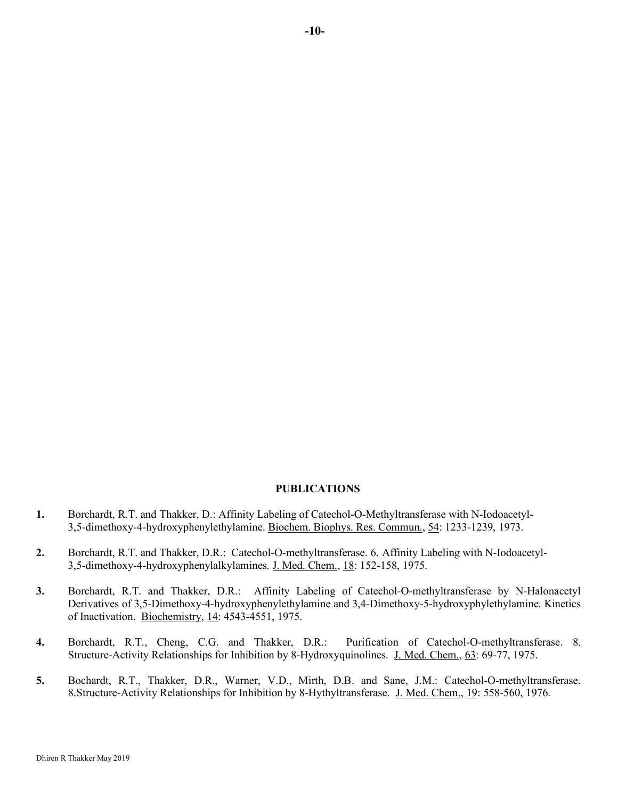#### **PUBLICATIONS**

- **1.** Borchardt, R.T. and Thakker, D.: Affinity Labeling of Catechol-O-Methyltransferase with N-Iodoacetyl-3,5-dimethoxy-4-hydroxyphenylethylamine. Biochem. Biophys. Res. Commun., 54: 1233-1239, 1973.
- **2.** Borchardt, R.T. and Thakker, D.R.: Catechol-O-methyltransferase. 6. Affinity Labeling with N-Iodoacetyl-3,5-dimethoxy-4-hydroxyphenylalkylamines. J. Med. Chem., 18: 152-158, 1975.
- **3.** Borchardt, R.T. and Thakker, D.R.: Affinity Labeling of Catechol-O-methyltransferase by N-Halonacetyl Derivatives of 3,5-Dimethoxy-4-hydroxyphenylethylamine and 3,4-Dimethoxy-5-hydroxyphylethylamine. Kinetics of Inactivation. Biochemistry, 14: 4543-4551, 1975.
- **4.** Borchardt, R.T., Cheng, C.G. and Thakker, D.R.: Purification of Catechol-O-methyltransferase. 8. Structure-Activity Relationships for Inhibition by 8-Hydroxyquinolines. J. Med. Chem., 63: 69-77, 1975.
- **5.** Bochardt, R.T., Thakker, D.R., Warner, V.D., Mirth, D.B. and Sane, J.M.: Catechol-O-methyltransferase. 8. Structure-Activity Relationships for Inhibition by 8-Hythyltransferase. J. Med. Chem., 19: 558-560, 1976.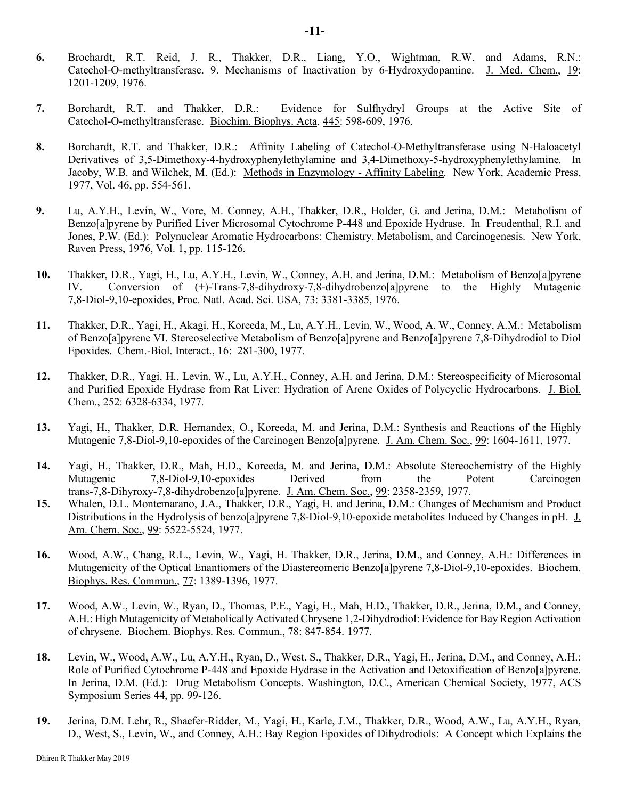- **6.** Brochardt, R.T. Reid, J. R., Thakker, D.R., Liang, Y.O., Wightman, R.W. and Adams, R.N.: Catechol-O-methyltransferase. 9. Mechanisms of Inactivation by 6-Hydroxydopamine. J. Med. Chem., 19: 1201-1209, 1976.
- **7.** Borchardt, R.T. and Thakker, D.R.: Evidence for Sulfhydryl Groups at the Active Site of Catechol-O-methyltransferase. Biochim. Biophys. Acta, 445: 598-609, 1976.
- **8.** Borchardt, R.T. and Thakker, D.R.: Affinity Labeling of Catechol-O-Methyltransferase using N-Haloacetyl Derivatives of 3,5-Dimethoxy-4-hydroxyphenylethylamine and 3,4-Dimethoxy-5-hydroxyphenylethylamine. In Jacoby, W.B. and Wilchek, M. (Ed.): Methods in Enzymology - Affinity Labeling. New York, Academic Press, 1977, Vol. 46, pp. 554-561.
- **9.** Lu, A.Y.H., Levin, W., Vore, M. Conney, A.H., Thakker, D.R., Holder, G. and Jerina, D.M.: Metabolism of Benzo[a]pyrene by Purified Liver Microsomal Cytochrome P-448 and Epoxide Hydrase. In Freudenthal, R.I. and Jones, P.W. (Ed.): Polynuclear Aromatic Hydrocarbons: Chemistry, Metabolism, and Carcinogenesis. New York, Raven Press, 1976, Vol. 1, pp. 115-126.
- **10.** Thakker, D.R., Yagi, H., Lu, A.Y.H., Levin, W., Conney, A.H. and Jerina, D.M.: Metabolism of Benzo[a]pyrene IV. Conversion of (+)-Trans-7,8-dihydroxy-7,8-dihydrobenzo[a]pyrene to the Highly Mutagenic 7,8-Diol-9,10-epoxides, Proc. Natl. Acad. Sci. USA, 73: 3381-3385, 1976.
- **11.** Thakker, D.R., Yagi, H., Akagi, H., Koreeda, M., Lu, A.Y.H., Levin, W., Wood, A. W., Conney, A.M.: Metabolism of Benzo[a]pyrene VI. Stereoselective Metabolism of Benzo[a]pyrene and Benzo[a]pyrene 7,8-Dihydrodiol to Diol Epoxides. Chem.-Biol. Interact., 16: 281-300, 1977.
- **12.** Thakker, D.R., Yagi, H., Levin, W., Lu, A.Y.H., Conney, A.H. and Jerina, D.M.: Stereospecificity of Microsomal and Purified Epoxide Hydrase from Rat Liver: Hydration of Arene Oxides of Polycyclic Hydrocarbons. J. Biol. Chem., 252: 6328-6334, 1977.
- **13.** Yagi, H., Thakker, D.R. Hernandex, O., Koreeda, M. and Jerina, D.M.: Synthesis and Reactions of the Highly Mutagenic 7,8-Diol-9,10-epoxides of the Carcinogen Benzo[a]pyrene. J. Am. Chem. Soc., 99: 1604-1611, 1977.
- **14.** Yagi, H., Thakker, D.R., Mah, H.D., Koreeda, M. and Jerina, D.M.: Absolute Stereochemistry of the Highly Mutagenic 7,8-Diol-9,10-epoxides Derived from the Potent Carcinogen trans-7,8-Dihyroxy-7,8-dihydrobenzo[a]pyrene. J. Am. Chem. Soc., 99: 2358-2359, 1977.
- **15.** Whalen, D.L. Montemarano, J.A., Thakker, D.R., Yagi, H. and Jerina, D.M.: Changes of Mechanism and Product Distributions in the Hydrolysis of benzo[a]pyrene 7,8-Diol-9,10-epoxide metabolites Induced by Changes in pH. J. Am. Chem. Soc., 99: 5522-5524, 1977.
- **16.** Wood, A.W., Chang, R.L., Levin, W., Yagi, H. Thakker, D.R., Jerina, D.M., and Conney, A.H.: Differences in Mutagenicity of the Optical Enantiomers of the Diastereomeric Benzo[a]pyrene 7,8-Diol-9,10-epoxides. Biochem. Biophys. Res. Commun., 77: 1389-1396, 1977.
- **17.** Wood, A.W., Levin, W., Ryan, D., Thomas, P.E., Yagi, H., Mah, H.D., Thakker, D.R., Jerina, D.M., and Conney, A.H.: High Mutagenicity of Metabolically Activated Chrysene 1,2-Dihydrodiol: Evidence for Bay Region Activation of chrysene. Biochem. Biophys. Res. Commun., 78: 847-854. 1977.
- **18.** Levin, W., Wood, A.W., Lu, A.Y.H., Ryan, D., West, S., Thakker, D.R., Yagi, H., Jerina, D.M., and Conney, A.H.: Role of Purified Cytochrome P-448 and Epoxide Hydrase in the Activation and Detoxification of Benzo[a]pyrene. In Jerina, D.M. (Ed.): Drug Metabolism Concepts. Washington, D.C., American Chemical Society, 1977, ACS Symposium Series 44, pp. 99-126.
- **19.** Jerina, D.M. Lehr, R., Shaefer-Ridder, M., Yagi, H., Karle, J.M., Thakker, D.R., Wood, A.W., Lu, A.Y.H., Ryan, D., West, S., Levin, W., and Conney, A.H.: Bay Region Epoxides of Dihydrodiols: A Concept which Explains the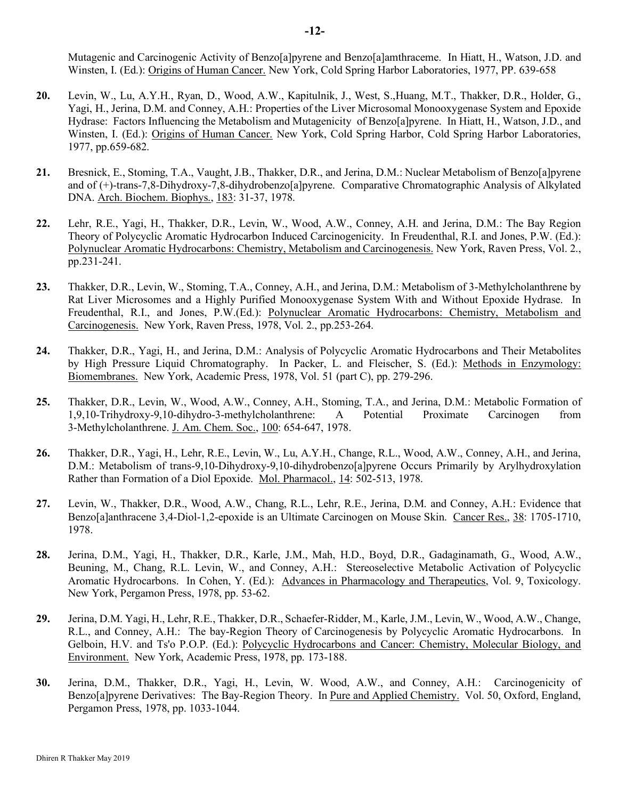Mutagenic and Carcinogenic Activity of Benzo[a]pyrene and Benzo[a]amthraceme. In Hiatt, H., Watson, J.D. and Winsten, I. (Ed.): Origins of Human Cancer. New York, Cold Spring Harbor Laboratories, 1977, PP. 639-658

- **20.** Levin, W., Lu, A.Y.H., Ryan, D., Wood, A.W., Kapitulnik, J., West, S.,Huang, M.T., Thakker, D.R., Holder, G., Yagi, H., Jerina, D.M. and Conney, A.H.: Properties of the Liver Microsomal Monooxygenase System and Epoxide Hydrase: Factors Influencing the Metabolism and Mutagenicity of Benzo[a]pyrene. In Hiatt, H., Watson, J.D., and Winsten, I. (Ed.): Origins of Human Cancer. New York, Cold Spring Harbor, Cold Spring Harbor Laboratories, 1977, pp.659-682.
- **21.** Bresnick, E., Stoming, T.A., Vaught, J.B., Thakker, D.R., and Jerina, D.M.: Nuclear Metabolism of Benzo[a]pyrene and of (+)-trans-7,8-Dihydroxy-7,8-dihydrobenzo[a]pyrene. Comparative Chromatographic Analysis of Alkylated DNA. Arch. Biochem. Biophys., 183: 31-37, 1978.
- **22.** Lehr, R.E., Yagi, H., Thakker, D.R., Levin, W., Wood, A.W., Conney, A.H. and Jerina, D.M.: The Bay Region Theory of Polycyclic Aromatic Hydrocarbon Induced Carcinogenicity. In Freudenthal, R.I. and Jones, P.W. (Ed.): Polynuclear Aromatic Hydrocarbons: Chemistry, Metabolism and Carcinogenesis. New York, Raven Press, Vol. 2., pp.231-241.
- **23.** Thakker, D.R., Levin, W., Stoming, T.A., Conney, A.H., and Jerina, D.M.: Metabolism of 3-Methylcholanthrene by Rat Liver Microsomes and a Highly Purified Monooxygenase System With and Without Epoxide Hydrase. In Freudenthal, R.I., and Jones, P.W.(Ed.): Polynuclear Aromatic Hydrocarbons: Chemistry, Metabolism and Carcinogenesis. New York, Raven Press, 1978, Vol. 2., pp.253-264.
- **24.** Thakker, D.R., Yagi, H., and Jerina, D.M.: Analysis of Polycyclic Aromatic Hydrocarbons and Their Metabolites by High Pressure Liquid Chromatography. In Packer, L. and Fleischer, S. (Ed.): Methods in Enzymology: Biomembranes. New York, Academic Press, 1978, Vol. 51 (part C), pp. 279-296.
- **25.** Thakker, D.R., Levin, W., Wood, A.W., Conney, A.H., Stoming, T.A., and Jerina, D.M.: Metabolic Formation of 1,9,10-Trihydroxy-9,10-dihydro-3-methylcholanthrene: A Potential Proximate Carcinogen from 3-Methylcholanthrene. J. Am. Chem. Soc., 100: 654-647, 1978.
- **26.** Thakker, D.R., Yagi, H., Lehr, R.E., Levin, W., Lu, A.Y.H., Change, R.L., Wood, A.W., Conney, A.H., and Jerina, D.M.: Metabolism of trans-9,10-Dihydroxy-9,10-dihydrobenzo[a]pyrene Occurs Primarily by Arylhydroxylation Rather than Formation of a Diol Epoxide. Mol. Pharmacol., 14: 502-513, 1978.
- **27.** Levin, W., Thakker, D.R., Wood, A.W., Chang, R.L., Lehr, R.E., Jerina, D.M. and Conney, A.H.: Evidence that Benzo[a]anthracene 3,4-Diol-1,2-epoxide is an Ultimate Carcinogen on Mouse Skin. Cancer Res., 38: 1705-1710, 1978.
- **28.** Jerina, D.M., Yagi, H., Thakker, D.R., Karle, J.M., Mah, H.D., Boyd, D.R., Gadaginamath, G., Wood, A.W., Beuning, M., Chang, R.L. Levin, W., and Conney, A.H.: Stereoselective Metabolic Activation of Polycyclic Aromatic Hydrocarbons. In Cohen, Y. (Ed.): Advances in Pharmacology and Therapeutics, Vol. 9, Toxicology. New York, Pergamon Press, 1978, pp. 53-62.
- **29.** Jerina, D.M. Yagi, H., Lehr, R.E., Thakker, D.R., Schaefer-Ridder, M., Karle, J.M., Levin, W., Wood, A.W., Change, R.L., and Conney, A.H.: The bay-Region Theory of Carcinogenesis by Polycyclic Aromatic Hydrocarbons. In Gelboin, H.V. and Ts'o P.O.P. (Ed.): Polycyclic Hydrocarbons and Cancer: Chemistry, Molecular Biology, and Environment. New York, Academic Press, 1978, pp. 173-188.
- **30.** Jerina, D.M., Thakker, D.R., Yagi, H., Levin, W. Wood, A.W., and Conney, A.H.: Carcinogenicity of Benzo[a]pyrene Derivatives: The Bay-Region Theory. In Pure and Applied Chemistry. Vol. 50, Oxford, England, Pergamon Press, 1978, pp. 1033-1044.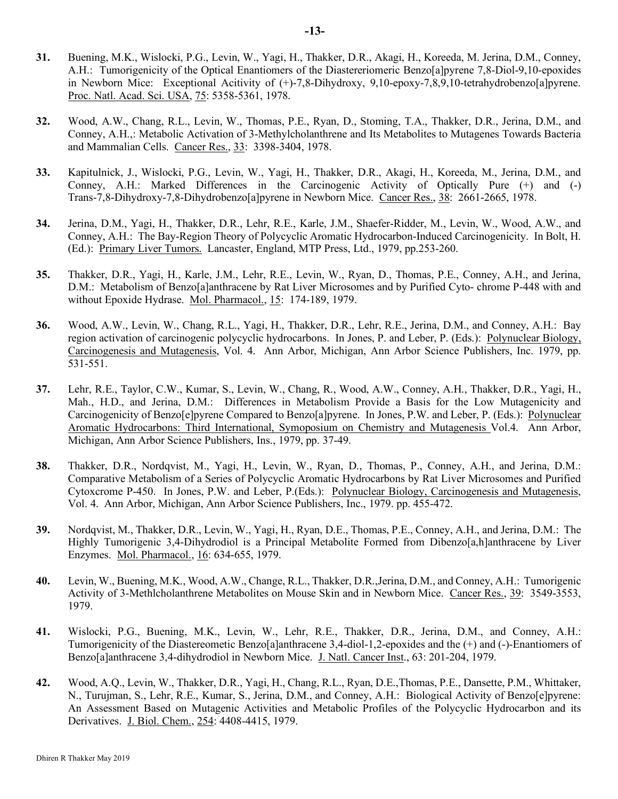- **31.** Buening, M.K., Wislocki, P.G., Levin, W., Yagi, H., Thakker, D.R., Akagi, H., Koreeda, M. Jerina, D.M., Conney, A.H.: Tumorigenicity of the Optical Enantiomers of the Diastereriomeric Benzo[a]pyrene 7,8-Diol-9,10-epoxides in Newborn Mice: Exceptional Acitivity of (+)-7,8-Dihydroxy, 9,10-epoxy-7,8,9,10-tetrahydrobenzo[a]pyrene. Proc. Natl. Acad. Sci. USA, 75: 5358-5361, 1978.
- **32.** Wood, A.W., Chang, R.L., Levin, W., Thomas, P.E., Ryan, D., Stoming, T.A., Thakker, D.R., Jerina, D.M., and Conney, A.H.,: Metabolic Activation of 3-Methylcholanthrene and Its Metabolites to Mutagenes Towards Bacteria and Mammalian Cells. Cancer Res., 33: 3398-3404, 1978.
- **33.** Kapitulnick, J., Wislocki, P.G., Levin, W., Yagi, H., Thakker, D.R., Akagi, H., Koreeda, M., Jerina, D.M., and Conney, A.H.: Marked Differences in the Carcinogenic Activity of Optically Pure (+) and (-) Trans-7,8-Dihydroxy-7,8-Dihydrobenzo[a]pyrene in Newborn Mice. Cancer Res., 38: 2661-2665, 1978.
- **34.** Jerina, D.M., Yagi, H., Thakker, D.R., Lehr, R.E., Karle, J.M., Shaefer-Ridder, M., Levin, W., Wood, A.W., and Conney, A.H.: The Bay-Region Theory of Polycyclic Aromatic Hydrocarbon-Induced Carcinogenicity. In Bolt, H. (Ed.): Primary Liver Tumors. Lancaster, England, MTP Press, Ltd., 1979, pp.253-260.
- **35.** Thakker, D.R., Yagi, H., Karle, J.M., Lehr, R.E., Levin, W., Ryan, D., Thomas, P.E., Conney, A.H., and Jerina, D.M.: Metabolism of Benzo[a]anthracene by Rat Liver Microsomes and by Purified Cyto- chrome P-448 with and without Epoxide Hydrase. Mol. Pharmacol., 15: 174-189, 1979.
- **36.** Wood, A.W., Levin, W., Chang, R.L., Yagi, H., Thakker, D.R., Lehr, R.E., Jerina, D.M., and Conney, A.H.: Bay region activation of carcinogenic polycyclic hydrocarbons. In Jones, P. and Leber, P. (Eds.): Polynuclear Biology, Carcinogenesis and Mutagenesis, Vol. 4. Ann Arbor, Michigan, Ann Arbor Science Publishers, Inc. 1979, pp. 531-551.
- **37.** Lehr, R.E., Taylor, C.W., Kumar, S., Levin, W., Chang, R., Wood, A.W., Conney, A.H., Thakker, D.R., Yagi, H., Mah., H.D., and Jerina, D.M.: Differences in Metabolism Provide a Basis for the Low Mutagenicity and Carcinogenicity of Benzo[e]pyrene Compared to Benzo[a]pyrene. In Jones, P.W. and Leber, P. (Eds.): Polynuclear Aromatic Hydrocarbons: Third International, Symoposium on Chemistry and Mutagenesis Vol.4. Ann Arbor, Michigan, Ann Arbor Science Publishers, Ins., 1979, pp. 37-49.
- **38.** Thakker, D.R., Nordqvist, M., Yagi, H., Levin, W., Ryan, D., Thomas, P., Conney, A.H., and Jerina, D.M.: Comparative Metabolism of a Series of Polycyclic Aromatic Hydrocarbons by Rat Liver Microsomes and Purified Cytoxcrome P-450. In Jones, P.W. and Leber, P.(Eds.): Polynuclear Biology, Carcinogenesis and Mutagenesis, Vol. 4. Ann Arbor, Michigan, Ann Arbor Science Publishers, Inc., 1979. pp. 455-472.
- **39.** Nordqvist, M., Thakker, D.R., Levin, W., Yagi, H., Ryan, D.E., Thomas, P.E., Conney, A.H., and Jerina, D.M.: The Highly Tumorigenic 3,4-Dihydrodiol is a Principal Metabolite Formed from Dibenzo[a,h]anthracene by Liver Enzymes. Mol. Pharmacol., 16: 634-655, 1979.
- **40.** Levin, W., Buening, M.K., Wood, A.W., Change, R.L., Thakker, D.R.,Jerina, D.M., and Conney, A.H.: Tumorigenic Activity of 3-Methlcholanthrene Metabolites on Mouse Skin and in Newborn Mice. Cancer Res., 39: 3549-3553, 1979.
- **41.** Wislocki, P.G., Buening, M.K., Levin, W., Lehr, R.E., Thakker, D.R., Jerina, D.M., and Conney, A.H.: Tumorigenicity of the Diastereometic Benzo[a]anthracene 3,4-diol-1,2-epoxides and the (+) and (-)-Enantiomers of Benzo[a]anthracene 3,4-dihydrodiol in Newborn Mice. J. Natl. Cancer Inst., 63: 201-204, 1979.
- **42.** Wood, A.Q., Levin, W., Thakker, D.R., Yagi, H., Chang, R.L., Ryan, D.E.,Thomas, P.E., Dansette, P.M., Whittaker, N., Turujman, S., Lehr, R.E., Kumar, S., Jerina, D.M., and Conney, A.H.: Biological Activity of Benzo[e]pyrene: An Assessment Based on Mutagenic Activities and Metabolic Profiles of the Polycyclic Hydrocarbon and its Derivatives. J. Biol. Chem., 254: 4408-4415, 1979.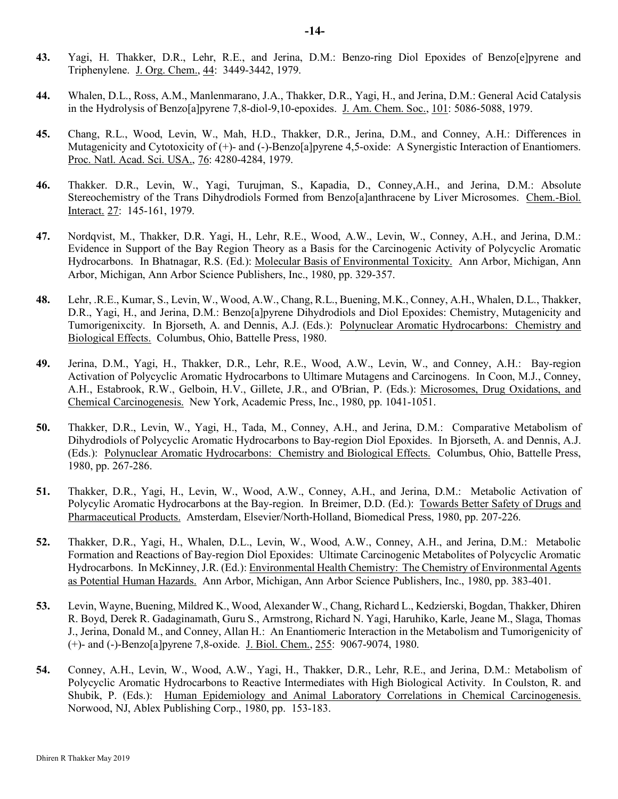- **43.** Yagi, H. Thakker, D.R., Lehr, R.E., and Jerina, D.M.: Benzo-ring Diol Epoxides of Benzo[e]pyrene and Triphenylene. J. Org. Chem., 44: 3449-3442, 1979.
- **44.** Whalen, D.L., Ross, A.M., Manlenmarano, J.A., Thakker, D.R., Yagi, H., and Jerina, D.M.: General Acid Catalysis in the Hydrolysis of Benzo[a]pyrene 7,8-diol-9,10-epoxides. J. Am. Chem. Soc., 101: 5086-5088, 1979.
- **45.** Chang, R.L., Wood, Levin, W., Mah, H.D., Thakker, D.R., Jerina, D.M., and Conney, A.H.: Differences in Mutagenicity and Cytotoxicity of (+)- and (-)-Benzo[a]pyrene 4,5-oxide: A Synergistic Interaction of Enantiomers. Proc. Natl. Acad. Sci. USA., 76: 4280-4284, 1979.
- **46.** Thakker. D.R., Levin, W., Yagi, Turujman, S., Kapadia, D., Conney,A.H., and Jerina, D.M.: Absolute Stereochemistry of the Trans Dihydrodiols Formed from Benzo[a]anthracene by Liver Microsomes. Chem.-Biol. Interact. 27: 145-161, 1979.
- **47.** Nordqvist, M., Thakker, D.R. Yagi, H., Lehr, R.E., Wood, A.W., Levin, W., Conney, A.H., and Jerina, D.M.: Evidence in Support of the Bay Region Theory as a Basis for the Carcinogenic Activity of Polycyclic Aromatic Hydrocarbons. In Bhatnagar, R.S. (Ed.): Molecular Basis of Environmental Toxicity. Ann Arbor, Michigan, Ann Arbor, Michigan, Ann Arbor Science Publishers, Inc., 1980, pp. 329-357.
- **48.** Lehr, .R.E., Kumar, S., Levin, W., Wood, A.W., Chang, R.L., Buening, M.K., Conney, A.H., Whalen, D.L., Thakker, D.R., Yagi, H., and Jerina, D.M.: Benzo[a]pyrene Dihydrodiols and Diol Epoxides: Chemistry, Mutagenicity and Tumorigenixcity. In Bjorseth, A. and Dennis, A.J. (Eds.): Polynuclear Aromatic Hydrocarbons: Chemistry and Biological Effects. Columbus, Ohio, Battelle Press, 1980.
- **49.** Jerina, D.M., Yagi, H., Thakker, D.R., Lehr, R.E., Wood, A.W., Levin, W., and Conney, A.H.: Bay-region Activation of Polycyclic Aromatic Hydrocarbons to Ultimare Mutagens and Carcinogens. In Coon, M.J., Conney, A.H., Estabrook, R.W., Gelboin, H.V., Gillete, J.R., and O'Brian, P. (Eds.): Microsomes, Drug Oxidations, and Chemical Carcinogenesis. New York, Academic Press, Inc., 1980, pp. 1041-1051.
- **50.** Thakker, D.R., Levin, W., Yagi, H., Tada, M., Conney, A.H., and Jerina, D.M.: Comparative Metabolism of Dihydrodiols of Polycyclic Aromatic Hydrocarbons to Bay-region Diol Epoxides. In Bjorseth, A. and Dennis, A.J. (Eds.): Polynuclear Aromatic Hydrocarbons: Chemistry and Biological Effects. Columbus, Ohio, Battelle Press, 1980, pp. 267-286.
- **51.** Thakker, D.R., Yagi, H., Levin, W., Wood, A.W., Conney, A.H., and Jerina, D.M.: Metabolic Activation of Polycylic Aromatic Hydrocarbons at the Bay-region. In Breimer, D.D. (Ed.): Towards Better Safety of Drugs and Pharmaceutical Products. Amsterdam, Elsevier/North-Holland, Biomedical Press, 1980, pp. 207-226.
- **52.** Thakker, D.R., Yagi, H., Whalen, D.L., Levin, W., Wood, A.W., Conney, A.H., and Jerina, D.M.: Metabolic Formation and Reactions of Bay-region Diol Epoxides: Ultimate Carcinogenic Metabolites of Polycyclic Aromatic Hydrocarbons. In McKinney, J.R. (Ed.): Environmental Health Chemistry: The Chemistry of Environmental Agents as Potential Human Hazards. Ann Arbor, Michigan, Ann Arbor Science Publishers, Inc., 1980, pp. 383-401.
- **53.** Levin, Wayne, Buening, Mildred K., Wood, Alexander W., Chang, Richard L., Kedzierski, Bogdan, Thakker, Dhiren R. Boyd, Derek R. Gadaginamath, Guru S., Armstrong, Richard N. Yagi, Haruhiko, Karle, Jeane M., Slaga, Thomas J., Jerina, Donald M., and Conney, Allan H.: An Enantiomeric Interaction in the Metabolism and Tumorigenicity of (+)- and (-)-Benzo[a]pyrene 7,8-oxide. J. Biol. Chem., 255: 9067-9074, 1980.
- **54.** Conney, A.H., Levin, W., Wood, A.W., Yagi, H., Thakker, D.R., Lehr, R.E., and Jerina, D.M.: Metabolism of Polycyclic Aromatic Hydrocarbons to Reactive Intermediates with High Biological Activity. In Coulston, R. and Shubik, P. (Eds.): Human Epidemiology and Animal Laboratory Correlations in Chemical Carcinogenesis. Norwood, NJ, Ablex Publishing Corp., 1980, pp. 153-183.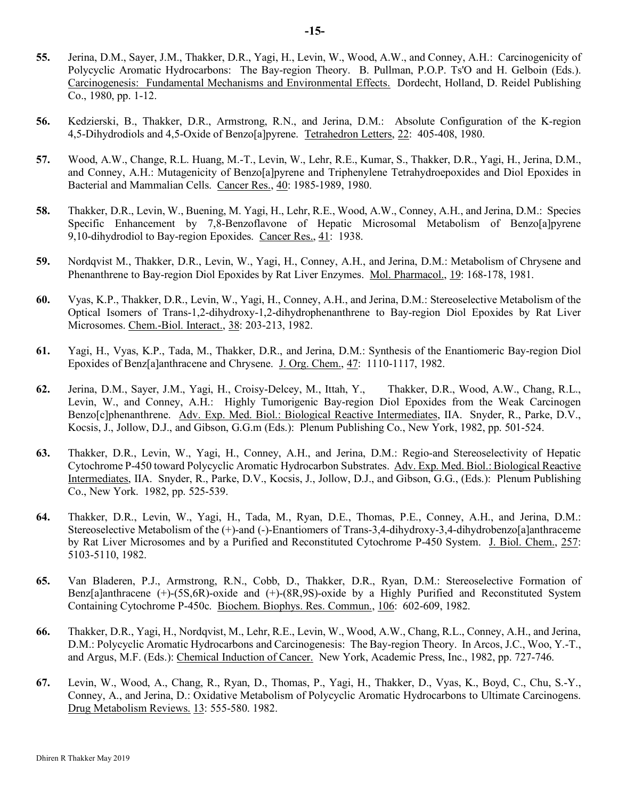- **55.** Jerina, D.M., Sayer, J.M., Thakker, D.R., Yagi, H., Levin, W., Wood, A.W., and Conney, A.H.: Carcinogenicity of Polycyclic Aromatic Hydrocarbons: The Bay-region Theory. B. Pullman, P.O.P. Ts'O and H. Gelboin (Eds.). Carcinogenesis: Fundamental Mechanisms and Environmental Effects. Dordecht, Holland, D. Reidel Publishing Co., 1980, pp. 1-12.
- **56.** Kedzierski, B., Thakker, D.R., Armstrong, R.N., and Jerina, D.M.: Absolute Configuration of the K-region 4,5-Dihydrodiols and 4,5-Oxide of Benzo[a]pyrene. Tetrahedron Letters, 22: 405-408, 1980.
- **57.** Wood, A.W., Change, R.L. Huang, M.-T., Levin, W., Lehr, R.E., Kumar, S., Thakker, D.R., Yagi, H., Jerina, D.M., and Conney, A.H.: Mutagenicity of Benzo[a]pyrene and Triphenylene Tetrahydroepoxides and Diol Epoxides in Bacterial and Mammalian Cells. Cancer Res., 40: 1985-1989, 1980.
- **58.** Thakker, D.R., Levin, W., Buening, M. Yagi, H., Lehr, R.E., Wood, A.W., Conney, A.H., and Jerina, D.M.: Species Specific Enhancement by 7,8-Benzoflavone of Hepatic Microsomal Metabolism of Benzo[a]pyrene 9,10-dihydrodiol to Bay-region Epoxides. Cancer Res., 41: 1938.
- **59.** Nordqvist M., Thakker, D.R., Levin, W., Yagi, H., Conney, A.H., and Jerina, D.M.: Metabolism of Chrysene and Phenanthrene to Bay-region Diol Epoxides by Rat Liver Enzymes. Mol. Pharmacol., 19: 168-178, 1981.
- **60.** Vyas, K.P., Thakker, D.R., Levin, W., Yagi, H., Conney, A.H., and Jerina, D.M.: Stereoselective Metabolism of the Optical Isomers of Trans-1,2-dihydroxy-1,2-dihydrophenanthrene to Bay-region Diol Epoxides by Rat Liver Microsomes. Chem.-Biol. Interact., 38: 203-213, 1982.
- **61.** Yagi, H., Vyas, K.P., Tada, M., Thakker, D.R., and Jerina, D.M.: Synthesis of the Enantiomeric Bay-region Diol Epoxides of Benz[a]anthracene and Chrysene. J. Org. Chem., 47: 1110-1117, 1982.
- **62.** Jerina, D.M., Sayer, J.M., Yagi, H., Croisy-Delcey, M., Ittah, Y., Thakker, D.R., Wood, A.W., Chang, R.L., Levin, W., and Conney, A.H.: Highly Tumorigenic Bay-region Diol Epoxides from the Weak Carcinogen Benzo[c]phenanthrene. Adv. Exp. Med. Biol.: Biological Reactive Intermediates, IIA. Snyder, R., Parke, D.V., Kocsis, J., Jollow, D.J., and Gibson, G.G.m (Eds.): Plenum Publishing Co., New York, 1982, pp. 501-524.
- **63.** Thakker, D.R., Levin, W., Yagi, H., Conney, A.H., and Jerina, D.M.: Regio-and Stereoselectivity of Hepatic Cytochrome P-450 toward Polycyclic Aromatic Hydrocarbon Substrates. Adv. Exp. Med. Biol.: Biological Reactive Intermediates, IIA. Snyder, R., Parke, D.V., Kocsis, J., Jollow, D.J., and Gibson, G.G., (Eds.): Plenum Publishing Co., New York. 1982, pp. 525-539.
- **64.** Thakker, D.R., Levin, W., Yagi, H., Tada, M., Ryan, D.E., Thomas, P.E., Conney, A.H., and Jerina, D.M.: Stereoselective Metabolism of the (+)-and (-)-Enantiomers of Trans-3,4-dihydroxy-3,4-dihydrobenzo[a]anthraceme by Rat Liver Microsomes and by a Purified and Reconstituted Cytochrome P-450 System. J. Biol. Chem., 257: 5103-5110, 1982.
- **65.** Van Bladeren, P.J., Armstrong, R.N., Cobb, D., Thakker, D.R., Ryan, D.M.: Stereoselective Formation of Benz[a]anthracene (+)-(5S,6R)-oxide and (+)-(8R,9S)-oxide by a Highly Purified and Reconstituted System Containing Cytochrome P-450c. Biochem. Biophys. Res. Commun., 106: 602-609, 1982.
- **66.** Thakker, D.R., Yagi, H., Nordqvist, M., Lehr, R.E., Levin, W., Wood, A.W., Chang, R.L., Conney, A.H., and Jerina, D.M.: Polycyclic Aromatic Hydrocarbons and Carcinogenesis: The Bay-region Theory. In Arcos, J.C., Woo, Y.-T., and Argus, M.F. (Eds.): Chemical Induction of Cancer. New York, Academic Press, Inc., 1982, pp. 727-746.
- **67.** Levin, W., Wood, A., Chang, R., Ryan, D., Thomas, P., Yagi, H., Thakker, D., Vyas, K., Boyd, C., Chu, S.-Y., Conney, A., and Jerina, D.: Oxidative Metabolism of Polycyclic Aromatic Hydrocarbons to Ultimate Carcinogens. Drug Metabolism Reviews. 13: 555-580. 1982.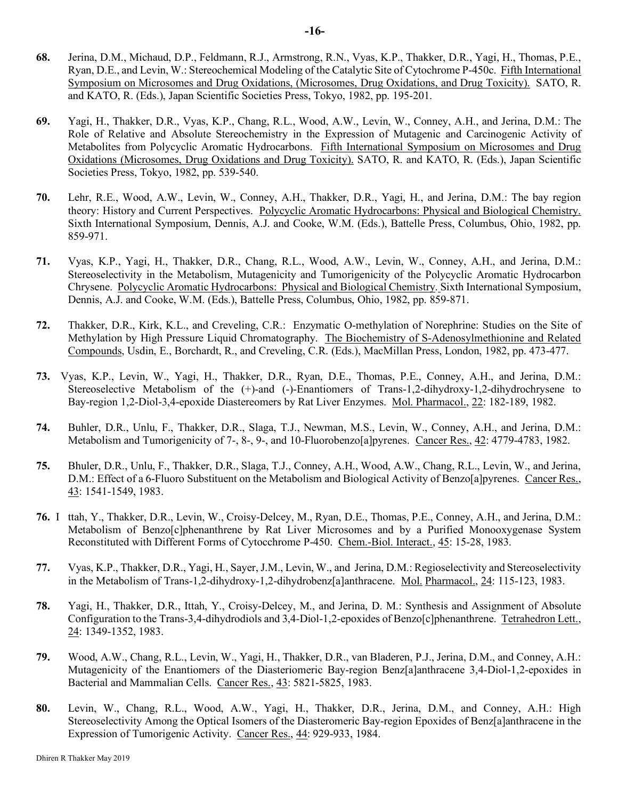- **68.** Jerina, D.M., Michaud, D.P., Feldmann, R.J., Armstrong, R.N., Vyas, K.P., Thakker, D.R., Yagi, H., Thomas, P.E., Ryan, D.E., and Levin, W.: Stereochemical Modeling of the Catalytic Site of Cytochrome P-450c. Fifth International Symposium on Microsomes and Drug Oxidations, (Microsomes, Drug Oxidations, and Drug Toxicity). SATO, R. and KATO, R. (Eds.), Japan Scientific Societies Press, Tokyo, 1982, pp. 195-201.
- **69.** Yagi, H., Thakker, D.R., Vyas, K.P., Chang, R.L., Wood, A.W., Levin, W., Conney, A.H., and Jerina, D.M.: The Role of Relative and Absolute Stereochemistry in the Expression of Mutagenic and Carcinogenic Activity of Metabolites from Polycyclic Aromatic Hydrocarbons. Fifth International Symposium on Microsomes and Drug Oxidations (Microsomes, Drug Oxidations and Drug Toxicity). SATO, R. and KATO, R. (Eds.), Japan Scientific Societies Press, Tokyo, 1982, pp. 539-540.
- **70.** Lehr, R.E., Wood, A.W., Levin, W., Conney, A.H., Thakker, D.R., Yagi, H., and Jerina, D.M.: The bay region theory: History and Current Perspectives. Polycyclic Aromatic Hydrocarbons: Physical and Biological Chemistry. Sixth International Symposium, Dennis, A.J. and Cooke, W.M. (Eds.), Battelle Press, Columbus, Ohio, 1982, pp. 859-971.
- **71.** Vyas, K.P., Yagi, H., Thakker, D.R., Chang, R.L., Wood, A.W., Levin, W., Conney, A.H., and Jerina, D.M.: Stereoselectivity in the Metabolism, Mutagenicity and Tumorigenicity of the Polycyclic Aromatic Hydrocarbon Chrysene. Polycyclic Aromatic Hydrocarbons: Physical and Biological Chemistry. Sixth International Symposium, Dennis, A.J. and Cooke, W.M. (Eds.), Battelle Press, Columbus, Ohio, 1982, pp. 859-871.
- **72.** Thakker, D.R., Kirk, K.L., and Creveling, C.R.: Enzymatic O-methylation of Norephrine: Studies on the Site of Methylation by High Pressure Liquid Chromatography. The Biochemistry of S-Adenosylmethionine and Related Compounds, Usdin, E., Borchardt, R., and Creveling, C.R. (Eds.), MacMillan Press, London, 1982, pp. 473-477.
- **73.** Vyas, K.P., Levin, W., Yagi, H., Thakker, D.R., Ryan, D.E., Thomas, P.E., Conney, A.H., and Jerina, D.M.: Stereoselective Metabolism of the (+)-and (-)-Enantiomers of Trans-1,2-dihydroxy-1,2-dihydrochrysene to Bay-region 1,2-Diol-3,4-epoxide Diastereomers by Rat Liver Enzymes. Mol. Pharmacol., 22: 182-189, 1982.
- **74.** Buhler, D.R., Unlu, F., Thakker, D.R., Slaga, T.J., Newman, M.S., Levin, W., Conney, A.H., and Jerina, D.M.: Metabolism and Tumorigenicity of 7-, 8-, 9-, and 10-Fluorobenzo[a]pyrenes. Cancer Res., 42: 4779-4783, 1982.
- **75.** Bhuler, D.R., Unlu, F., Thakker, D.R., Slaga, T.J., Conney, A.H., Wood, A.W., Chang, R.L., Levin, W., and Jerina, D.M.: Effect of a 6-Fluoro Substituent on the Metabolism and Biological Activity of Benzo[a]pyrenes. Cancer Res., 43: 1541-1549, 1983.
- **76.** I ttah, Y., Thakker, D.R., Levin, W., Croisy-Delcey, M., Ryan, D.E., Thomas, P.E., Conney, A.H., and Jerina, D.M.: Metabolism of Benzo[c]phenanthrene by Rat Liver Microsomes and by a Purified Monooxygenase System Reconstituted with Different Forms of Cytocchrome P-450. Chem.-Biol. Interact., 45: 15-28, 1983.
- **77.** Vyas, K.P., Thakker, D.R., Yagi, H., Sayer, J.M., Levin, W., and Jerina, D.M.: Regioselectivity and Stereoselectivity in the Metabolism of Trans-1,2-dihydroxy-1,2-dihydrobenz[a]anthracene. Mol. Pharmacol., 24: 115-123, 1983.
- **78.** Yagi, H., Thakker, D.R., Ittah, Y., Croisy-Delcey, M., and Jerina, D. M.: Synthesis and Assignment of Absolute Configuration to the Trans-3,4-dihydrodiols and 3,4-Diol-1,2-epoxides of Benzo[c]phenanthrene. Tetrahedron Lett., 24: 1349-1352, 1983.
- **79.** Wood, A.W., Chang, R.L., Levin, W., Yagi, H., Thakker, D.R., van Bladeren, P.J., Jerina, D.M., and Conney, A.H.: Mutagenicity of the Enantiomers of the Diasteriomeric Bay-region Benz[a]anthracene 3,4-Diol-1,2-epoxides in Bacterial and Mammalian Cells. Cancer Res., 43: 5821-5825, 1983.
- **80.** Levin, W., Chang, R.L., Wood, A.W., Yagi, H., Thakker, D.R., Jerina, D.M., and Conney, A.H.: High Stereoselectivity Among the Optical Isomers of the Diasteromeric Bay-region Epoxides of Benz[a]anthracene in the Expression of Tumorigenic Activity. Cancer Res., 44: 929-933, 1984.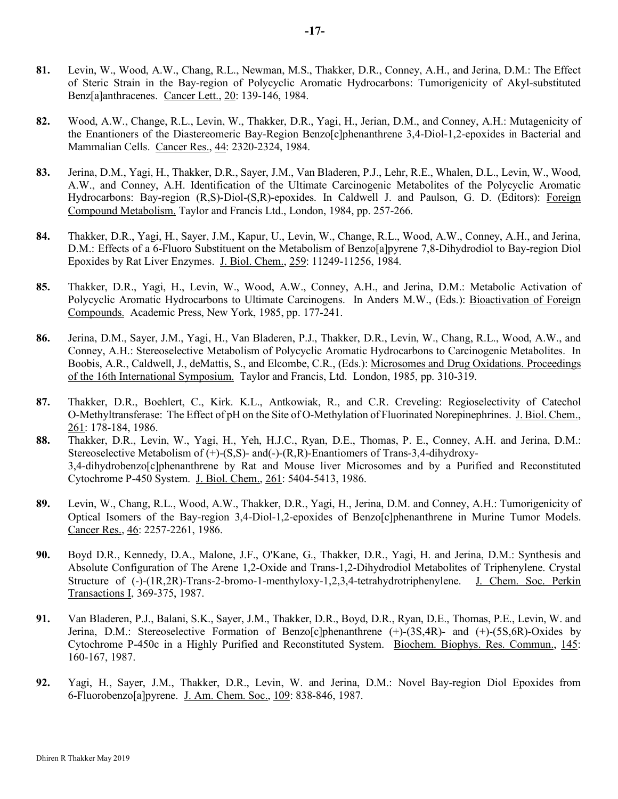- **81.** Levin, W., Wood, A.W., Chang, R.L., Newman, M.S., Thakker, D.R., Conney, A.H., and Jerina, D.M.: The Effect of Steric Strain in the Bay-region of Polycyclic Aromatic Hydrocarbons: Tumorigenicity of Akyl-substituted Benz[a]anthracenes. Cancer Lett., 20: 139-146, 1984.
- **82.** Wood, A.W., Change, R.L., Levin, W., Thakker, D.R., Yagi, H., Jerian, D.M., and Conney, A.H.: Mutagenicity of the Enantioners of the Diastereomeric Bay-Region Benzo[c]phenanthrene 3,4-Diol-1,2-epoxides in Bacterial and Mammalian Cells. Cancer Res., 44: 2320-2324, 1984.
- **83.** Jerina, D.M., Yagi, H., Thakker, D.R., Sayer, J.M., Van Bladeren, P.J., Lehr, R.E., Whalen, D.L., Levin, W., Wood, A.W., and Conney, A.H. Identification of the Ultimate Carcinogenic Metabolites of the Polycyclic Aromatic Hydrocarbons: Bay-region (R,S)-Diol-(S,R)-epoxides. In Caldwell J. and Paulson, G. D. (Editors): Foreign Compound Metabolism. Taylor and Francis Ltd., London, 1984, pp. 257-266.
- **84.** Thakker, D.R., Yagi, H., Sayer, J.M., Kapur, U., Levin, W., Change, R.L., Wood, A.W., Conney, A.H., and Jerina, D.M.: Effects of a 6-Fluoro Substituent on the Metabolism of Benzo[a]pyrene 7,8-Dihydrodiol to Bay-region Diol Epoxides by Rat Liver Enzymes. J. Biol. Chem., 259: 11249-11256, 1984.
- **85.** Thakker, D.R., Yagi, H., Levin, W., Wood, A.W., Conney, A.H., and Jerina, D.M.: Metabolic Activation of Polycyclic Aromatic Hydrocarbons to Ultimate Carcinogens. In Anders M.W., (Eds.): Bioactivation of Foreign Compounds. Academic Press, New York, 1985, pp. 177-241.
- **86.** Jerina, D.M., Sayer, J.M., Yagi, H., Van Bladeren, P.J., Thakker, D.R., Levin, W., Chang, R.L., Wood, A.W., and Conney, A.H.: Stereoselective Metabolism of Polycyclic Aromatic Hydrocarbons to Carcinogenic Metabolites. In Boobis, A.R., Caldwell, J., deMattis, S., and Elcombe, C.R., (Eds.): Microsomes and Drug Oxidations. Proceedings of the 16th International Symposium. Taylor and Francis, Ltd. London, 1985, pp. 310-319.
- **87.** Thakker, D.R., Boehlert, C., Kirk. K.L., Antkowiak, R., and C.R. Creveling: Regioselectivity of Catechol O-Methyltransferase: The Effect of pH on the Site of O-Methylation of Fluorinated Norepinephrines. J. Biol. Chem., 261: 178-184, 1986.
- **88.** Thakker, D.R., Levin, W., Yagi, H., Yeh, H.J.C., Ryan, D.E., Thomas, P. E., Conney, A.H. and Jerina, D.M.: Stereoselective Metabolism of (+)-(S,S)- and(-)-(R,R)-Enantiomers of Trans-3,4-dihydroxy-3,4-dihydrobenzo[c]phenanthrene by Rat and Mouse liver Microsomes and by a Purified and Reconstituted Cytochrome P-450 System. J. Biol. Chem., 261: 5404-5413, 1986.
- **89.** Levin, W., Chang, R.L., Wood, A.W., Thakker, D.R., Yagi, H., Jerina, D.M. and Conney, A.H.: Tumorigenicity of Optical Isomers of the Bay-region 3,4-Diol-1,2-epoxides of Benzo[c]phenanthrene in Murine Tumor Models. Cancer Res., 46: 2257-2261, 1986.
- **90.** Boyd D.R., Kennedy, D.A., Malone, J.F., O'Kane, G., Thakker, D.R., Yagi, H. and Jerina, D.M.: Synthesis and Absolute Configuration of The Arene 1,2-Oxide and Trans-1,2-Dihydrodiol Metabolites of Triphenylene. Crystal Structure of (-)-(1R,2R)-Trans-2-bromo-1-menthyloxy-1,2,3,4-tetrahydrotriphenylene. J. Chem. Soc. Perkin Transactions I, 369-375, 1987.
- **91.** Van Bladeren, P.J., Balani, S.K., Sayer, J.M., Thakker, D.R., Boyd, D.R., Ryan, D.E., Thomas, P.E., Levin, W. and Jerina, D.M.: Stereoselective Formation of Benzo[c]phenanthrene (+)-(3S,4R)- and (+)-(5S,6R)-Oxides by Cytochrome P-450c in a Highly Purified and Reconstituted System. Biochem. Biophys. Res. Commun., 145: 160-167, 1987.
- **92.** Yagi, H., Sayer, J.M., Thakker, D.R., Levin, W. and Jerina, D.M.: Novel Bay-region Diol Epoxides from 6-Fluorobenzo[a]pyrene. J. Am. Chem. Soc., 109: 838-846, 1987.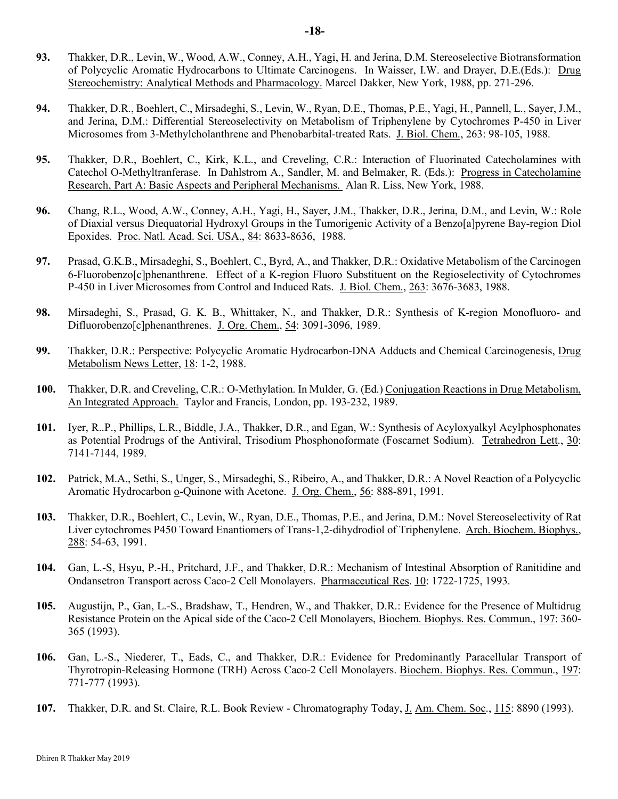- **93.** Thakker, D.R., Levin, W., Wood, A.W., Conney, A.H., Yagi, H. and Jerina, D.M. Stereoselective Biotransformation of Polycyclic Aromatic Hydrocarbons to Ultimate Carcinogens. In Waisser, I.W. and Drayer, D.E.(Eds.): Drug Stereochemistry: Analytical Methods and Pharmacology. Marcel Dakker, New York, 1988, pp. 271-296.
- **94.** Thakker, D.R., Boehlert, C., Mirsadeghi, S., Levin, W., Ryan, D.E., Thomas, P.E., Yagi, H., Pannell, L., Sayer, J.M., and Jerina, D.M.: Differential Stereoselectivity on Metabolism of Triphenylene by Cytochromes P-450 in Liver Microsomes from 3-Methylcholanthrene and Phenobarbital-treated Rats. J. Biol. Chem., 263: 98-105, 1988.
- **95.** Thakker, D.R., Boehlert, C., Kirk, K.L., and Creveling, C.R.: Interaction of Fluorinated Catecholamines with Catechol O-Methyltranferase. In Dahlstrom A., Sandler, M. and Belmaker, R. (Eds.): Progress in Catecholamine Research, Part A: Basic Aspects and Peripheral Mechanisms. Alan R. Liss, New York, 1988.
- **96.** Chang, R.L., Wood, A.W., Conney, A.H., Yagi, H., Sayer, J.M., Thakker, D.R., Jerina, D.M., and Levin, W.: Role of Diaxial versus Diequatorial Hydroxyl Groups in the Tumorigenic Activity of a Benzo[a]pyrene Bay-region Diol Epoxides. Proc. Natl. Acad. Sci. USA., 84: 8633-8636, 1988.
- **97.** Prasad, G.K.B., Mirsadeghi, S., Boehlert, C., Byrd, A., and Thakker, D.R.: Oxidative Metabolism of the Carcinogen 6-Fluorobenzo[c]phenanthrene. Effect of a K-region Fluoro Substituent on the Regioselectivity of Cytochromes P-450 in Liver Microsomes from Control and Induced Rats. J. Biol. Chem., 263: 3676-3683, 1988.
- **98.** Mirsadeghi, S., Prasad, G. K. B., Whittaker, N., and Thakker, D.R.: Synthesis of K-region Monofluoro- and Difluorobenzo[c]phenanthrenes. J. Org. Chem., 54: 3091-3096, 1989.
- **99.** Thakker, D.R.: Perspective: Polycyclic Aromatic Hydrocarbon-DNA Adducts and Chemical Carcinogenesis, Drug Metabolism News Letter, 18: 1-2, 1988.
- **100.** Thakker, D.R. and Creveling, C.R.: O-Methylation. In Mulder, G. (Ed.) Conjugation Reactions in Drug Metabolism, An Integrated Approach. Taylor and Francis, London, pp. 193-232, 1989.
- **101.** Iyer, R..P., Phillips, L.R., Biddle, J.A., Thakker, D.R., and Egan, W.: Synthesis of Acyloxyalkyl Acylphosphonates as Potential Prodrugs of the Antiviral, Trisodium Phosphonoformate (Foscarnet Sodium). Tetrahedron Lett., 30: 7141-7144, 1989.
- **102.** Patrick, M.A., Sethi, S., Unger, S., Mirsadeghi, S., Ribeiro, A., and Thakker, D.R.: A Novel Reaction of a Polycyclic Aromatic Hydrocarbon o-Quinone with Acetone. J. Org. Chem., 56: 888-891, 1991.
- **103.** Thakker, D.R., Boehlert, C., Levin, W., Ryan, D.E., Thomas, P.E., and Jerina, D.M.: Novel Stereoselectivity of Rat Liver cytochromes P450 Toward Enantiomers of Trans-1,2-dihydrodiol of Triphenylene. Arch. Biochem. Biophys., 288: 54-63, 1991.
- **104.** Gan, L.-S, Hsyu, P.-H., Pritchard, J.F., and Thakker, D.R.: Mechanism of Intestinal Absorption of Ranitidine and Ondansetron Transport across Caco-2 Cell Monolayers. Pharmaceutical Res. 10: 1722-1725, 1993.
- **105.** Augustijn, P., Gan, L.-S., Bradshaw, T., Hendren, W., and Thakker, D.R.: Evidence for the Presence of Multidrug Resistance Protein on the Apical side of the Caco-2 Cell Monolayers, Biochem. Biophys. Res. Commun., 197: 360- 365 (1993).
- **106.** Gan, L.-S., Niederer, T., Eads, C., and Thakker, D.R.: Evidence for Predominantly Paracellular Transport of Thyrotropin-Releasing Hormone (TRH) Across Caco-2 Cell Monolayers. Biochem. Biophys. Res. Commun., 197: 771-777 (1993).
- **107.** Thakker, D.R. and St. Claire, R.L. Book Review Chromatography Today, J. Am. Chem. Soc., 115: 8890 (1993).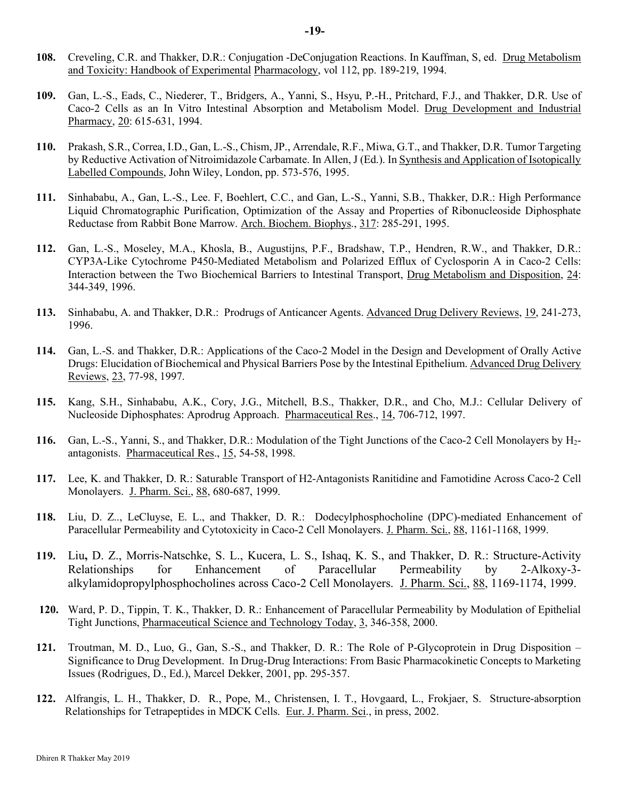- **108.** Creveling, C.R. and Thakker, D.R.: Conjugation -DeConjugation Reactions. In Kauffman, S, ed. Drug Metabolism and Toxicity: Handbook of Experimental Pharmacology, vol 112, pp. 189-219, 1994.
- **109.** Gan, L.-S., Eads, C., Niederer, T., Bridgers, A., Yanni, S., Hsyu, P.-H., Pritchard, F.J., and Thakker, D.R. Use of Caco-2 Cells as an In Vitro Intestinal Absorption and Metabolism Model. Drug Development and Industrial Pharmacy, 20: 615-631, 1994.
- **110.** Prakash, S.R., Correa, I.D., Gan, L.-S., Chism, JP., Arrendale, R.F., Miwa, G.T., and Thakker, D.R. Tumor Targeting by Reductive Activation of Nitroimidazole Carbamate. In Allen, J (Ed.). In Synthesis and Application of Isotopically Labelled Compounds, John Wiley, London, pp. 573-576, 1995.
- **111.** Sinhababu, A., Gan, L.-S., Lee. F, Boehlert, C.C., and Gan, L.-S., Yanni, S.B., Thakker, D.R.: High Performance Liquid Chromatographic Purification, Optimization of the Assay and Properties of Ribonucleoside Diphosphate Reductase from Rabbit Bone Marrow. Arch. Biochem. Biophys., 317: 285-291, 1995.
- **112.** Gan, L.-S., Moseley, M.A., Khosla, B., Augustijns, P.F., Bradshaw, T.P., Hendren, R.W., and Thakker, D.R.: CYP3A-Like Cytochrome P450-Mediated Metabolism and Polarized Efflux of Cyclosporin A in Caco-2 Cells: Interaction between the Two Biochemical Barriers to Intestinal Transport, Drug Metabolism and Disposition, 24: 344-349, 1996.
- **113.** Sinhababu, A. and Thakker, D.R.: Prodrugs of Anticancer Agents. Advanced Drug Delivery Reviews, 19, 241-273, 1996.
- **114.** Gan, L.-S. and Thakker, D.R.: Applications of the Caco-2 Model in the Design and Development of Orally Active Drugs: Elucidation of Biochemical and Physical Barriers Pose by the Intestinal Epithelium. Advanced Drug Delivery Reviews, 23, 77-98, 1997.
- **115.** Kang, S.H., Sinhababu, A.K., Cory, J.G., Mitchell, B.S., Thakker, D.R., and Cho, M.J.: Cellular Delivery of Nucleoside Diphosphates: Aprodrug Approach. Pharmaceutical Res., 14, 706-712, 1997.
- **116.** Gan, L.-S., Yanni, S., and Thakker, D.R.: Modulation of the Tight Junctions of the Caco-2 Cell Monolayers by H2 antagonists. Pharmaceutical Res., 15, 54-58, 1998.
- **117.** Lee, K. and Thakker, D. R.: Saturable Transport of H2-Antagonists Ranitidine and Famotidine Across Caco-2 Cell Monolayers. J. Pharm. Sci., 88, 680-687, 1999.
- **118.** Liu, D. Z.., LeCluyse, E. L., and Thakker, D. R.: Dodecylphosphocholine (DPC)-mediated Enhancement of Paracellular Permeability and Cytotoxicity in Caco-2 Cell Monolayers. J. Pharm. Sci., 88, 1161-1168, 1999.
- **119.** Liu**,** D. Z., Morris-Natschke, S. L., Kucera, L. S., Ishaq, K. S., and Thakker, D. R.: Structure-Activity Relationships for Enhancement of Paracellular Permeability by 2-Alkoxy-3 alkylamidopropylphosphocholines across Caco-2 Cell Monolayers. J. Pharm. Sci., 88, 1169-1174, 1999.
- **120.** Ward, P. D., Tippin, T. K., Thakker, D. R.: Enhancement of Paracellular Permeability by Modulation of Epithelial Tight Junctions, Pharmaceutical Science and Technology Today, 3, 346-358, 2000.
- **121.** Troutman, M. D., Luo, G., Gan, S.-S., and Thakker, D. R.: The Role of P-Glycoprotein in Drug Disposition Significance to Drug Development. In Drug-Drug Interactions: From Basic Pharmacokinetic Concepts to Marketing Issues (Rodrigues, D., Ed.), Marcel Dekker, 2001, pp. 295-357.
- **122.** Alfrangis, L. H., Thakker, D. R., Pope, M., Christensen, I. T., Hovgaard, L., Frokjaer, S. Structure-absorption Relationships for Tetrapeptides in MDCK Cells. Eur. J. Pharm. Sci., in press, 2002.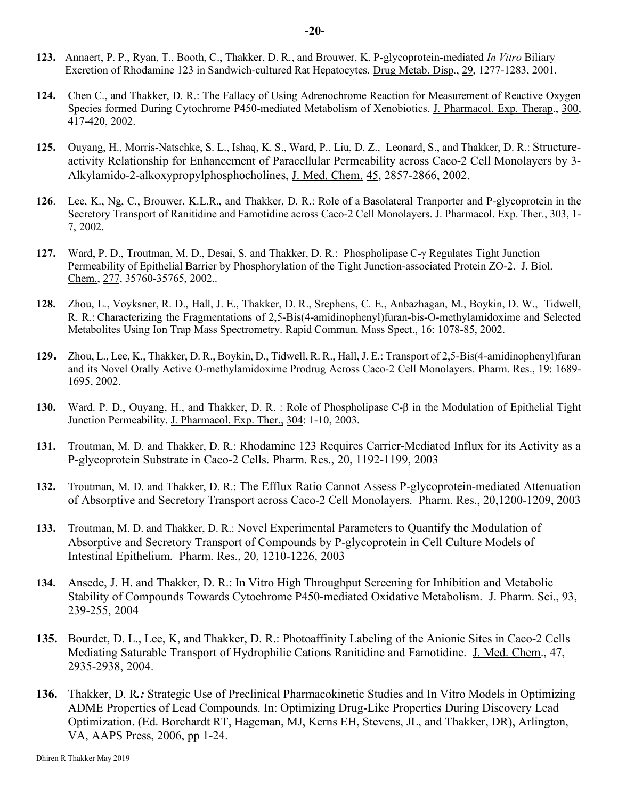- **123.** Annaert, P. P., Ryan, T., Booth, C., Thakker, D. R., and Brouwer, K. P-glycoprotein-mediated *In Vitro* Biliary Excretion of Rhodamine 123 in Sandwich-cultured Rat Hepatocytes. Drug Metab. Disp., 29, 1277-1283, 2001.
- **124.** Chen C., and Thakker, D. R.: The Fallacy of Using Adrenochrome Reaction for Measurement of Reactive Oxygen Species formed During Cytochrome P450-mediated Metabolism of Xenobiotics. J. Pharmacol. Exp. Therap., 300, 417-420, 2002.
- **125.** Ouyang, H., Morris-Natschke, S. L., Ishaq, K. S., Ward, P., Liu, D. Z., Leonard, S., and Thakker, D. R.: Structureactivity Relationship for Enhancement of Paracellular Permeability across Caco-2 Cell Monolayers by 3- Alkylamido-2-alkoxypropylphosphocholines, J. Med. Chem. 45, 2857-2866, 2002.
- **126**. Lee, K., Ng, C., Brouwer, K.L.R., and Thakker, D. R.: Role of a Basolateral Tranporter and P-glycoprotein in the Secretory Transport of Ranitidine and Famotidine across Caco-2 Cell Monolayers. J. Pharmacol. Exp. Ther., 303, 1-7, 2002.
- **127.** Ward, P. D., Troutman, M. D., Desai, S. and Thakker, D. R.: Phospholipase C-g Regulates Tight Junction Permeability of Epithelial Barrier by Phosphorylation of the Tight Junction-associated Protein ZO-2. J. Biol. Chem., 277, 35760-35765, 2002..
- **128.** Zhou, L., Voyksner, R. D., Hall, J. E., Thakker, D. R., Srephens, C. E., Anbazhagan, M., Boykin, D. W., Tidwell, R. R.: Characterizing the Fragmentations of 2,5-Bis(4-amidinophenyl)furan-bis-O-methylamidoxime and Selected Metabolites Using Ion Trap Mass Spectrometry. Rapid Commun. Mass Spect., 16: 1078-85, 2002.
- **129.** Zhou, L., Lee, K., Thakker, D. R., Boykin, D., Tidwell, R. R., Hall, J. E.: Transport of 2,5-Bis(4-amidinophenyl)furan and its Novel Orally Active O-methylamidoxime Prodrug Across Caco-2 Cell Monolayers. Pharm. Res., 19: 1689- 1695, 2002.
- **130.** Ward. P. D., Ouyang, H., and Thakker, D. R. : Role of Phospholipase C-β in the Modulation of Epithelial Tight Junction Permeability. J. Pharmacol. Exp. Ther., 304: 1-10, 2003.
- **131.** Troutman, M. D. and Thakker, D. R.: Rhodamine 123 Requires Carrier-Mediated Influx for its Activity as a P-glycoprotein Substrate in Caco-2 Cells. Pharm. Res., 20, 1192-1199, 2003
- **132.** Troutman, M. D. and Thakker, D. R.: The Efflux Ratio Cannot Assess P-glycoprotein-mediated Attenuation of Absorptive and Secretory Transport across Caco-2 Cell Monolayers. Pharm. Res., 20,1200-1209, 2003
- **133.** Troutman, M. D. and Thakker, D. R.: Novel Experimental Parameters to Quantify the Modulation of Absorptive and Secretory Transport of Compounds by P-glycoprotein in Cell Culture Models of Intestinal Epithelium. Pharm. Res., 20, 1210-1226, 2003
- **134.** Ansede, J. H. and Thakker, D. R.: In Vitro High Throughput Screening for Inhibition and Metabolic Stability of Compounds Towards Cytochrome P450-mediated Oxidative Metabolism. J. Pharm. Sci., 93, 239-255, 2004
- **135.** Bourdet, D. L., Lee, K, and Thakker, D. R.: Photoaffinity Labeling of the Anionic Sites in Caco-2 Cells Mediating Saturable Transport of Hydrophilic Cations Ranitidine and Famotidine. J. Med. Chem., 47, 2935-2938, 2004.
- **136.** Thakker, D. R*.:* Strategic Use of Preclinical Pharmacokinetic Studies and In Vitro Models in Optimizing ADME Properties of Lead Compounds. In: Optimizing Drug-Like Properties During Discovery Lead Optimization. (Ed. Borchardt RT, Hageman, MJ, Kerns EH, Stevens, JL, and Thakker, DR), Arlington, VA, AAPS Press, 2006, pp 1-24.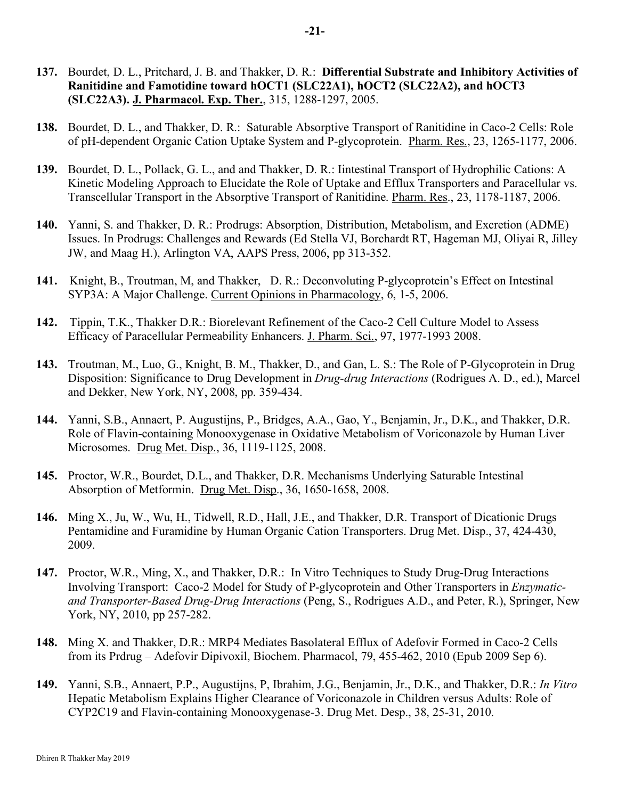- **137.** Bourdet, D. L., Pritchard, J. B. and Thakker, D. R.: **Differential Substrate and Inhibitory Activities of Ranitidine and Famotidine toward hOCT1 (SLC22A1), hOCT2 (SLC22A2), and hOCT3 (SLC22A3). J. Pharmacol. Exp. Ther.**, 315, 1288-1297, 2005.
- **138.** Bourdet, D. L., and Thakker, D. R.: Saturable Absorptive Transport of Ranitidine in Caco-2 Cells: Role of pH-dependent Organic Cation Uptake System and P-glycoprotein. Pharm. Res., 23, 1265-1177, 2006.
- **139.** Bourdet, D. L., Pollack, G. L., and and Thakker, D. R.: Iintestinal Transport of Hydrophilic Cations: A Kinetic Modeling Approach to Elucidate the Role of Uptake and Efflux Transporters and Paracellular vs. Transcellular Transport in the Absorptive Transport of Ranitidine. Pharm. Res., 23, 1178-1187, 2006.
- **140.** Yanni, S. and Thakker, D. R.: Prodrugs: Absorption, Distribution, Metabolism, and Excretion (ADME) Issues. In Prodrugs: Challenges and Rewards (Ed Stella VJ, Borchardt RT, Hageman MJ, Oliyai R, Jilley JW, and Maag H.), Arlington VA, AAPS Press, 2006, pp 313-352.
- **141.** Knight, B., Troutman, M, and Thakker, D. R.: Deconvoluting P-glycoprotein's Effect on Intestinal SYP3A: A Major Challenge. Current Opinions in Pharmacology, 6, 1-5, 2006.
- **142.** Tippin, T.K., Thakker D.R.: Biorelevant Refinement of the Caco-2 Cell Culture Model to Assess Efficacy of Paracellular Permeability Enhancers. J. Pharm. Sci., 97, 1977-1993 2008.
- **143.** Troutman, M., Luo, G., Knight, B. M., Thakker, D., and Gan, L. S.: The Role of P-Glycoprotein in Drug Disposition: Significance to Drug Development in *Drug-drug Interactions* (Rodrigues A. D., ed.), Marcel and Dekker, New York, NY, 2008, pp. 359-434.
- **144.** Yanni, S.B., Annaert, P. Augustijns, P., Bridges, A.A., Gao, Y., Benjamin, Jr., D.K., and Thakker, D.R. Role of Flavin-containing Monooxygenase in Oxidative Metabolism of Voriconazole by Human Liver Microsomes. Drug Met. Disp., 36, 1119-1125, 2008.
- **145.** Proctor, W.R., Bourdet, D.L., and Thakker, D.R. Mechanisms Underlying Saturable Intestinal Absorption of Metformin. Drug Met. Disp., 36, 1650-1658, 2008.
- **146.** Ming X., Ju, W., Wu, H., Tidwell, R.D., Hall, J.E., and Thakker, D.R. Transport of Dicationic Drugs Pentamidine and Furamidine by Human Organic Cation Transporters. Drug Met. Disp., 37, 424-430, 2009.
- **147.** Proctor, W.R., Ming, X., and Thakker, D.R.: In Vitro Techniques to Study Drug-Drug Interactions Involving Transport: Caco-2 Model for Study of P-glycoprotein and Other Transporters in *Enzymaticand Transporter-Based Drug-Drug Interactions* (Peng, S., Rodrigues A.D., and Peter, R.), Springer, New York, NY, 2010, pp 257-282.
- **148.** Ming X. and Thakker, D.R.: MRP4 Mediates Basolateral Efflux of Adefovir Formed in Caco-2 Cells from its Prdrug – Adefovir Dipivoxil, Biochem. Pharmacol, 79, 455-462, 2010 (Epub 2009 Sep 6).
- **149.** Yanni, S.B., Annaert, P.P., Augustijns, P, Ibrahim, J.G., Benjamin, Jr., D.K., and Thakker, D.R.: *In Vitro* Hepatic Metabolism Explains Higher Clearance of Voriconazole in Children versus Adults: Role of CYP2C19 and Flavin-containing Monooxygenase-3. Drug Met. Desp., 38, 25-31, 2010.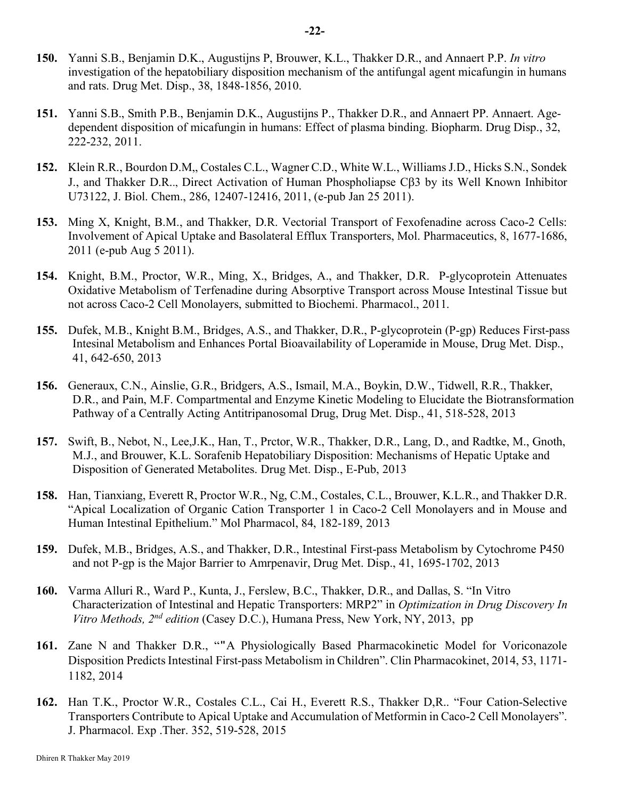- **150.** Yanni S.B., Benjamin D.K., Augustijns P, Brouwer, K.L., Thakker D.R., and Annaert P.P. *In vitro*  investigation of the hepatobiliary disposition mechanism of the antifungal agent micafungin in humans and rats. Drug Met. Disp., 38, 1848-1856, 2010.
- **151.** Yanni S.B., Smith P.B., Benjamin D.K., Augustijns P., Thakker D.R., and Annaert PP. Annaert. Agedependent disposition of micafungin in humans: Effect of plasma binding. Biopharm. Drug Disp., 32, 222-232, 2011.
- **152.** Klein R.R., Bourdon D.M,, Costales C.L., Wagner C.D., White W.L., Williams J.D., Hicks S.N., Sondek J., and Thakker D.R.., Direct Activation of Human Phospholiapse Cβ3 by its Well Known Inhibitor U73122, J. Biol. Chem., 286, 12407-12416, 2011, (e-pub Jan 25 2011).
- **153.** Ming X, Knight, B.M., and Thakker, D.R. Vectorial Transport of Fexofenadine across Caco-2 Cells: Involvement of Apical Uptake and Basolateral Efflux Transporters, Mol. Pharmaceutics, 8, 1677-1686, 2011 (e-pub Aug 5 2011).
- **154.** Knight, B.M., Proctor, W.R., Ming, X., Bridges, A., and Thakker, D.R. P-glycoprotein Attenuates Oxidative Metabolism of Terfenadine during Absorptive Transport across Mouse Intestinal Tissue but not across Caco-2 Cell Monolayers, submitted to Biochemi. Pharmacol., 2011.
- **155.** Dufek, M.B., Knight B.M., Bridges, A.S., and Thakker, D.R., P-glycoprotein (P-gp) Reduces First-pass Intesinal Metabolism and Enhances Portal Bioavailability of Loperamide in Mouse, Drug Met. Disp., 41, 642-650, 2013
- **156.** Generaux, C.N., Ainslie, G.R., Bridgers, A.S., Ismail, M.A., Boykin, D.W., Tidwell, R.R., Thakker, D.R., and Pain, M.F. Compartmental and Enzyme Kinetic Modeling to Elucidate the Biotransformation Pathway of a Centrally Acting Antitripanosomal Drug, Drug Met. Disp., 41, 518-528, 2013
- **157.** Swift, B., Nebot, N., Lee,J.K., Han, T., Prctor, W.R., Thakker, D.R., Lang, D., and Radtke, M., Gnoth, M.J., and Brouwer, K.L. Sorafenib Hepatobiliary Disposition: Mechanisms of Hepatic Uptake and Disposition of Generated Metabolites. Drug Met. Disp., E-Pub, 2013
- **158.** Han, Tianxiang, Everett R, Proctor W.R., Ng, C.M., Costales, C.L., Brouwer, K.L.R., and Thakker D.R. "Apical Localization of Organic Cation Transporter 1 in Caco-2 Cell Monolayers and in Mouse and Human Intestinal Epithelium." Mol Pharmacol, 84, 182-189, 2013
- **159.** Dufek, M.B., Bridges, A.S., and Thakker, D.R., Intestinal First-pass Metabolism by Cytochrome P450 and not P-gp is the Major Barrier to Amrpenavir, Drug Met. Disp., 41, 1695-1702, 2013
- **160.** Varma Alluri R., Ward P., Kunta, J., Ferslew, B.C., Thakker, D.R., and Dallas, S. "In Vitro Characterization of Intestinal and Hepatic Transporters: MRP2" in *Optimization in Drug Discovery In Vitro Methods, 2nd edition* (Casey D.C.), Humana Press, New York, NY, 2013, pp
- **161.** Zane N and Thakker D.R., ""A Physiologically Based Pharmacokinetic Model for Voriconazole Disposition Predicts Intestinal First-pass Metabolism in Children". Clin Pharmacokinet, 2014, 53, 1171- 1182, 2014
- **162.** Han T.K., Proctor W.R., Costales C.L., Cai H., Everett R.S., Thakker D,R.. "Four Cation-Selective Transporters Contribute to Apical Uptake and Accumulation of Metformin in Caco-2 Cell Monolayers". J. Pharmacol. Exp .Ther. 352, 519-528, 2015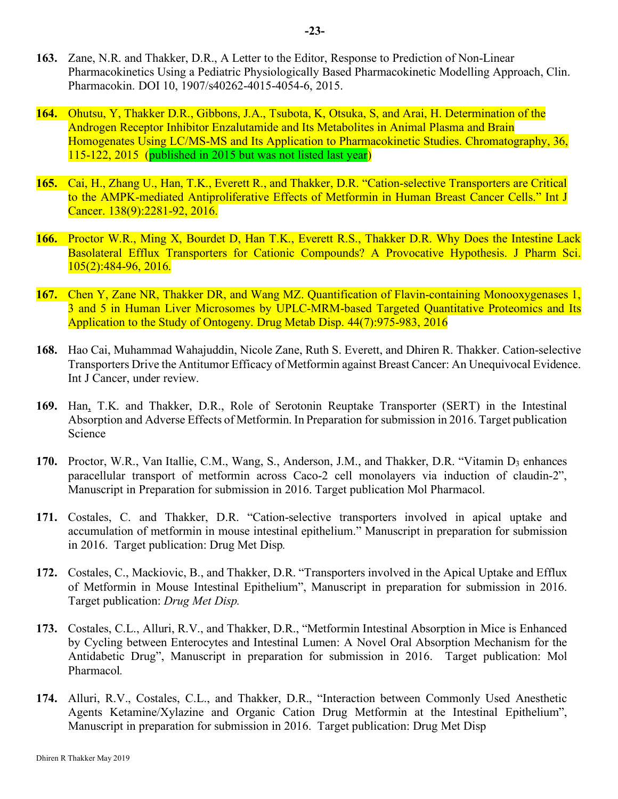- **163.** Zane, N.R. and Thakker, D.R., A Letter to the Editor, Response to Prediction of Non-Linear Pharmacokinetics Using a Pediatric Physiologically Based Pharmacokinetic Modelling Approach, Clin. Pharmacokin. DOI 10, 1907/s40262-4015-4054-6, 2015.
- **164.** Ohutsu, Y, Thakker D.R., Gibbons, J.A., Tsubota, K, Otsuka, S, and Arai, H. Determination of the Androgen Receptor Inhibitor Enzalutamide and Its Metabolites in Animal Plasma and Brain Homogenates Using LC/MS-MS and Its Application to Pharmacokinetic Studies. Chromatography, 36, 115-122, 2015 (published in 2015 but was not listed last year)
- **165.** Cai, H., Zhang U., Han, T.K., Everett R., and Thakker, D.R. "Cation-selective Transporters are Critical to the AMPK-mediated Antiproliferative Effects of Metformin in Human Breast Cancer Cells." Int J Cancer. 138(9):2281-92, 2016.
- **166.** Proctor W.R., Ming X, Bourdet D, Han T.K., Everett R.S., Thakker D.R. Why Does the Intestine Lack Basolateral Efflux Transporters for Cationic Compounds? A Provocative Hypothesis. J Pharm Sci. 105(2):484-96, 2016.
- **167.** Chen Y, Zane NR, Thakker DR, and Wang MZ. Quantification of Flavin-containing Monooxygenases 1, 3 and 5 in Human Liver Microsomes by UPLC-MRM-based Targeted Quantitative Proteomics and Its Application to the Study of Ontogeny. Drug Metab Disp. 44(7):975-983, 2016
- **168.** Hao Cai, Muhammad Wahajuddin, Nicole Zane, Ruth S. Everett, and Dhiren R. Thakker. Cation-selective Transporters Drive the Antitumor Efficacy of Metformin against Breast Cancer: An Unequivocal Evidence. Int J Cancer, under review.
- **169.** Han, T.K. and Thakker, D.R., Role of Serotonin Reuptake Transporter (SERT) in the Intestinal Absorption and Adverse Effects of Metformin. In Preparation for submission in 2016. Target publication Science
- 170. Proctor, W.R., Van Itallie, C.M., Wang, S., Anderson, J.M., and Thakker, D.R. "Vitamin D<sub>3</sub> enhances paracellular transport of metformin across Caco-2 cell monolayers via induction of claudin-2", Manuscript in Preparation for submission in 2016. Target publication Mol Pharmacol.
- **171.** Costales, C. and Thakker, D.R. "Cation-selective transporters involved in apical uptake and accumulation of metformin in mouse intestinal epithelium." Manuscript in preparation for submission in 2016. Target publication: Drug Met Disp*.*
- **172.** Costales, C., Mackiovic, B., and Thakker, D.R. "Transporters involved in the Apical Uptake and Efflux of Metformin in Mouse Intestinal Epithelium", Manuscript in preparation for submission in 2016. Target publication: *Drug Met Disp.*
- **173.** Costales, C.L., Alluri, R.V., and Thakker, D.R., "Metformin Intestinal Absorption in Mice is Enhanced by Cycling between Enterocytes and Intestinal Lumen: A Novel Oral Absorption Mechanism for the Antidabetic Drug", Manuscript in preparation for submission in 2016. Target publication: Mol Pharmacol*.*
- **174.** Alluri, R.V., Costales, C.L., and Thakker, D.R., "Interaction between Commonly Used Anesthetic Agents Ketamine/Xylazine and Organic Cation Drug Metformin at the Intestinal Epithelium", Manuscript in preparation for submission in 2016. Target publication: Drug Met Disp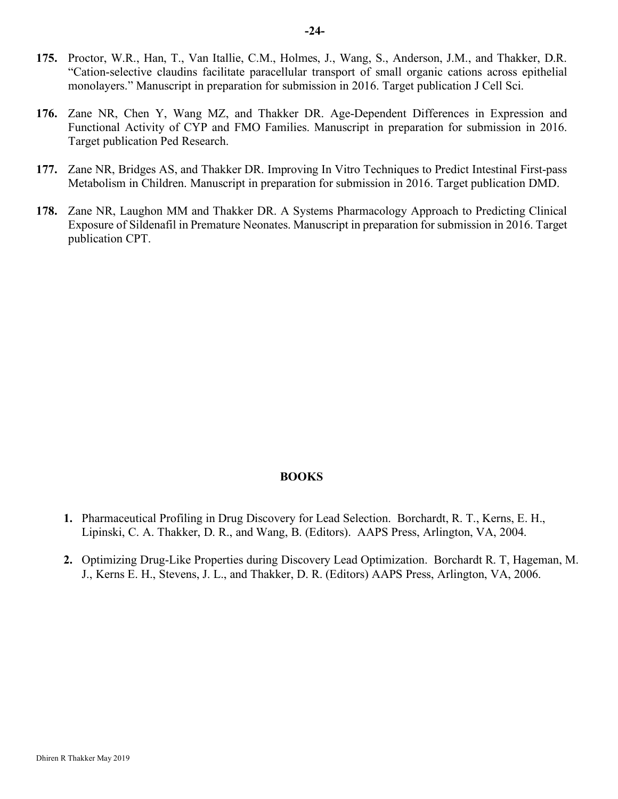- **175.** Proctor, W.R., Han, T., Van Itallie, C.M., Holmes, J., Wang, S., Anderson, J.M., and Thakker, D.R. "Cation-selective claudins facilitate paracellular transport of small organic cations across epithelial monolayers." Manuscript in preparation for submission in 2016. Target publication J Cell Sci.
- **176.** Zane NR, Chen Y, Wang MZ, and Thakker DR. Age-Dependent Differences in Expression and Functional Activity of CYP and FMO Families. Manuscript in preparation for submission in 2016. Target publication Ped Research.
- **177.** Zane NR, Bridges AS, and Thakker DR. Improving In Vitro Techniques to Predict Intestinal First-pass Metabolism in Children. Manuscript in preparation for submission in 2016. Target publication DMD.
- **178.** Zane NR, Laughon MM and Thakker DR. A Systems Pharmacology Approach to Predicting Clinical Exposure of Sildenafil in Premature Neonates. Manuscript in preparation for submission in 2016. Target publication CPT.

### **BOOKS**

- **1.** Pharmaceutical Profiling in Drug Discovery for Lead Selection. Borchardt, R. T., Kerns, E. H., Lipinski, C. A. Thakker, D. R., and Wang, B. (Editors). AAPS Press, Arlington, VA, 2004.
- **2.** Optimizing Drug-Like Properties during Discovery Lead Optimization. Borchardt R. T, Hageman, M. J., Kerns E. H., Stevens, J. L., and Thakker, D. R. (Editors) AAPS Press, Arlington, VA, 2006.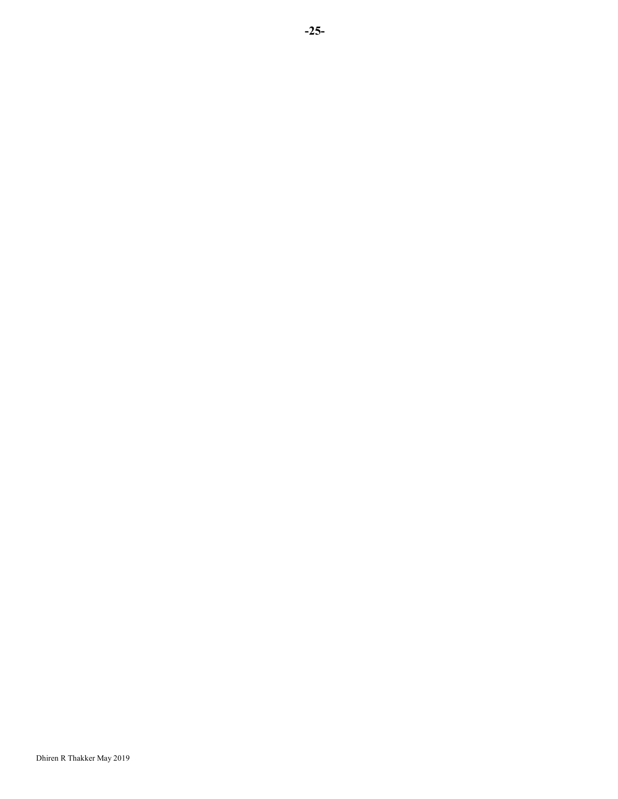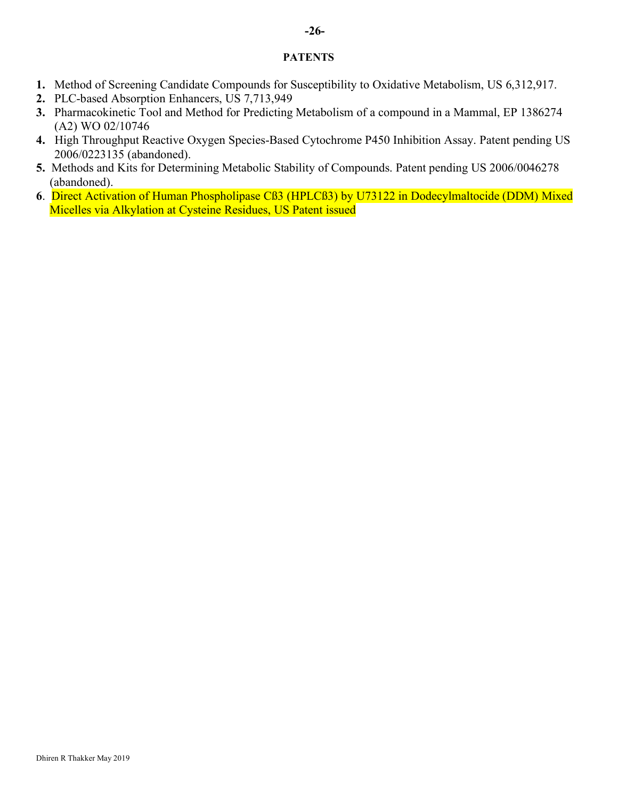# **PATENTS**

**-26-**

- **1.** Method of Screening Candidate Compounds for Susceptibility to Oxidative Metabolism, US 6,312,917.
- **2.** PLC-based Absorption Enhancers, US 7,713,949
- **3.** Pharmacokinetic Tool and Method for Predicting Metabolism of a compound in a Mammal, EP 1386274 (A2) WO 02/10746
- **4.** High Throughput Reactive Oxygen Species-Based Cytochrome P450 Inhibition Assay. Patent pending US 2006/0223135 (abandoned).
- **5.** Methods and Kits for Determining Metabolic Stability of Compounds. Patent pending US 2006/0046278 (abandoned).
- **6**. Direct Activation of Human Phospholipase Cß3 (HPLCß3) by U73122 in Dodecylmaltocide (DDM) Mixed Micelles via Alkylation at Cysteine Residues, US Patent issued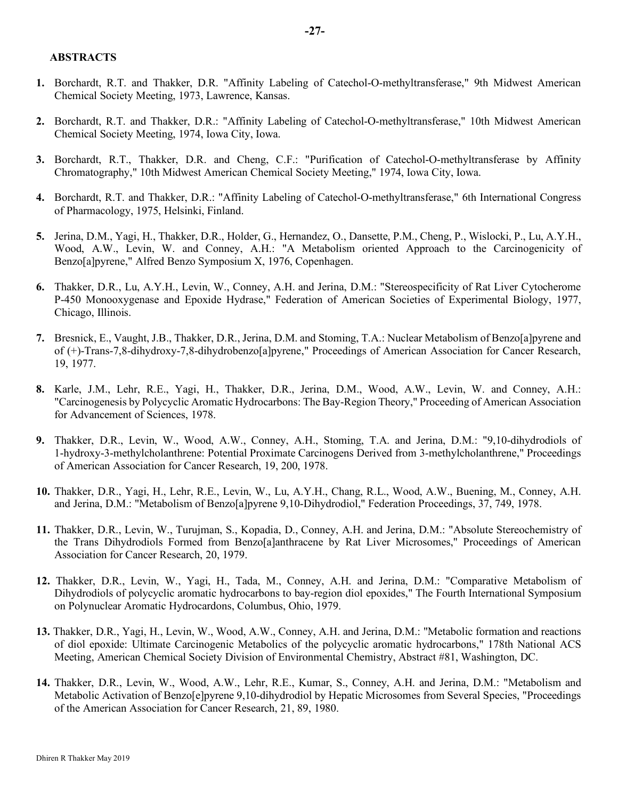#### **ABSTRACTS**

- **1.** Borchardt, R.T. and Thakker, D.R. "Affinity Labeling of Catechol-O-methyltransferase," 9th Midwest American Chemical Society Meeting, 1973, Lawrence, Kansas.
- **2.** Borchardt, R.T. and Thakker, D.R.: "Affinity Labeling of Catechol-O-methyltransferase," 10th Midwest American Chemical Society Meeting, 1974, Iowa City, Iowa.
- **3.** Borchardt, R.T., Thakker, D.R. and Cheng, C.F.: "Purification of Catechol-O-methyltransferase by Affinity Chromatography," 10th Midwest American Chemical Society Meeting," 1974, Iowa City, Iowa.
- **4.** Borchardt, R.T. and Thakker, D.R.: "Affinity Labeling of Catechol-O-methyltransferase," 6th International Congress of Pharmacology, 1975, Helsinki, Finland.
- **5.** Jerina, D.M., Yagi, H., Thakker, D.R., Holder, G., Hernandez, O., Dansette, P.M., Cheng, P., Wislocki, P., Lu, A.Y.H., Wood, A.W., Levin, W. and Conney, A.H.: "A Metabolism oriented Approach to the Carcinogenicity of Benzo[a]pyrene," Alfred Benzo Symposium X, 1976, Copenhagen.
- **6.** Thakker, D.R., Lu, A.Y.H., Levin, W., Conney, A.H. and Jerina, D.M.: "Stereospecificity of Rat Liver Cytocherome P-450 Monooxygenase and Epoxide Hydrase," Federation of American Societies of Experimental Biology, 1977, Chicago, Illinois.
- **7.** Bresnick, E., Vaught, J.B., Thakker, D.R., Jerina, D.M. and Stoming, T.A.: Nuclear Metabolism of Benzo[a]pyrene and of (+)-Trans-7,8-dihydroxy-7,8-dihydrobenzo[a]pyrene," Proceedings of American Association for Cancer Research, 19, 1977.
- **8.** Karle, J.M., Lehr, R.E., Yagi, H., Thakker, D.R., Jerina, D.M., Wood, A.W., Levin, W. and Conney, A.H.: "Carcinogenesis by Polycyclic Aromatic Hydrocarbons: The Bay-Region Theory," Proceeding of American Association for Advancement of Sciences, 1978.
- **9.** Thakker, D.R., Levin, W., Wood, A.W., Conney, A.H., Stoming, T.A. and Jerina, D.M.: "9,10-dihydrodiols of 1-hydroxy-3-methylcholanthrene: Potential Proximate Carcinogens Derived from 3-methylcholanthrene," Proceedings of American Association for Cancer Research, 19, 200, 1978.
- **10.** Thakker, D.R., Yagi, H., Lehr, R.E., Levin, W., Lu, A.Y.H., Chang, R.L., Wood, A.W., Buening, M., Conney, A.H. and Jerina, D.M.: "Metabolism of Benzo[a]pyrene 9,10-Dihydrodiol," Federation Proceedings, 37, 749, 1978.
- **11.** Thakker, D.R., Levin, W., Turujman, S., Kopadia, D., Conney, A.H. and Jerina, D.M.: "Absolute Stereochemistry of the Trans Dihydrodiols Formed from Benzo[a]anthracene by Rat Liver Microsomes," Proceedings of American Association for Cancer Research, 20, 1979.
- **12.** Thakker, D.R., Levin, W., Yagi, H., Tada, M., Conney, A.H. and Jerina, D.M.: "Comparative Metabolism of Dihydrodiols of polycyclic aromatic hydrocarbons to bay-region diol epoxides," The Fourth International Symposium on Polynuclear Aromatic Hydrocardons, Columbus, Ohio, 1979.
- **13.** Thakker, D.R., Yagi, H., Levin, W., Wood, A.W., Conney, A.H. and Jerina, D.M.: "Metabolic formation and reactions of diol epoxide: Ultimate Carcinogenic Metabolics of the polycyclic aromatic hydrocarbons," 178th National ACS Meeting, American Chemical Society Division of Environmental Chemistry, Abstract #81, Washington, DC.
- **14.** Thakker, D.R., Levin, W., Wood, A.W., Lehr, R.E., Kumar, S., Conney, A.H. and Jerina, D.M.: "Metabolism and Metabolic Activation of Benzo[e]pyrene 9,10-dihydrodiol by Hepatic Microsomes from Several Species, "Proceedings of the American Association for Cancer Research, 21, 89, 1980.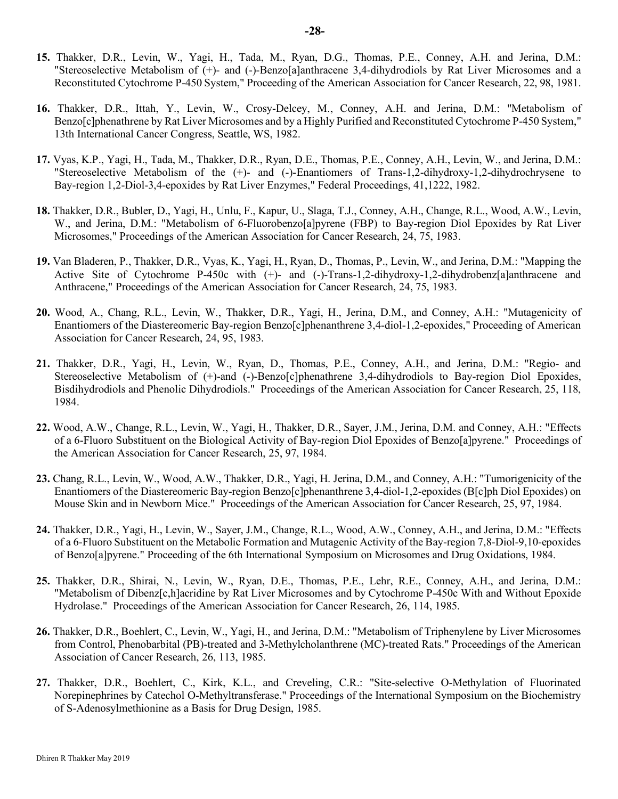- **15.** Thakker, D.R., Levin, W., Yagi, H., Tada, M., Ryan, D.G., Thomas, P.E., Conney, A.H. and Jerina, D.M.: "Stereoselective Metabolism of (+)- and (-)-Benzo[a]anthracene 3,4-dihydrodiols by Rat Liver Microsomes and a Reconstituted Cytochrome P-450 System," Proceeding of the American Association for Cancer Research, 22, 98, 1981.
- **16.** Thakker, D.R., Ittah, Y., Levin, W., Crosy-Delcey, M., Conney, A.H. and Jerina, D.M.: "Metabolism of Benzo[c]phenathrene by Rat Liver Microsomes and by a Highly Purified and Reconstituted Cytochrome P-450 System," 13th International Cancer Congress, Seattle, WS, 1982.
- **17.** Vyas, K.P., Yagi, H., Tada, M., Thakker, D.R., Ryan, D.E., Thomas, P.E., Conney, A.H., Levin, W., and Jerina, D.M.: "Stereoselective Metabolism of the (+)- and (-)-Enantiomers of Trans-1,2-dihydroxy-1,2-dihydrochrysene to Bay-region 1,2-Diol-3,4-epoxides by Rat Liver Enzymes," Federal Proceedings, 41,1222, 1982.
- **18.** Thakker, D.R., Bubler, D., Yagi, H., Unlu, F., Kapur, U., Slaga, T.J., Conney, A.H., Change, R.L., Wood, A.W., Levin, W., and Jerina, D.M.: "Metabolism of 6-Fluorobenzo[a]pyrene (FBP) to Bay-region Diol Epoxides by Rat Liver Microsomes," Proceedings of the American Association for Cancer Research, 24, 75, 1983.
- **19.** Van Bladeren, P., Thakker, D.R., Vyas, K., Yagi, H., Ryan, D., Thomas, P., Levin, W., and Jerina, D.M.: "Mapping the Active Site of Cytochrome P-450c with (+)- and (-)-Trans-1,2-dihydroxy-1,2-dihydrobenz[a]anthracene and Anthracene," Proceedings of the American Association for Cancer Research, 24, 75, 1983.
- **20.** Wood, A., Chang, R.L., Levin, W., Thakker, D.R., Yagi, H., Jerina, D.M., and Conney, A.H.: "Mutagenicity of Enantiomers of the Diastereomeric Bay-region Benzo[c]phenanthrene 3,4-diol-1,2-epoxides," Proceeding of American Association for Cancer Research, 24, 95, 1983.
- **21.** Thakker, D.R., Yagi, H., Levin, W., Ryan, D., Thomas, P.E., Conney, A.H., and Jerina, D.M.: "Regio- and Stereoselective Metabolism of (+)-and (-)-Benzo[c]phenathrene 3,4-dihydrodiols to Bay-region Diol Epoxides, Bisdihydrodiols and Phenolic Dihydrodiols." Proceedings of the American Association for Cancer Research, 25, 118, 1984.
- **22.** Wood, A.W., Change, R.L., Levin, W., Yagi, H., Thakker, D.R., Sayer, J.M., Jerina, D.M. and Conney, A.H.: "Effects of a 6-Fluoro Substituent on the Biological Activity of Bay-region Diol Epoxides of Benzo[a]pyrene." Proceedings of the American Association for Cancer Research, 25, 97, 1984.
- **23.** Chang, R.L., Levin, W., Wood, A.W., Thakker, D.R., Yagi, H. Jerina, D.M., and Conney, A.H.: "Tumorigenicity of the Enantiomers of the Diastereomeric Bay-region Benzo[c]phenanthrene 3,4-diol-1,2-epoxides (B[c]ph Diol Epoxides) on Mouse Skin and in Newborn Mice." Proceedings of the American Association for Cancer Research, 25, 97, 1984.
- **24.** Thakker, D.R., Yagi, H., Levin, W., Sayer, J.M., Change, R.L., Wood, A.W., Conney, A.H., and Jerina, D.M.: "Effects of a 6-Fluoro Substituent on the Metabolic Formation and Mutagenic Activity of the Bay-region 7,8-Diol-9,10-epoxides of Benzo[a]pyrene." Proceeding of the 6th International Symposium on Microsomes and Drug Oxidations, 1984.
- **25.** Thakker, D.R., Shirai, N., Levin, W., Ryan, D.E., Thomas, P.E., Lehr, R.E., Conney, A.H., and Jerina, D.M.: "Metabolism of Dibenz[c,h]acridine by Rat Liver Microsomes and by Cytochrome P-450c With and Without Epoxide Hydrolase." Proceedings of the American Association for Cancer Research, 26, 114, 1985.
- **26.** Thakker, D.R., Boehlert, C., Levin, W., Yagi, H., and Jerina, D.M.: "Metabolism of Triphenylene by Liver Microsomes from Control, Phenobarbital (PB)-treated and 3-Methylcholanthrene (MC)-treated Rats." Proceedings of the American Association of Cancer Research, 26, 113, 1985.
- **27.** Thakker, D.R., Boehlert, C., Kirk, K.L., and Creveling, C.R.: "Site-selective O-Methylation of Fluorinated Norepinephrines by Catechol O-Methyltransferase." Proceedings of the International Symposium on the Biochemistry of S-Adenosylmethionine as a Basis for Drug Design, 1985.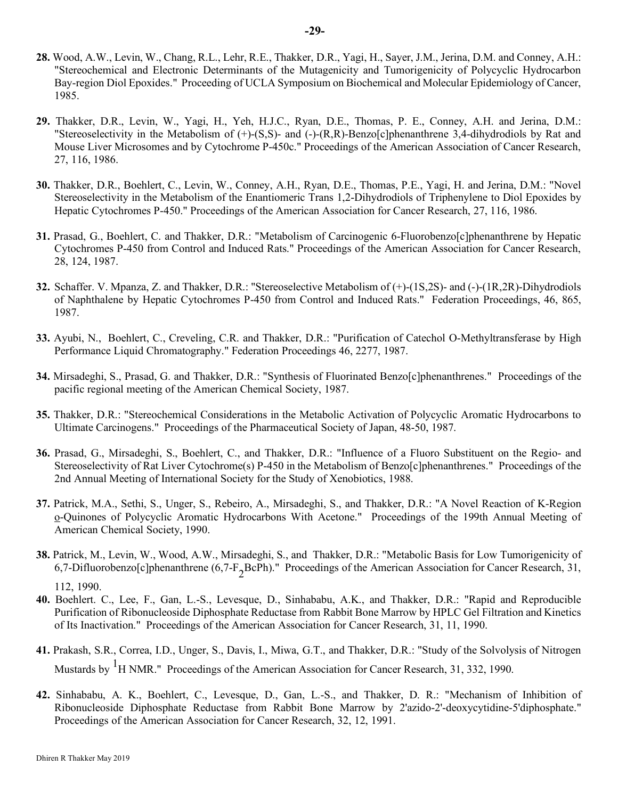- **28.** Wood, A.W., Levin, W., Chang, R.L., Lehr, R.E., Thakker, D.R., Yagi, H., Sayer, J.M., Jerina, D.M. and Conney, A.H.: "Stereochemical and Electronic Determinants of the Mutagenicity and Tumorigenicity of Polycyclic Hydrocarbon Bay-region Diol Epoxides." Proceeding of UCLA Symposium on Biochemical and Molecular Epidemiology of Cancer, 1985.
- **29.** Thakker, D.R., Levin, W., Yagi, H., Yeh, H.J.C., Ryan, D.E., Thomas, P. E., Conney, A.H. and Jerina, D.M.: "Stereoselectivity in the Metabolism of (+)-(S,S)- and (-)-(R,R)-Benzo[c]phenanthrene 3,4-dihydrodiols by Rat and Mouse Liver Microsomes and by Cytochrome P-450c." Proceedings of the American Association of Cancer Research, 27, 116, 1986.
- **30.** Thakker, D.R., Boehlert, C., Levin, W., Conney, A.H., Ryan, D.E., Thomas, P.E., Yagi, H. and Jerina, D.M.: "Novel Stereoselectivity in the Metabolism of the Enantiomeric Trans 1,2-Dihydrodiols of Triphenylene to Diol Epoxides by Hepatic Cytochromes P-450." Proceedings of the American Association for Cancer Research, 27, 116, 1986.
- **31.** Prasad, G., Boehlert, C. and Thakker, D.R.: "Metabolism of Carcinogenic 6-Fluorobenzo[c]phenanthrene by Hepatic Cytochromes P-450 from Control and Induced Rats." Proceedings of the American Association for Cancer Research, 28, 124, 1987.
- **32.** Schaffer. V. Mpanza, Z. and Thakker, D.R.: "Stereoselective Metabolism of (+)-(1S,2S)- and (-)-(1R,2R)-Dihydrodiols of Naphthalene by Hepatic Cytochromes P-450 from Control and Induced Rats." Federation Proceedings, 46, 865, 1987.
- **33.** Ayubi, N., Boehlert, C., Creveling, C.R. and Thakker, D.R.: "Purification of Catechol O-Methyltransferase by High Performance Liquid Chromatography." Federation Proceedings 46, 2277, 1987.
- **34.** Mirsadeghi, S., Prasad, G. and Thakker, D.R.: "Synthesis of Fluorinated Benzo[c]phenanthrenes." Proceedings of the pacific regional meeting of the American Chemical Society, 1987.
- **35.** Thakker, D.R.: "Stereochemical Considerations in the Metabolic Activation of Polycyclic Aromatic Hydrocarbons to Ultimate Carcinogens." Proceedings of the Pharmaceutical Society of Japan, 48-50, 1987.
- **36.** Prasad, G., Mirsadeghi, S., Boehlert, C., and Thakker, D.R.: "Influence of a Fluoro Substituent on the Regio- and Stereoselectivity of Rat Liver Cytochrome(s) P-450 in the Metabolism of Benzo[c]phenanthrenes." Proceedings of the 2nd Annual Meeting of International Society for the Study of Xenobiotics, 1988.
- **37.** Patrick, M.A., Sethi, S., Unger, S., Rebeiro, A., Mirsadeghi, S., and Thakker, D.R.: "A Novel Reaction of K-Region o-Quinones of Polycyclic Aromatic Hydrocarbons With Acetone." Proceedings of the 199th Annual Meeting of American Chemical Society, 1990.
- **38.** Patrick, M., Levin, W., Wood, A.W., Mirsadeghi, S., and Thakker, D.R.: "Metabolic Basis for Low Tumorigenicity of 6,7-Difluorobenzo[c]phenanthrene  $(6,7-F_2BePh)$ ." Proceedings of the American Association for Cancer Research, 31, 112, 1990.
- **40.** Boehlert. C., Lee, F., Gan, L.-S., Levesque, D., Sinhababu, A.K., and Thakker, D.R.: "Rapid and Reproducible Purification of Ribonucleoside Diphosphate Reductase from Rabbit Bone Marrow by HPLC Gel Filtration and Kinetics of Its Inactivation." Proceedings of the American Association for Cancer Research, 31, 11, 1990.
- **41.** Prakash, S.R., Correa, I.D., Unger, S., Davis, I., Miwa, G.T., and Thakker, D.R.: "Study of the Solvolysis of Nitrogen Mustards by <sup>1</sup>H NMR." Proceedings of the American Association for Cancer Research, 31, 332, 1990.
- **42.** Sinhababu, A. K., Boehlert, C., Levesque, D., Gan, L.-S., and Thakker, D. R.: "Mechanism of Inhibition of Ribonucleoside Diphosphate Reductase from Rabbit Bone Marrow by 2'azido-2'-deoxycytidine-5'diphosphate." Proceedings of the American Association for Cancer Research, 32, 12, 1991.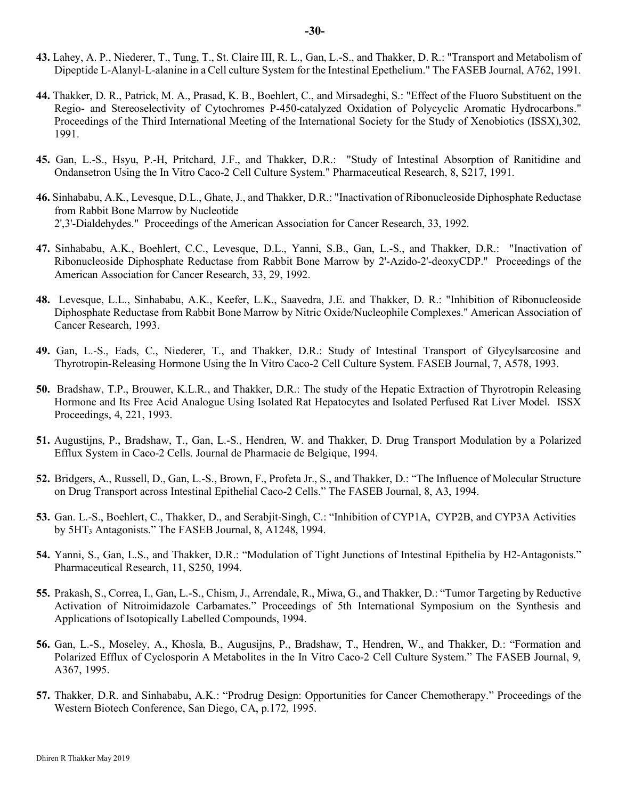- **43.** Lahey, A. P., Niederer, T., Tung, T., St. Claire III, R. L., Gan, L.-S., and Thakker, D. R.: "Transport and Metabolism of Dipeptide L-Alanyl-L-alanine in a Cell culture System for the Intestinal Epethelium." The FASEB Journal, A762, 1991.
- **44.** Thakker, D. R., Patrick, M. A., Prasad, K. B., Boehlert, C., and Mirsadeghi, S.: "Effect of the Fluoro Substituent on the Regio- and Stereoselectivity of Cytochromes P-450-catalyzed Oxidation of Polycyclic Aromatic Hydrocarbons." Proceedings of the Third International Meeting of the International Society for the Study of Xenobiotics (ISSX),302, 1991.
- **45.** Gan, L.-S., Hsyu, P.-H, Pritchard, J.F., and Thakker, D.R.: "Study of Intestinal Absorption of Ranitidine and Ondansetron Using the In Vitro Caco-2 Cell Culture System." Pharmaceutical Research, 8, S217, 1991.
- **46.** Sinhababu, A.K., Levesque, D.L., Ghate, J., and Thakker, D.R.: "Inactivation of Ribonucleoside Diphosphate Reductase from Rabbit Bone Marrow by Nucleotide 2',3'-Dialdehydes." Proceedings of the American Association for Cancer Research, 33, 1992.
- **47.** Sinhababu, A.K., Boehlert, C.C., Levesque, D.L., Yanni, S.B., Gan, L.-S., and Thakker, D.R.: "Inactivation of Ribonucleoside Diphosphate Reductase from Rabbit Bone Marrow by 2'-Azido-2'-deoxyCDP." Proceedings of the American Association for Cancer Research, 33, 29, 1992.
- **48.** Levesque, L.L., Sinhababu, A.K., Keefer, L.K., Saavedra, J.E. and Thakker, D. R.: "Inhibition of Ribonucleoside Diphosphate Reductase from Rabbit Bone Marrow by Nitric Oxide/Nucleophile Complexes." American Association of Cancer Research, 1993.
- **49.** Gan, L.-S., Eads, C., Niederer, T., and Thakker, D.R.: Study of Intestinal Transport of Glycylsarcosine and Thyrotropin-Releasing Hormone Using the In Vitro Caco-2 Cell Culture System. FASEB Journal, 7, A578, 1993.
- **50.** Bradshaw, T.P., Brouwer, K.L.R., and Thakker, D.R.: The study of the Hepatic Extraction of Thyrotropin Releasing Hormone and Its Free Acid Analogue Using Isolated Rat Hepatocytes and Isolated Perfused Rat Liver Model. ISSX Proceedings, 4, 221, 1993.
- **51.** Augustijns, P., Bradshaw, T., Gan, L.-S., Hendren, W. and Thakker, D. Drug Transport Modulation by a Polarized Efflux System in Caco-2 Cells. Journal de Pharmacie de Belgique, 1994.
- **52.** Bridgers, A., Russell, D., Gan, L.-S., Brown, F., Profeta Jr., S., and Thakker, D.: "The Influence of Molecular Structure on Drug Transport across Intestinal Epithelial Caco-2 Cells." The FASEB Journal, 8, A3, 1994.
- **53.** Gan. L.-S., Boehlert, C., Thakker, D., and Serabjit-Singh, C.: "Inhibition of CYP1A, CYP2B, and CYP3A Activities by 5HT3 Antagonists." The FASEB Journal, 8, A1248, 1994.
- **54.** Yanni, S., Gan, L.S., and Thakker, D.R.: "Modulation of Tight Junctions of Intestinal Epithelia by H2-Antagonists." Pharmaceutical Research, 11, S250, 1994.
- **55.** Prakash, S., Correa, I., Gan, L.-S., Chism, J., Arrendale, R., Miwa, G., and Thakker, D.: "Tumor Targeting by Reductive Activation of Nitroimidazole Carbamates." Proceedings of 5th International Symposium on the Synthesis and Applications of Isotopically Labelled Compounds, 1994.
- **56.** Gan, L.-S., Moseley, A., Khosla, B., Augusijns, P., Bradshaw, T., Hendren, W., and Thakker, D.: "Formation and Polarized Efflux of Cyclosporin A Metabolites in the In Vitro Caco-2 Cell Culture System." The FASEB Journal, 9, A367, 1995.
- **57.** Thakker, D.R. and Sinhababu, A.K.: "Prodrug Design: Opportunities for Cancer Chemotherapy." Proceedings of the Western Biotech Conference, San Diego, CA, p.172, 1995.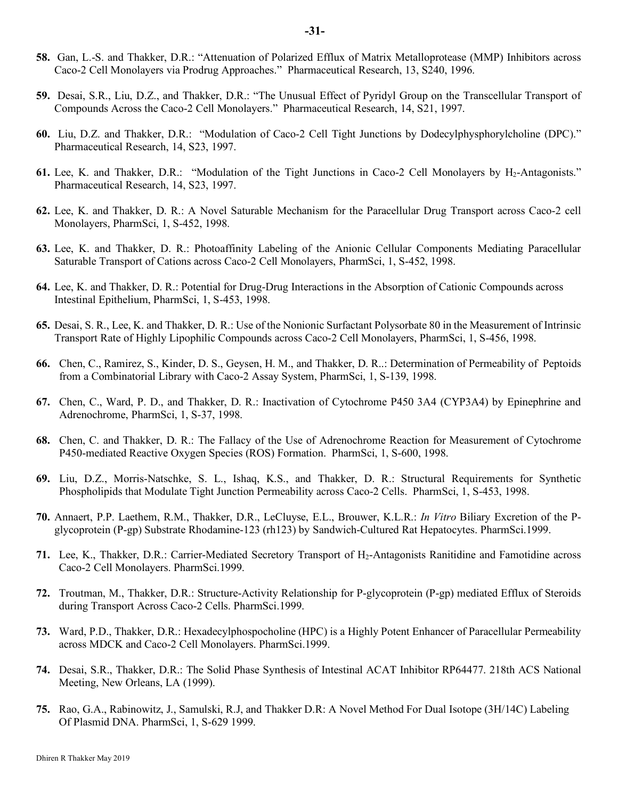- **58.** Gan, L.-S. and Thakker, D.R.: "Attenuation of Polarized Efflux of Matrix Metalloprotease (MMP) Inhibitors across Caco-2 Cell Monolayers via Prodrug Approaches." Pharmaceutical Research, 13, S240, 1996.
- **59.** Desai, S.R., Liu, D.Z., and Thakker, D.R.: "The Unusual Effect of Pyridyl Group on the Transcellular Transport of Compounds Across the Caco-2 Cell Monolayers." Pharmaceutical Research, 14, S21, 1997.
- **60.** Liu, D.Z. and Thakker, D.R.: "Modulation of Caco-2 Cell Tight Junctions by Dodecylphysphorylcholine (DPC)." Pharmaceutical Research, 14, S23, 1997.
- **61.** Lee, K. and Thakker, D.R.: "Modulation of the Tight Junctions in Caco-2 Cell Monolayers by H<sub>2</sub>-Antagonists." Pharmaceutical Research, 14, S23, 1997.
- **62.** Lee, K. and Thakker, D. R.: A Novel Saturable Mechanism for the Paracellular Drug Transport across Caco-2 cell Monolayers, PharmSci, 1, S-452, 1998.
- **63.** Lee, K. and Thakker, D. R.: Photoaffinity Labeling of the Anionic Cellular Components Mediating Paracellular Saturable Transport of Cations across Caco-2 Cell Monolayers, PharmSci, 1, S-452, 1998.
- **64.** Lee, K. and Thakker, D. R.: Potential for Drug-Drug Interactions in the Absorption of Cationic Compounds across Intestinal Epithelium, PharmSci, 1, S-453, 1998.
- **65.** Desai, S. R., Lee, K. and Thakker, D. R.: Use of the Nonionic Surfactant Polysorbate 80 in the Measurement of Intrinsic Transport Rate of Highly Lipophilic Compounds across Caco-2 Cell Monolayers, PharmSci, 1, S-456, 1998.
- **66.** Chen, C., Ramirez, S., Kinder, D. S., Geysen, H. M., and Thakker, D. R..: Determination of Permeability of Peptoids from a Combinatorial Library with Caco-2 Assay System, PharmSci, 1, S-139, 1998.
- **67.** Chen, C., Ward, P. D., and Thakker, D. R.: Inactivation of Cytochrome P450 3A4 (CYP3A4) by Epinephrine and Adrenochrome, PharmSci, 1, S-37, 1998.
- **68.** Chen, C. and Thakker, D. R.: The Fallacy of the Use of Adrenochrome Reaction for Measurement of Cytochrome P450-mediated Reactive Oxygen Species (ROS) Formation. PharmSci, 1, S-600, 1998.
- **69.** Liu, D.Z., Morris-Natschke, S. L., Ishaq, K.S., and Thakker, D. R.: Structural Requirements for Synthetic Phospholipids that Modulate Tight Junction Permeability across Caco-2 Cells. PharmSci, 1, S-453, 1998.
- **70.** Annaert, P.P. Laethem, R.M., Thakker, D.R., LeCluyse, E.L., Brouwer, K.L.R.: *In Vitro* Biliary Excretion of the Pglycoprotein (P-gp) Substrate Rhodamine-123 (rh123) by Sandwich-Cultured Rat Hepatocytes. PharmSci.1999.
- 71. Lee, K., Thakker, D.R.: Carrier-Mediated Secretory Transport of H<sub>2</sub>-Antagonists Ranitidine and Famotidine across Caco-2 Cell Monolayers. PharmSci.1999.
- **72.** Troutman, M., Thakker, D.R.: Structure-Activity Relationship for P-glycoprotein (P-gp) mediated Efflux of Steroids during Transport Across Caco-2 Cells. PharmSci.1999.
- **73.** Ward, P.D., Thakker, D.R.: Hexadecylphospocholine (HPC) is a Highly Potent Enhancer of Paracellular Permeability across MDCK and Caco-2 Cell Monolayers. PharmSci.1999.
- **74.** Desai, S.R., Thakker, D.R.: The Solid Phase Synthesis of Intestinal ACAT Inhibitor RP64477. 218th ACS National Meeting, New Orleans, LA (1999).
- **75.** Rao, G.A., Rabinowitz, J., Samulski, R.J, and Thakker D.R: A Novel Method For Dual Isotope (3H/14C) Labeling Of Plasmid DNA. PharmSci, 1, S-629 1999.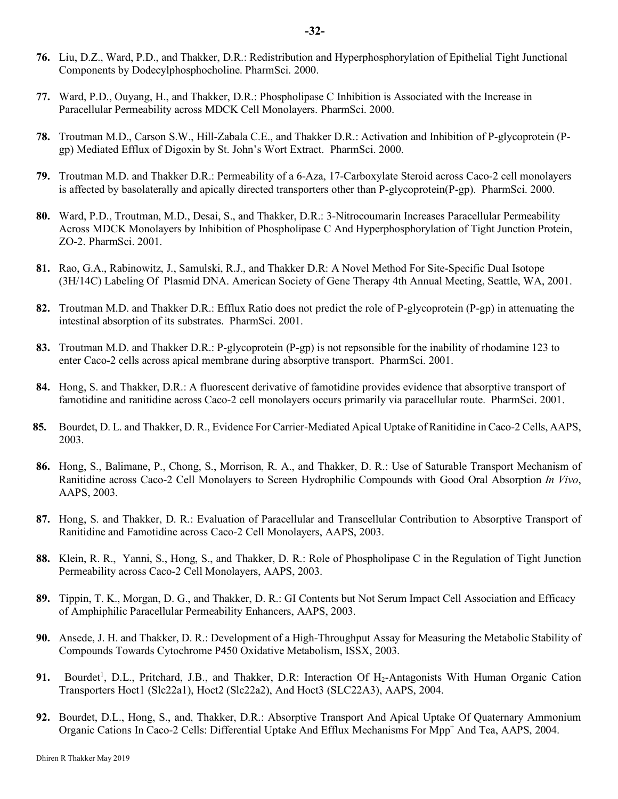- **76.** Liu, D.Z., Ward, P.D., and Thakker, D.R.: Redistribution and Hyperphosphorylation of Epithelial Tight Junctional Components by Dodecylphosphocholine. PharmSci. 2000.
- **77.** Ward, P.D., Ouyang, H., and Thakker, D.R.: Phospholipase C Inhibition is Associated with the Increase in Paracellular Permeability across MDCK Cell Monolayers. PharmSci. 2000.
- **78.** Troutman M.D., Carson S.W., Hill-Zabala C.E., and Thakker D.R.: Activation and Inhibition of P-glycoprotein (Pgp) Mediated Efflux of Digoxin by St. John's Wort Extract. PharmSci. 2000.
- **79.** Troutman M.D. and Thakker D.R.: Permeability of a 6-Aza, 17-Carboxylate Steroid across Caco-2 cell monolayers is affected by basolaterally and apically directed transporters other than P-glycoprotein(P-gp). PharmSci. 2000.
- **80.** Ward, P.D., Troutman, M.D., Desai, S., and Thakker, D.R.: 3-Nitrocoumarin Increases Paracellular Permeability Across MDCK Monolayers by Inhibition of Phospholipase C And Hyperphosphorylation of Tight Junction Protein, ZO-2. PharmSci. 2001.
- **81.** Rao, G.A., Rabinowitz, J., Samulski, R.J., and Thakker D.R: A Novel Method For Site-Specific Dual Isotope (3H/14C) Labeling Of Plasmid DNA. American Society of Gene Therapy 4th Annual Meeting, Seattle, WA, 2001.
- **82.** Troutman M.D. and Thakker D.R.: Efflux Ratio does not predict the role of P-glycoprotein (P-gp) in attenuating the intestinal absorption of its substrates. PharmSci. 2001.
- **83.** Troutman M.D. and Thakker D.R.: P-glycoprotein (P-gp) is not repsonsible for the inability of rhodamine 123 to enter Caco-2 cells across apical membrane during absorptive transport. PharmSci. 2001.
- **84.** Hong, S. and Thakker, D.R.: A fluorescent derivative of famotidine provides evidence that absorptive transport of famotidine and ranitidine across Caco-2 cell monolayers occurs primarily via paracellular route. PharmSci. 2001.
- **85.** Bourdet, D. L. and Thakker, D. R., Evidence For Carrier-Mediated Apical Uptake of Ranitidine in Caco-2 Cells, AAPS, 2003.
- **86.** Hong, S., Balimane, P., Chong, S., Morrison, R. A., and Thakker, D. R.: Use of Saturable Transport Mechanism of Ranitidine across Caco-2 Cell Monolayers to Screen Hydrophilic Compounds with Good Oral Absorption *In Vivo*, AAPS, 2003.
- **87.** Hong, S. and Thakker, D. R.: Evaluation of Paracellular and Transcellular Contribution to Absorptive Transport of Ranitidine and Famotidine across Caco-2 Cell Monolayers, AAPS, 2003.
- **88.** Klein, R. R., Yanni, S., Hong, S., and Thakker, D. R.: Role of Phospholipase C in the Regulation of Tight Junction Permeability across Caco-2 Cell Monolayers, AAPS, 2003.
- **89.** Tippin, T. K., Morgan, D. G., and Thakker, D. R.: GI Contents but Not Serum Impact Cell Association and Efficacy of Amphiphilic Paracellular Permeability Enhancers, AAPS, 2003.
- **90.** Ansede, J. H. and Thakker, D. R.: Development of a High-Throughput Assay for Measuring the Metabolic Stability of Compounds Towards Cytochrome P450 Oxidative Metabolism, ISSX, 2003.
- 91. Bourdet<sup>1</sup>, D.L., Pritchard, J.B., and Thakker, D.R: Interaction Of H<sub>2</sub>-Antagonists With Human Organic Cation Transporters Hoct1 (Slc22a1), Hoct2 (Slc22a2), And Hoct3 (SLC22A3), AAPS, 2004.
- **92.** Bourdet, D.L., Hong, S., and, Thakker, D.R.: Absorptive Transport And Apical Uptake Of Quaternary Ammonium Organic Cations In Caco-2 Cells: Differential Uptake And Efflux Mechanisms For Mpp<sup>+</sup> And Tea, AAPS, 2004.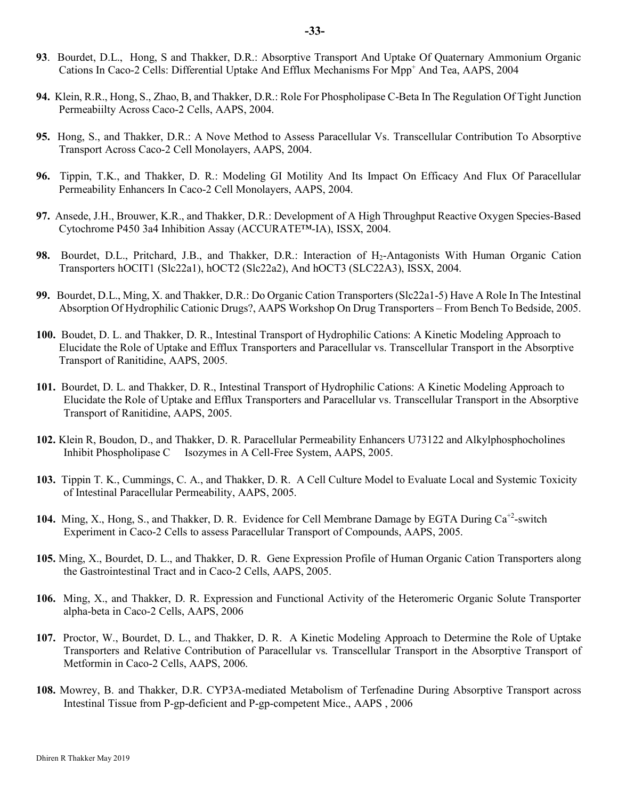- **93**. Bourdet, D.L., Hong, S and Thakker, D.R.: Absorptive Transport And Uptake Of Quaternary Ammonium Organic Cations In Caco-2 Cells: Differential Uptake And Efflux Mechanisms For Mpp<sup>+</sup> And Tea, AAPS, 2004
- **94.** Klein, R.R., Hong, S., Zhao, B, and Thakker, D.R.: Role For Phospholipase C-Beta In The Regulation Of Tight Junction Permeabiilty Across Caco-2 Cells, AAPS, 2004.
- **95.** Hong, S., and Thakker, D.R.: A Nove Method to Assess Paracellular Vs. Transcellular Contribution To Absorptive Transport Across Caco-2 Cell Monolayers, AAPS, 2004.
- **96.** Tippin, T.K., and Thakker, D. R.: Modeling GI Motility And Its Impact On Efficacy And Flux Of Paracellular Permeability Enhancers In Caco-2 Cell Monolayers, AAPS, 2004.
- **97.** Ansede, J.H., Brouwer, K.R., and Thakker, D.R.: Development of A High Throughput Reactive Oxygen Species-Based Cytochrome P450 3a4 Inhibition Assay (ACCURATE™-IA), ISSX, 2004.
- **98.** Bourdet, D.L., Pritchard, J.B., and Thakker, D.R.: Interaction of H<sub>2</sub>-Antagonists With Human Organic Cation Transporters hOCIT1 (Slc22a1), hOCT2 (Slc22a2), And hOCT3 (SLC22A3), ISSX, 2004.
- **99.** Bourdet, D.L., Ming, X. and Thakker, D.R.: Do Organic Cation Transporters (Slc22a1-5) Have A Role In The Intestinal Absorption Of Hydrophilic Cationic Drugs?, AAPS Workshop On Drug Transporters – From Bench To Bedside, 2005.
- **100.** Boudet, D. L. and Thakker, D. R., Intestinal Transport of Hydrophilic Cations: A Kinetic Modeling Approach to Elucidate the Role of Uptake and Efflux Transporters and Paracellular vs. Transcellular Transport in the Absorptive Transport of Ranitidine, AAPS, 2005.
- **101.** Bourdet, D. L. and Thakker, D. R., Intestinal Transport of Hydrophilic Cations: A Kinetic Modeling Approach to Elucidate the Role of Uptake and Efflux Transporters and Paracellular vs. Transcellular Transport in the Absorptive Transport of Ranitidine, AAPS, 2005.
- **102.** Klein R, Boudon, D., and Thakker, D. R. Paracellular Permeability Enhancers U73122 and Alkylphosphocholines Inhibit Phospholipase C Isozymes in A Cell-Free System, AAPS, 2005.
- **103.** Tippin T. K., Cummings, C. A., and Thakker, D. R. A Cell Culture Model to Evaluate Local and Systemic Toxicity of Intestinal Paracellular Permeability, AAPS, 2005.
- **104.** Ming, X., Hong, S., and Thakker, D. R. Evidence for Cell Membrane Damage by EGTA During Ca<sup>+2</sup>-switch Experiment in Caco-2 Cells to assess Paracellular Transport of Compounds, AAPS, 2005.
- **105.** Ming, X., Bourdet, D. L., and Thakker, D. R. Gene Expression Profile of Human Organic Cation Transporters along the Gastrointestinal Tract and in Caco-2 Cells, AAPS, 2005.
- **106.** Ming, X., and Thakker, D. R. Expression and Functional Activity of the Heteromeric Organic Solute Transporter alpha-beta in Caco-2 Cells, AAPS, 2006
- **107.** Proctor, W., Bourdet, D. L., and Thakker, D. R. A Kinetic Modeling Approach to Determine the Role of Uptake Transporters and Relative Contribution of Paracellular vs. Transcellular Transport in the Absorptive Transport of Metformin in Caco-2 Cells, AAPS, 2006.
- **108.** Mowrey, B. and Thakker, D.R. CYP3A-mediated Metabolism of Terfenadine During Absorptive Transport across Intestinal Tissue from P-gp-deficient and P-gp-competent Mice., AAPS , 2006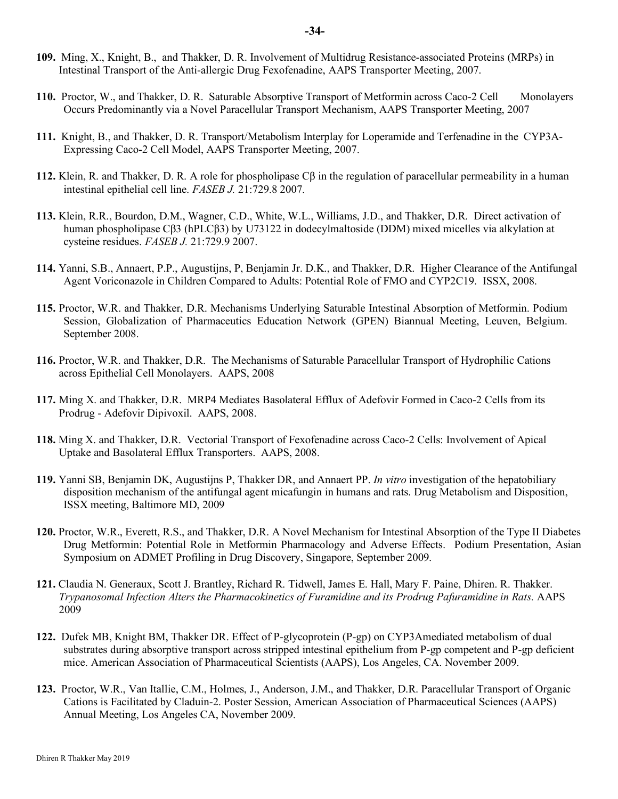- **109.** Ming, X., Knight, B., and Thakker, D. R. Involvement of Multidrug Resistance-associated Proteins (MRPs) in Intestinal Transport of the Anti-allergic Drug Fexofenadine, AAPS Transporter Meeting, 2007.
- **110.** Proctor, W., and Thakker, D. R. Saturable Absorptive Transport of Metformin across Caco-2 Cell Monolayers Occurs Predominantly via a Novel Paracellular Transport Mechanism, AAPS Transporter Meeting, 2007
- **111.** Knight, B., and Thakker, D. R. Transport/Metabolism Interplay for Loperamide and Terfenadine in the CYP3A-Expressing Caco-2 Cell Model, AAPS Transporter Meeting, 2007.
- **112.** Klein, R. and Thakker, D. R. A role for phospholipase Cβ in the regulation of paracellular permeability in a human intestinal epithelial cell line. *FASEB J.* 21:729.8 2007.
- **113.** Klein, R.R., Bourdon, D.M., Wagner, C.D., White, W.L., Williams, J.D., and Thakker, D.R. Direct activation of human phospholipase Cβ3 (hPLCβ3) by U73122 in dodecylmaltoside (DDM) mixed micelles via alkylation at cysteine residues. *FASEB J.* 21:729.9 2007.
- **114.** Yanni, S.B., Annaert, P.P., Augustijns, P, Benjamin Jr. D.K., and Thakker, D.R. Higher Clearance of the Antifungal Agent Voriconazole in Children Compared to Adults: Potential Role of FMO and CYP2C19. ISSX, 2008.
- **115.** Proctor, W.R. and Thakker, D.R. Mechanisms Underlying Saturable Intestinal Absorption of Metformin. Podium Session, Globalization of Pharmaceutics Education Network (GPEN) Biannual Meeting, Leuven, Belgium. September 2008.
- **116.** Proctor, W.R. and Thakker, D.R. The Mechanisms of Saturable Paracellular Transport of Hydrophilic Cations across Epithelial Cell Monolayers. AAPS, 2008
- **117.** Ming X. and Thakker, D.R. MRP4 Mediates Basolateral Efflux of Adefovir Formed in Caco-2 Cells from its Prodrug - Adefovir Dipivoxil. AAPS, 2008.
- **118.** Ming X. and Thakker, D.R. Vectorial Transport of Fexofenadine across Caco-2 Cells: Involvement of Apical Uptake and Basolateral Efflux Transporters. AAPS, 2008.
- **119.** Yanni SB, Benjamin DK, Augustijns P, Thakker DR, and Annaert PP. *In vitro* investigation of the hepatobiliary disposition mechanism of the antifungal agent micafungin in humans and rats. Drug Metabolism and Disposition, ISSX meeting, Baltimore MD, 2009
- **120.** Proctor, W.R., Everett, R.S., and Thakker, D.R. A Novel Mechanism for Intestinal Absorption of the Type II Diabetes Drug Metformin: Potential Role in Metformin Pharmacology and Adverse Effects. Podium Presentation, Asian Symposium on ADMET Profiling in Drug Discovery, Singapore, September 2009.
- **121.** Claudia N. Generaux, Scott J. Brantley, Richard R. Tidwell, James E. Hall, Mary F. Paine, Dhiren. R. Thakker. *Trypanosomal Infection Alters the Pharmacokinetics of Furamidine and its Prodrug Pafuramidine in Rats.* AAPS 2009
- **122.** Dufek MB, Knight BM, Thakker DR. Effect of P-glycoprotein (P-gp) on CYP3Amediated metabolism of dual substrates during absorptive transport across stripped intestinal epithelium from P-gp competent and P-gp deficient mice. American Association of Pharmaceutical Scientists (AAPS), Los Angeles, CA. November 2009.
- **123.** Proctor, W.R., Van Itallie, C.M., Holmes, J., Anderson, J.M., and Thakker, D.R. Paracellular Transport of Organic Cations is Facilitated by Claduin-2. Poster Session, American Association of Pharmaceutical Sciences (AAPS) Annual Meeting, Los Angeles CA, November 2009.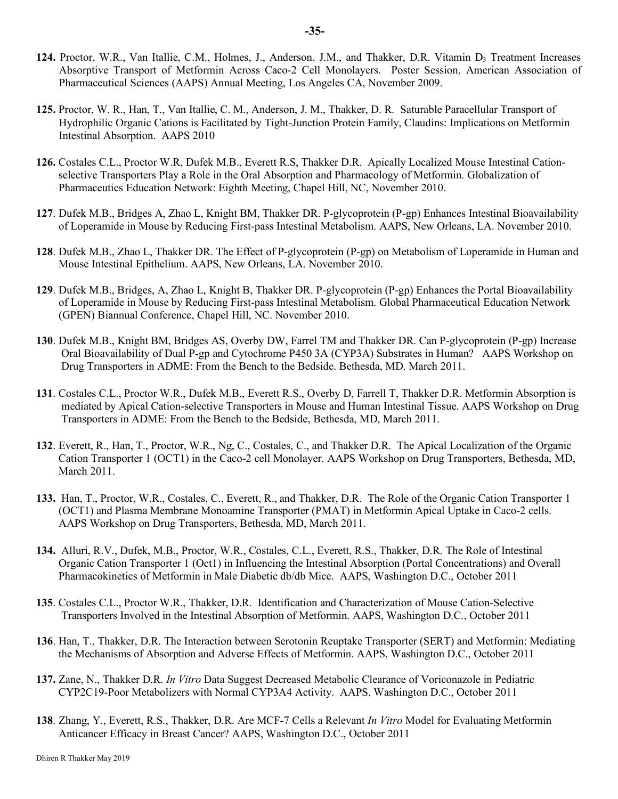- 124. Proctor, W.R., Van Itallie, C.M., Holmes, J., Anderson, J.M., and Thakker, D.R. Vitamin D<sub>3</sub> Treatment Increases Absorptive Transport of Metformin Across Caco-2 Cell Monolayers. Poster Session, American Association of Pharmaceutical Sciences (AAPS) Annual Meeting, Los Angeles CA, November 2009.
- **125.** Proctor, W. R., Han, T., Van Itallie, C. M., Anderson, J. M., Thakker, D. R. Saturable Paracellular Transport of Hydrophilic Organic Cations is Facilitated by Tight-Junction Protein Family, Claudins: Implications on Metformin Intestinal Absorption. AAPS 2010
- **126.** Costales C.L., Proctor W.R, Dufek M.B., Everett R.S, Thakker D.R. Apically Localized Mouse Intestinal Cation selective Transporters Play a Role in the Oral Absorption and Pharmacology of Metformin. Globalization of Pharmaceutics Education Network: Eighth Meeting, Chapel Hill, NC, November 2010.
- **127**. Dufek M.B., Bridges A, Zhao L, Knight BM, Thakker DR. P-glycoprotein (P-gp) Enhances Intestinal Bioavailability of Loperamide in Mouse by Reducing First-pass Intestinal Metabolism. AAPS, New Orleans, LA. November 2010.
- **128**. Dufek M.B., Zhao L, Thakker DR. The Effect of P-glycoprotein (P-gp) on Metabolism of Loperamide in Human and Mouse Intestinal Epithelium. AAPS, New Orleans, LA. November 2010.
- **129**. Dufek M.B., Bridges, A, Zhao L, Knight B, Thakker DR. P-glycoprotein (P-gp) Enhances the Portal Bioavailability of Loperamide in Mouse by Reducing First-pass Intestinal Metabolism. Global Pharmaceutical Education Network (GPEN) Biannual Conference, Chapel Hill, NC. November 2010.
- **130**. Dufek M.B., Knight BM, Bridges AS, Overby DW, Farrel TM and Thakker DR. Can P-glycoprotein (P-gp) Increase Oral Bioavailability of Dual P-gp and Cytochrome P450 3A (CYP3A) Substrates in Human? AAPS Workshop on Drug Transporters in ADME: From the Bench to the Bedside. Bethesda, MD. March 2011.
- **131**. Costales C.L., Proctor W.R., Dufek M.B., Everett R.S., Overby D, Farrell T, Thakker D.R. Metformin Absorption is mediated by Apical Cation-selective Transporters in Mouse and Human Intestinal Tissue. AAPS Workshop on Drug Transporters in ADME: From the Bench to the Bedside, Bethesda, MD, March 2011.
- **132**. Everett, R., Han, T., Proctor, W.R., Ng, C., Costales, C., and Thakker D.R. The Apical Localization of the Organic Cation Transporter 1 (OCT1) in the Caco-2 cell Monolayer. AAPS Workshop on Drug Transporters, Bethesda, MD, March 2011.
- **133.** Han, T., Proctor, W.R., Costales, C., Everett, R., and Thakker, D.R. The Role of the Organic Cation Transporter 1 (OCT1) and Plasma Membrane Monoamine Transporter (PMAT) in Metformin Apical Uptake in Caco-2 cells. AAPS Workshop on Drug Transporters, Bethesda, MD, March 2011.
- **134.** Alluri, R.V., Dufek, M.B., Proctor, W.R., Costales, C.L., Everett, R.S., Thakker, D.R. The Role of Intestinal Organic Cation Transporter 1 (Oct1) in Influencing the Intestinal Absorption (Portal Concentrations) and Overall Pharmacokinetics of Metformin in Male Diabetic db/db Mice. AAPS, Washington D.C., October 2011
- **135**. Costales C.L., Proctor W.R., Thakker, D.R. Identification and Characterization of Mouse Cation-Selective Transporters Involved in the Intestinal Absorption of Metformin. AAPS, Washington D.C., October 2011
- **136**. Han, T., Thakker, D.R. The Interaction between Serotonin Reuptake Transporter (SERT) and Metformin: Mediating the Mechanisms of Absorption and Adverse Effects of Metformin. AAPS, Washington D.C., October 2011
- **137.** Zane, N., Thakker D.R. *In Vitro* Data Suggest Decreased Metabolic Clearance of Voriconazole in Pediatric CYP2C19-Poor Metabolizers with Normal CYP3A4 Activity. AAPS, Washington D.C., October 2011
- **138**. Zhang, Y., Everett, R.S., Thakker, D.R. Are MCF-7 Cells a Relevant *In Vitro* Model for Evaluating Metformin Anticancer Efficacy in Breast Cancer? AAPS, Washington D.C., October 2011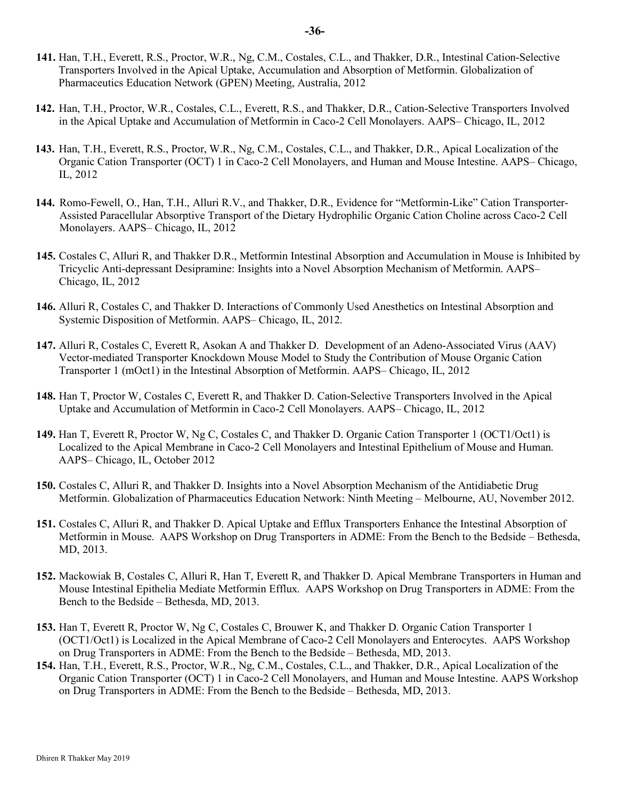- **141.** Han, T.H., Everett, R.S., Proctor, W.R., Ng, C.M., Costales, C.L., and Thakker, D.R., Intestinal Cation-Selective Transporters Involved in the Apical Uptake, Accumulation and Absorption of Metformin. Globalization of Pharmaceutics Education Network (GPEN) Meeting, Australia, 2012
- **142.** Han, T.H., Proctor, W.R., Costales, C.L., Everett, R.S., and Thakker, D.R., Cation-Selective Transporters Involved in the Apical Uptake and Accumulation of Metformin in Caco-2 Cell Monolayers. AAPS– Chicago, IL, 2012
- **143.** Han, T.H., Everett, R.S., Proctor, W.R., Ng, C.M., Costales, C.L., and Thakker, D.R., Apical Localization of the Organic Cation Transporter (OCT) 1 in Caco-2 Cell Monolayers, and Human and Mouse Intestine. AAPS– Chicago, IL, 2012
- **144.** Romo-Fewell, O., Han, T.H., Alluri R.V., and Thakker, D.R., Evidence for "Metformin-Like" Cation Transporter-Assisted Paracellular Absorptive Transport of the Dietary Hydrophilic Organic Cation Choline across Caco-2 Cell Monolayers. AAPS– Chicago, IL, 2012
- **145.** Costales C, Alluri R, and Thakker D.R., Metformin Intestinal Absorption and Accumulation in Mouse is Inhibited by Tricyclic Anti-depressant Desipramine: Insights into a Novel Absorption Mechanism of Metformin. AAPS– Chicago, IL, 2012
- **146.** Alluri R, Costales C, and Thakker D. Interactions of Commonly Used Anesthetics on Intestinal Absorption and Systemic Disposition of Metformin. AAPS– Chicago, IL, 2012.
- **147.** Alluri R, Costales C, Everett R, Asokan A and Thakker D. Development of an Adeno-Associated Virus (AAV) Vector-mediated Transporter Knockdown Mouse Model to Study the Contribution of Mouse Organic Cation Transporter 1 (mOct1) in the Intestinal Absorption of Metformin. AAPS– Chicago, IL, 2012
- **148.** Han T, Proctor W, Costales C, Everett R, and Thakker D. Cation-Selective Transporters Involved in the Apical Uptake and Accumulation of Metformin in Caco-2 Cell Monolayers. AAPS– Chicago, IL, 2012
- **149.** Han T, Everett R, Proctor W, Ng C, Costales C, and Thakker D. Organic Cation Transporter 1 (OCT1/Oct1) is Localized to the Apical Membrane in Caco-2 Cell Monolayers and Intestinal Epithelium of Mouse and Human. AAPS– Chicago, IL, October 2012
- **150.** Costales C, Alluri R, and Thakker D. Insights into a Novel Absorption Mechanism of the Antidiabetic Drug Metformin. Globalization of Pharmaceutics Education Network: Ninth Meeting – Melbourne, AU, November 2012.
- **151.** Costales C, Alluri R, and Thakker D. Apical Uptake and Efflux Transporters Enhance the Intestinal Absorption of Metformin in Mouse. AAPS Workshop on Drug Transporters in ADME: From the Bench to the Bedside *–* Bethesda, MD, 2013.
- **152.** Mackowiak B, Costales C, Alluri R, Han T, Everett R, and Thakker D. Apical Membrane Transporters in Human and Mouse Intestinal Epithelia Mediate Metformin Efflux. AAPS Workshop on Drug Transporters in ADME: From the Bench to the Bedside *–* Bethesda, MD, 2013.
- **153.** Han T, Everett R, Proctor W, Ng C, Costales C, Brouwer K, and Thakker D. Organic Cation Transporter 1 (OCT1/Oct1) is Localized in the Apical Membrane of Caco-2 Cell Monolayers and Enterocytes. AAPS Workshop on Drug Transporters in ADME: From the Bench to the Bedside *–* Bethesda, MD, 2013.
- **154.** Han, T.H., Everett, R.S., Proctor, W.R., Ng, C.M., Costales, C.L., and Thakker, D.R., Apical Localization of the Organic Cation Transporter (OCT) 1 in Caco-2 Cell Monolayers, and Human and Mouse Intestine. AAPS Workshop on Drug Transporters in ADME: From the Bench to the Bedside *–* Bethesda, MD, 2013.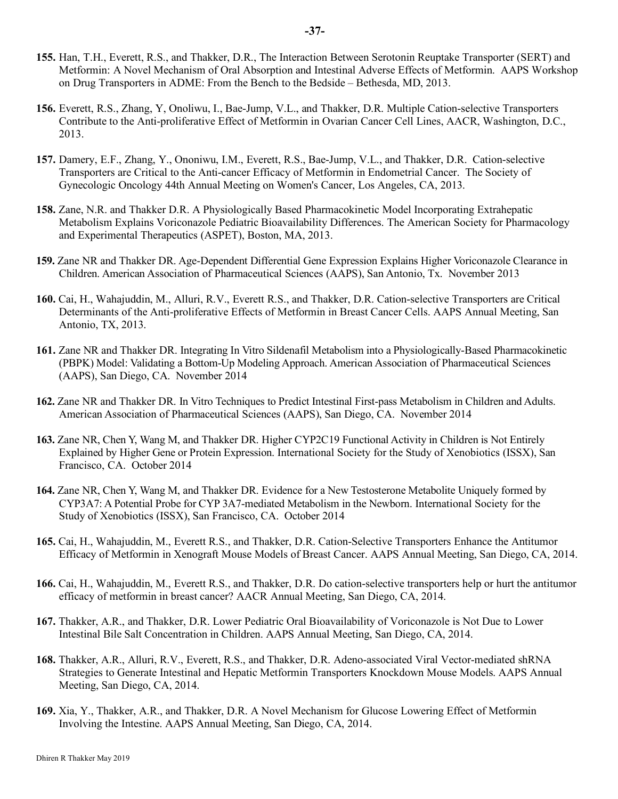- **155.** Han, T.H., Everett, R.S., and Thakker, D.R., The Interaction Between Serotonin Reuptake Transporter (SERT) and Metformin: A Novel Mechanism of Oral Absorption and Intestinal Adverse Effects of Metformin. AAPS Workshop on Drug Transporters in ADME: From the Bench to the Bedside *–* Bethesda, MD, 2013.
- **156.** Everett, R.S., Zhang, Y, Onoliwu, I., Bae-Jump, V.L., and Thakker, D.R. Multiple Cation-selective Transporters Contribute to the Anti-proliferative Effect of Metformin in Ovarian Cancer Cell Lines, AACR, Washington, D.C., 2013.
- **157.** Damery, E.F., Zhang, Y., Ononiwu, I.M., Everett, R.S., Bae-Jump, V.L., and Thakker, D.R. Cation-selective Transporters are Critical to the Anti-cancer Efficacy of Metformin in Endometrial Cancer. The Society of Gynecologic Oncology 44th Annual Meeting on Women's Cancer, Los Angeles, CA, 2013.
- **158.** Zane, N.R. and Thakker D.R. A Physiologically Based Pharmacokinetic Model Incorporating Extrahepatic Metabolism Explains Voriconazole Pediatric Bioavailability Differences. The American Society for Pharmacology and Experimental Therapeutics (ASPET), Boston, MA, 2013.
- **159.** Zane NR and Thakker DR. Age-Dependent Differential Gene Expression Explains Higher Voriconazole Clearance in Children. American Association of Pharmaceutical Sciences (AAPS), San Antonio, Tx. November 2013
- **160.** Cai, H., Wahajuddin, M., Alluri, R.V., Everett R.S., and Thakker, D.R. Cation-selective Transporters are Critical Determinants of the Anti-proliferative Effects of Metformin in Breast Cancer Cells. AAPS Annual Meeting, San Antonio, TX, 2013.
- **161.** Zane NR and Thakker DR. Integrating In Vitro Sildenafil Metabolism into a Physiologically-Based Pharmacokinetic (PBPK) Model: Validating a Bottom-Up Modeling Approach. American Association of Pharmaceutical Sciences (AAPS), San Diego, CA. November 2014
- **162.** Zane NR and Thakker DR. In Vitro Techniques to Predict Intestinal First-pass Metabolism in Children and Adults. American Association of Pharmaceutical Sciences (AAPS), San Diego, CA. November 2014
- **163.** Zane NR, Chen Y, Wang M, and Thakker DR. Higher CYP2C19 Functional Activity in Children is Not Entirely Explained by Higher Gene or Protein Expression. International Society for the Study of Xenobiotics (ISSX), San Francisco, CA. October 2014
- **164.** Zane NR, Chen Y, Wang M, and Thakker DR. Evidence for a New Testosterone Metabolite Uniquely formed by CYP3A7: A Potential Probe for CYP 3A7-mediated Metabolism in the Newborn. International Society for the Study of Xenobiotics (ISSX), San Francisco, CA. October 2014
- **165.** Cai, H., Wahajuddin, M., Everett R.S., and Thakker, D.R. Cation-Selective Transporters Enhance the Antitumor Efficacy of Metformin in Xenograft Mouse Models of Breast Cancer. AAPS Annual Meeting, San Diego, CA, 2014.
- **166.** Cai, H., Wahajuddin, M., Everett R.S., and Thakker, D.R. Do cation-selective transporters help or hurt the antitumor efficacy of metformin in breast cancer? AACR Annual Meeting, San Diego, CA, 2014.
- **167.** Thakker, A.R., and Thakker, D.R. Lower Pediatric Oral Bioavailability of Voriconazole is Not Due to Lower Intestinal Bile Salt Concentration in Children. AAPS Annual Meeting, San Diego, CA, 2014.
- **168.** Thakker, A.R., Alluri, R.V., Everett, R.S., and Thakker, D.R. Adeno-associated Viral Vector-mediated shRNA Strategies to Generate Intestinal and Hepatic Metformin Transporters Knockdown Mouse Models. AAPS Annual Meeting, San Diego, CA, 2014.
- **169.** Xia, Y., Thakker, A.R., and Thakker, D.R. A Novel Mechanism for Glucose Lowering Effect of Metformin Involving the Intestine. AAPS Annual Meeting, San Diego, CA, 2014.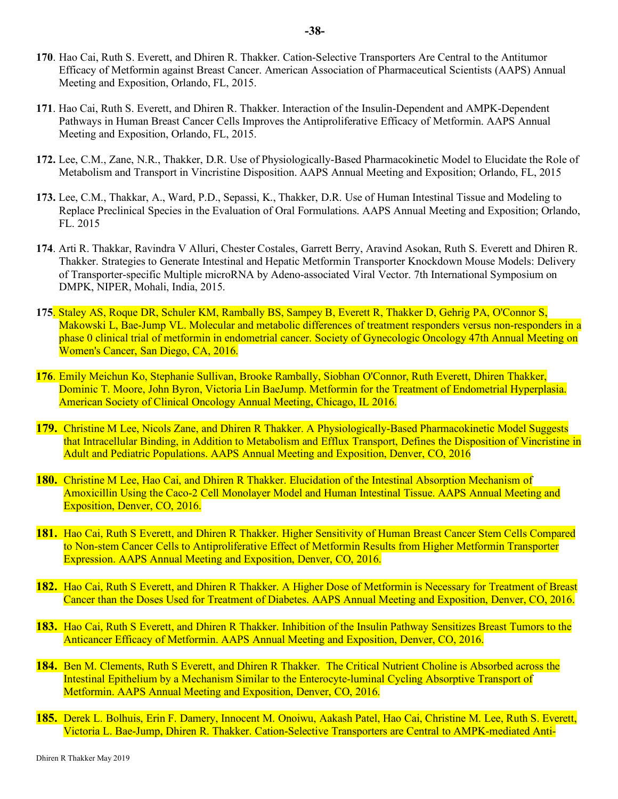- **170**. Hao Cai, Ruth S. Everett, and Dhiren R. Thakker. Cation-Selective Transporters Are Central to the Antitumor Efficacy of Metformin against Breast Cancer. American Association of Pharmaceutical Scientists (AAPS) Annual Meeting and Exposition, Orlando, FL, 2015.
- **171**. Hao Cai, Ruth S. Everett, and Dhiren R. Thakker. Interaction of the Insulin-Dependent and AMPK-Dependent Pathways in Human Breast Cancer Cells Improves the Antiproliferative Efficacy of Metformin. AAPS Annual Meeting and Exposition, Orlando, FL, 2015.
- **172.** Lee, C.M., Zane, N.R., Thakker, D.R. Use of Physiologically-Based Pharmacokinetic Model to Elucidate the Role of Metabolism and Transport in Vincristine Disposition. AAPS Annual Meeting and Exposition; Orlando, FL, 2015
- **173.** Lee, C.M., Thakkar, A., Ward, P.D., Sepassi, K., Thakker, D.R. Use of Human Intestinal Tissue and Modeling to Replace Preclinical Species in the Evaluation of Oral Formulations. AAPS Annual Meeting and Exposition; Orlando, FL. 2015
- **174**. Arti R. Thakkar, Ravindra V Alluri, Chester Costales, Garrett Berry, Aravind Asokan, Ruth S. Everett and Dhiren R. Thakker. Strategies to Generate Intestinal and Hepatic Metformin Transporter Knockdown Mouse Models: Delivery of Transporter-specific Multiple microRNA by Adeno-associated Viral Vector. 7th International Symposium on DMPK, NIPER, Mohali, India, 2015.
- **175**. Staley AS, Roque DR, Schuler KM, Rambally BS, Sampey B, Everett R, Thakker D, Gehrig PA, O'Connor S, Makowski L, Bae-Jump VL. Molecular and metabolic differences of treatment responders versus non-responders in a phase 0 clinical trial of metformin in endometrial cancer. Society of Gynecologic Oncology 47th Annual Meeting on Women's Cancer, San Diego, CA, 2016.
- **176**. Emily Meichun Ko, Stephanie Sullivan, Brooke Rambally, Siobhan O'Connor, Ruth Everett, Dhiren Thakker, Dominic T. Moore, John Byron, Victoria Lin BaeJump. Metformin for the Treatment of Endometrial Hyperplasia. American Society of Clinical Oncology Annual Meeting, Chicago, IL 2016.
- **179.** Christine M Lee, Nicols Zane, and Dhiren R Thakker. A Physiologically-Based Pharmacokinetic Model Suggests that Intracellular Binding, in Addition to Metabolism and Efflux Transport, Defines the Disposition of Vincristine in Adult and Pediatric Populations. AAPS Annual Meeting and Exposition, Denver, CO, 2016
- **180.** Christine M Lee, Hao Cai, and Dhiren R Thakker. Elucidation of the Intestinal Absorption Mechanism of Amoxicillin Using the Caco-2 Cell Monolayer Model and Human Intestinal Tissue. AAPS Annual Meeting and Exposition, Denver, CO, 2016.
- **181.** Hao Cai, Ruth S Everett, and Dhiren R Thakker. Higher Sensitivity of Human Breast Cancer Stem Cells Compared to Non-stem Cancer Cells to Antiproliferative Effect of Metformin Results from Higher Metformin Transporter Expression. AAPS Annual Meeting and Exposition, Denver, CO, 2016.
- **182.** Hao Cai, Ruth S Everett, and Dhiren R Thakker. A Higher Dose of Metformin is Necessary for Treatment of Breast Cancer than the Doses Used for Treatment of Diabetes. AAPS Annual Meeting and Exposition, Denver, CO, 2016.
- **183.** Hao Cai, Ruth S Everett, and Dhiren R Thakker. Inhibition of the Insulin Pathway Sensitizes Breast Tumors to the Anticancer Efficacy of Metformin. AAPS Annual Meeting and Exposition, Denver, CO, 2016.
- **184.** Ben M. Clements, Ruth S Everett, and Dhiren R Thakker. The Critical Nutrient Choline is Absorbed across the Intestinal Epithelium by a Mechanism Similar to the Enterocyte-luminal Cycling Absorptive Transport of Metformin. AAPS Annual Meeting and Exposition, Denver, CO, 2016.
- **185.** Derek L. Bolhuis, Erin F. Damery, Innocent M. Onoiwu, Aakash Patel, Hao Cai, Christine M. Lee, Ruth S. Everett, Victoria L. Bae-Jump, Dhiren R. Thakker. Cation-Selective Transporters are Central to AMPK-mediated Anti-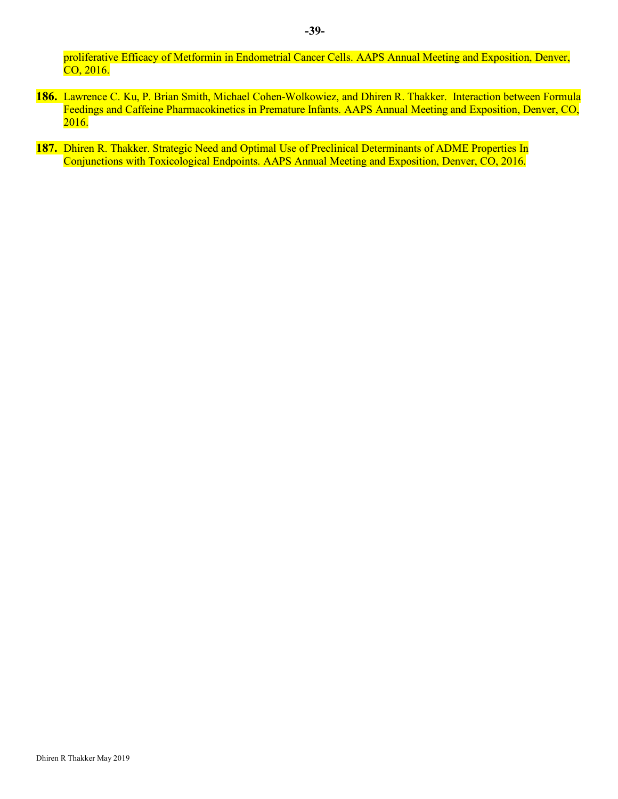proliferative Efficacy of Metformin in Endometrial Cancer Cells. AAPS Annual Meeting and Exposition, Denver, CO, 2016.

- **186.** Lawrence C. Ku, P. Brian Smith, Michael Cohen-Wolkowiez, and Dhiren R. Thakker. Interaction between Formula Feedings and Caffeine Pharmacokinetics in Premature Infants. AAPS Annual Meeting and Exposition, Denver, CO, 2016.
- 187. Dhiren R. Thakker. Strategic Need and Optimal Use of Preclinical Determinants of ADME Properties In Conjunctions with Toxicological Endpoints. AAPS Annual Meeting and Exposition, Denver, CO, 2016.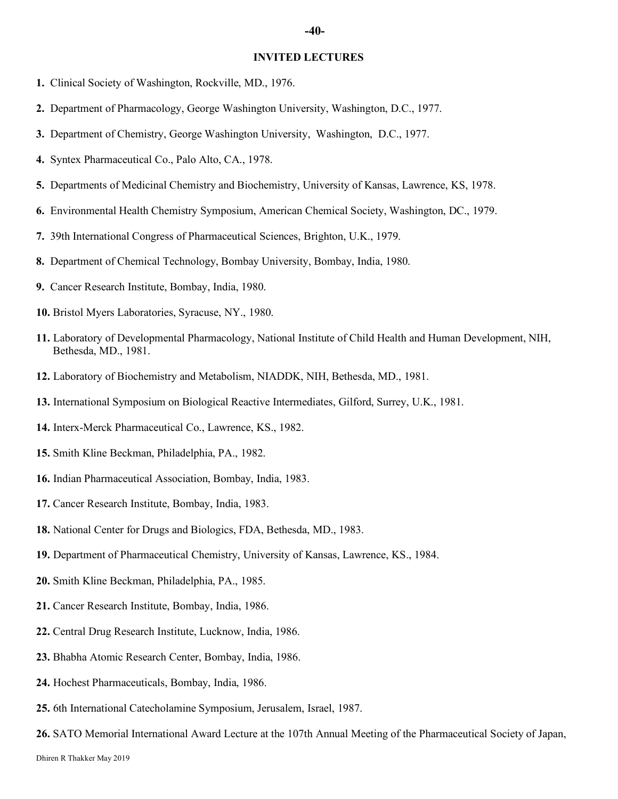#### **-40-**

#### **INVITED LECTURES**

- **1.** Clinical Society of Washington, Rockville, MD., 1976.
- **2.** Department of Pharmacology, George Washington University, Washington, D.C., 1977.
- **3.** Department of Chemistry, George Washington University, Washington, D.C., 1977.
- **4.** Syntex Pharmaceutical Co., Palo Alto, CA., 1978.
- **5.** Departments of Medicinal Chemistry and Biochemistry, University of Kansas, Lawrence, KS, 1978.
- **6.** Environmental Health Chemistry Symposium, American Chemical Society, Washington, DC., 1979.
- **7.** 39th International Congress of Pharmaceutical Sciences, Brighton, U.K., 1979.
- **8.** Department of Chemical Technology, Bombay University, Bombay, India, 1980.
- **9.** Cancer Research Institute, Bombay, India, 1980.
- **10.** Bristol Myers Laboratories, Syracuse, NY., 1980.
- **11.** Laboratory of Developmental Pharmacology, National Institute of Child Health and Human Development, NIH, Bethesda, MD., 1981.
- **12.** Laboratory of Biochemistry and Metabolism, NIADDK, NIH, Bethesda, MD., 1981.
- **13.** International Symposium on Biological Reactive Intermediates, Gilford, Surrey, U.K., 1981.
- **14.** Interx-Merck Pharmaceutical Co., Lawrence, KS., 1982.
- **15.** Smith Kline Beckman, Philadelphia, PA., 1982.
- **16.** Indian Pharmaceutical Association, Bombay, India, 1983.
- **17.** Cancer Research Institute, Bombay, India, 1983.
- **18.** National Center for Drugs and Biologics, FDA, Bethesda, MD., 1983.
- **19.** Department of Pharmaceutical Chemistry, University of Kansas, Lawrence, KS., 1984.
- **20.** Smith Kline Beckman, Philadelphia, PA., 1985.
- **21.** Cancer Research Institute, Bombay, India, 1986.
- **22.** Central Drug Research Institute, Lucknow, India, 1986.
- **23.** Bhabha Atomic Research Center, Bombay, India, 1986.
- **24.** Hochest Pharmaceuticals, Bombay, India, 1986.
- **25.** 6th International Catecholamine Symposium, Jerusalem, Israel, 1987.
- **26.** SATO Memorial International Award Lecture at the 107th Annual Meeting of the Pharmaceutical Society of Japan,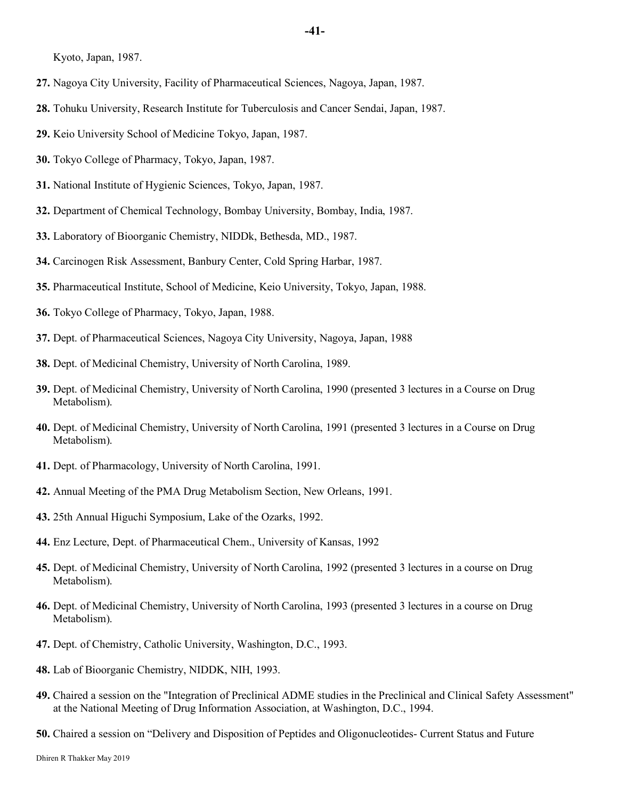Kyoto, Japan, 1987.

- **27.** Nagoya City University, Facility of Pharmaceutical Sciences, Nagoya, Japan, 1987.
- **28.** Tohuku University, Research Institute for Tuberculosis and Cancer Sendai, Japan, 1987.
- **29.** Keio University School of Medicine Tokyo, Japan, 1987.
- **30.** Tokyo College of Pharmacy, Tokyo, Japan, 1987.
- **31.** National Institute of Hygienic Sciences, Tokyo, Japan, 1987.
- **32.** Department of Chemical Technology, Bombay University, Bombay, India, 1987.
- **33.** Laboratory of Bioorganic Chemistry, NIDDk, Bethesda, MD., 1987.
- **34.** Carcinogen Risk Assessment, Banbury Center, Cold Spring Harbar, 1987.
- **35.** Pharmaceutical Institute, School of Medicine, Keio University, Tokyo, Japan, 1988.
- **36.** Tokyo College of Pharmacy, Tokyo, Japan, 1988.
- **37.** Dept. of Pharmaceutical Sciences, Nagoya City University, Nagoya, Japan, 1988
- **38.** Dept. of Medicinal Chemistry, University of North Carolina, 1989.
- **39.** Dept. of Medicinal Chemistry, University of North Carolina, 1990 (presented 3 lectures in a Course on Drug Metabolism).
- **40.** Dept. of Medicinal Chemistry, University of North Carolina, 1991 (presented 3 lectures in a Course on Drug Metabolism).
- **41.** Dept. of Pharmacology, University of North Carolina, 1991.
- **42.** Annual Meeting of the PMA Drug Metabolism Section, New Orleans, 1991.
- **43.** 25th Annual Higuchi Symposium, Lake of the Ozarks, 1992.
- **44.** Enz Lecture, Dept. of Pharmaceutical Chem., University of Kansas, 1992
- **45.** Dept. of Medicinal Chemistry, University of North Carolina, 1992 (presented 3 lectures in a course on Drug Metabolism).
- **46.** Dept. of Medicinal Chemistry, University of North Carolina, 1993 (presented 3 lectures in a course on Drug Metabolism).
- **47.** Dept. of Chemistry, Catholic University, Washington, D.C., 1993.
- **48.** Lab of Bioorganic Chemistry, NIDDK, NIH, 1993.
- **49.** Chaired a session on the "Integration of Preclinical ADME studies in the Preclinical and Clinical Safety Assessment" at the National Meeting of Drug Information Association, at Washington, D.C., 1994.
- **50.** Chaired a session on "Delivery and Disposition of Peptides and Oligonucleotides- Current Status and Future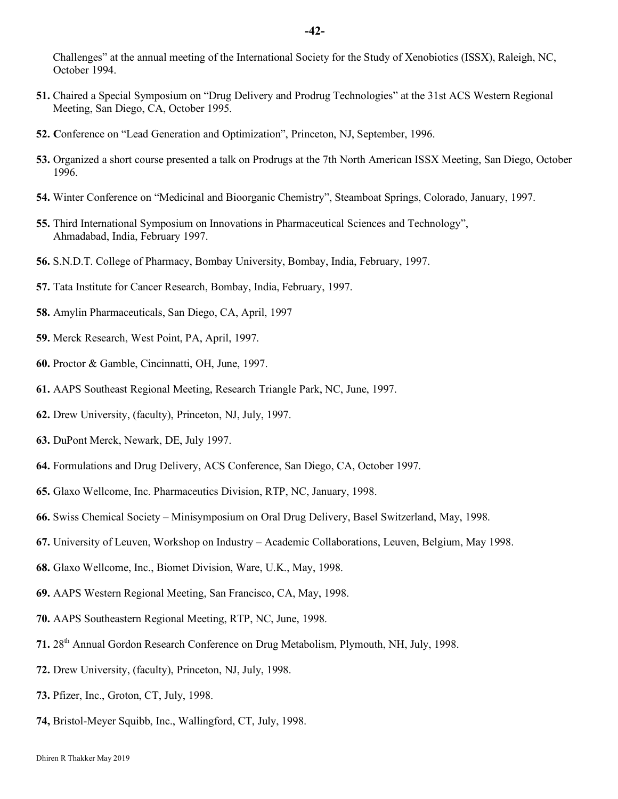Challenges" at the annual meeting of the International Society for the Study of Xenobiotics (ISSX), Raleigh, NC, October 1994.

- **51.** Chaired a Special Symposium on "Drug Delivery and Prodrug Technologies" at the 31st ACS Western Regional Meeting, San Diego, CA, October 1995.
- **52. C**onference on "Lead Generation and Optimization", Princeton, NJ, September, 1996.
- **53.** Organized a short course presented a talk on Prodrugs at the 7th North American ISSX Meeting, San Diego, October 1996.
- **54.** Winter Conference on "Medicinal and Bioorganic Chemistry", Steamboat Springs, Colorado, January, 1997.
- **55.** Third International Symposium on Innovations in Pharmaceutical Sciences and Technology", Ahmadabad, India, February 1997.
- **56.** S.N.D.T. College of Pharmacy, Bombay University, Bombay, India, February, 1997.
- **57.** Tata Institute for Cancer Research, Bombay, India, February, 1997.
- **58.** Amylin Pharmaceuticals, San Diego, CA, April, 1997
- **59.** Merck Research, West Point, PA, April, 1997.
- **60.** Proctor & Gamble, Cincinnatti, OH, June, 1997.
- **61.** AAPS Southeast Regional Meeting, Research Triangle Park, NC, June, 1997.
- **62.** Drew University, (faculty), Princeton, NJ, July, 1997.
- **63.** DuPont Merck, Newark, DE, July 1997.
- **64.** Formulations and Drug Delivery, ACS Conference, San Diego, CA, October 1997.
- **65.** Glaxo Wellcome, Inc. Pharmaceutics Division, RTP, NC, January, 1998.
- **66.** Swiss Chemical Society Minisymposium on Oral Drug Delivery, Basel Switzerland, May, 1998.
- **67.** University of Leuven, Workshop on Industry Academic Collaborations, Leuven, Belgium, May 1998.
- **68.** Glaxo Wellcome, Inc., Biomet Division, Ware, U.K., May, 1998.
- **69.** AAPS Western Regional Meeting, San Francisco, CA, May, 1998.
- **70.** AAPS Southeastern Regional Meeting, RTP, NC, June, 1998.
- 71. 28<sup>th</sup> Annual Gordon Research Conference on Drug Metabolism, Plymouth, NH, July, 1998.
- **72.** Drew University, (faculty), Princeton, NJ, July, 1998.
- **73.** Pfizer, Inc., Groton, CT, July, 1998.
- **74,** Bristol-Meyer Squibb, Inc., Wallingford, CT, July, 1998.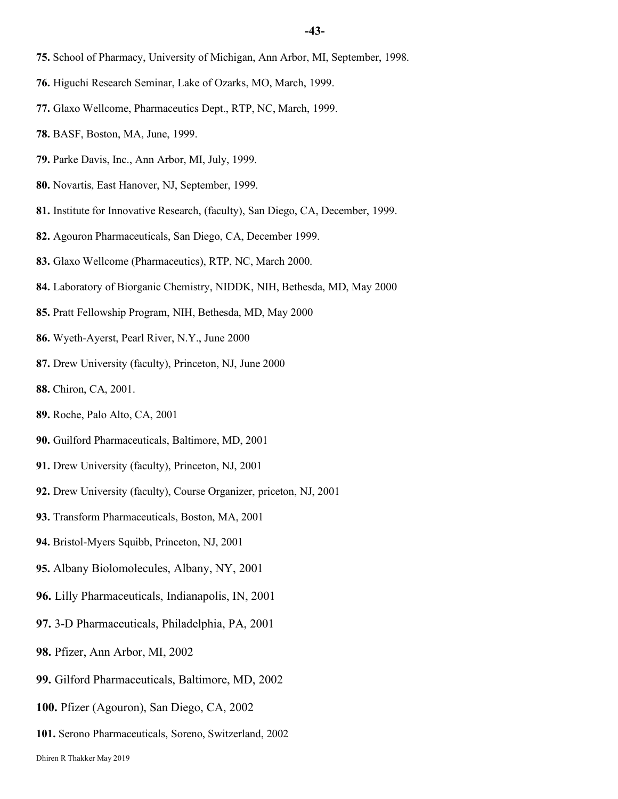- **75.** School of Pharmacy, University of Michigan, Ann Arbor, MI, September, 1998.
- **76.** Higuchi Research Seminar, Lake of Ozarks, MO, March, 1999.
- **77.** Glaxo Wellcome, Pharmaceutics Dept., RTP, NC, March, 1999.
- **78.** BASF, Boston, MA, June, 1999.
- **79.** Parke Davis, Inc., Ann Arbor, MI, July, 1999.
- **80.** Novartis, East Hanover, NJ, September, 1999.
- **81.** Institute for Innovative Research, (faculty), San Diego, CA, December, 1999.
- **82.** Agouron Pharmaceuticals, San Diego, CA, December 1999.
- **83.** Glaxo Wellcome (Pharmaceutics), RTP, NC, March 2000.
- **84.** Laboratory of Biorganic Chemistry, NIDDK, NIH, Bethesda, MD, May 2000
- **85.** Pratt Fellowship Program, NIH, Bethesda, MD, May 2000
- **86.** Wyeth-Ayerst, Pearl River, N.Y., June 2000
- **87.** Drew University (faculty), Princeton, NJ, June 2000
- **88.** Chiron, CA, 2001.
- **89.** Roche, Palo Alto, CA, 2001
- **90.** Guilford Pharmaceuticals, Baltimore, MD, 2001
- **91.** Drew University (faculty), Princeton, NJ, 2001
- **92.** Drew University (faculty), Course Organizer, priceton, NJ, 2001
- **93.** Transform Pharmaceuticals, Boston, MA, 2001
- **94.** Bristol-Myers Squibb, Princeton, NJ, 2001
- **95.** Albany Biolomolecules, Albany, NY, 2001
- **96.** Lilly Pharmaceuticals, Indianapolis, IN, 2001
- **97.** 3-D Pharmaceuticals, Philadelphia, PA, 2001
- **98.** Pfizer, Ann Arbor, MI, 2002
- **99.** Gilford Pharmaceuticals, Baltimore, MD, 2002
- **100.** Pfizer (Agouron), San Diego, CA, 2002
- **101.** Serono Pharmaceuticals, Soreno, Switzerland, 2002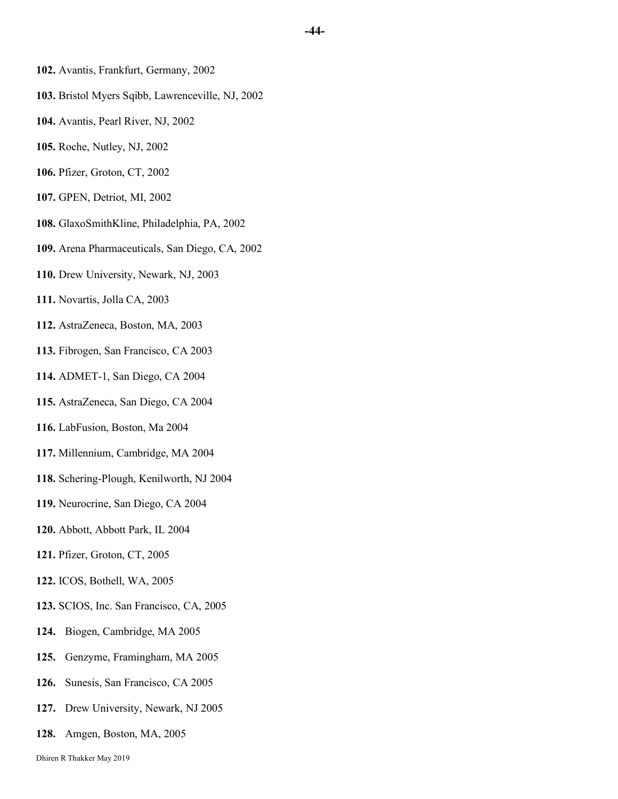- **102.** Avantis, Frankfurt, Germany, 2002
- **103.** Bristol Myers Sqibb, Lawrenceville, NJ, 2002
- **104.** Avantis, Pearl River, NJ, 2002
- **105.** Roche, Nutley, NJ, 2002
- **106.** Pfizer, Groton, CT, 2002
- **107.** GPEN, Detriot, MI, 2002
- **108.** GlaxoSmithKline, Philadelphia, PA, 2002
- **109.** Arena Pharmaceuticals, San Diego, CA, 2002
- **110.** Drew University, Newark, NJ, 2003
- **111.** Novartis, Jolla CA, 2003
- **112.** AstraZeneca, Boston, MA, 2003
- **113.** Fibrogen, San Francisco, CA 2003
- **114.** ADMET-1, San Diego, CA 2004
- **115.** AstraZeneca, San Diego, CA 2004
- **116.** LabFusion, Boston, Ma 2004
- **117.** Millennium, Cambridge, MA 2004
- **118.** Schering-Plough, Kenilworth, NJ 2004
- **119.** Neurocrine, San Diego, CA 2004
- **120.** Abbott, Abbott Park, IL 2004
- **121.** Pfizer, Groton, CT, 2005
- **122.** ICOS, Bothell, WA, 2005
- **123.** SCIOS, Inc. San Francisco, CA, 2005
- **124.** Biogen, Cambridge, MA 2005
- **125.** Genzyme, Framingham, MA 2005
- **126.** Sunesis, San Francisco, CA 2005
- **127.** Drew University, Newark, NJ 2005
- **128.** Amgen, Boston, MA, 2005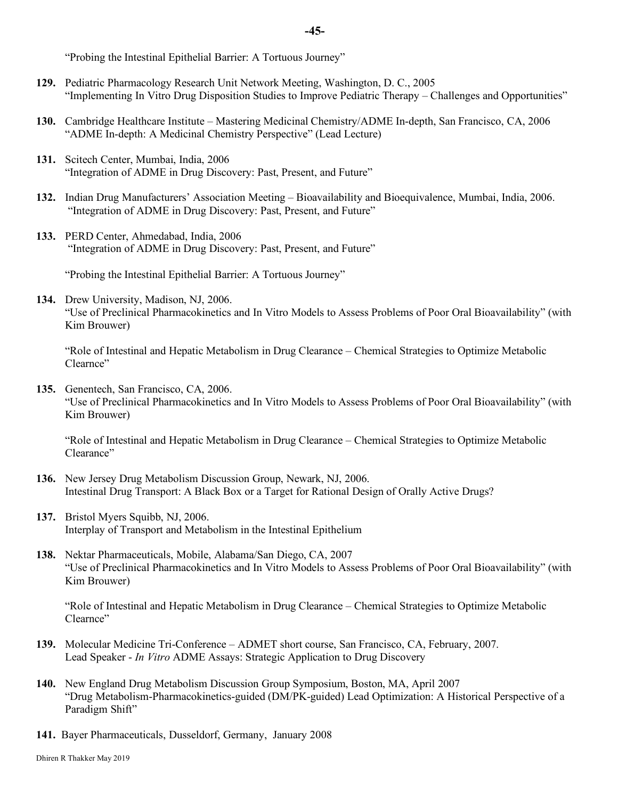"Probing the Intestinal Epithelial Barrier: A Tortuous Journey"

- **129.** Pediatric Pharmacology Research Unit Network Meeting, Washington, D. C., 2005 "Implementing In Vitro Drug Disposition Studies to Improve Pediatric Therapy – Challenges and Opportunities"
- **130.** Cambridge Healthcare Institute Mastering Medicinal Chemistry/ADME In-depth, San Francisco, CA, 2006 "ADME In-depth: A Medicinal Chemistry Perspective" (Lead Lecture)
- **131.** Scitech Center, Mumbai, India, 2006 "Integration of ADME in Drug Discovery: Past, Present, and Future"
- **132.** Indian Drug Manufacturers' Association Meeting Bioavailability and Bioequivalence, Mumbai, India, 2006. "Integration of ADME in Drug Discovery: Past, Present, and Future"
- **133.** PERD Center, Ahmedabad, India, 2006 "Integration of ADME in Drug Discovery: Past, Present, and Future"

"Probing the Intestinal Epithelial Barrier: A Tortuous Journey"

**134.** Drew University, Madison, NJ, 2006. "Use of Preclinical Pharmacokinetics and In Vitro Models to Assess Problems of Poor Oral Bioavailability" (with Kim Brouwer)

"Role of Intestinal and Hepatic Metabolism in Drug Clearance – Chemical Strategies to Optimize Metabolic Clearnce"

**135.** Genentech, San Francisco, CA, 2006. "Use of Preclinical Pharmacokinetics and In Vitro Models to Assess Problems of Poor Oral Bioavailability" (with Kim Brouwer)

"Role of Intestinal and Hepatic Metabolism in Drug Clearance – Chemical Strategies to Optimize Metabolic Clearance"

- **136.** New Jersey Drug Metabolism Discussion Group, Newark, NJ, 2006. Intestinal Drug Transport: A Black Box or a Target for Rational Design of Orally Active Drugs?
- **137.** Bristol Myers Squibb, NJ, 2006. Interplay of Transport and Metabolism in the Intestinal Epithelium
- **138.** Nektar Pharmaceuticals, Mobile, Alabama/San Diego, CA, 2007 "Use of Preclinical Pharmacokinetics and In Vitro Models to Assess Problems of Poor Oral Bioavailability" (with Kim Brouwer)

"Role of Intestinal and Hepatic Metabolism in Drug Clearance – Chemical Strategies to Optimize Metabolic Clearnce"

- **139.** Molecular Medicine Tri-Conference ADMET short course, San Francisco, CA, February, 2007. Lead Speaker - *In Vitro* ADME Assays: Strategic Application to Drug Discovery
- **140.** New England Drug Metabolism Discussion Group Symposium, Boston, MA, April 2007 "Drug Metabolism-Pharmacokinetics-guided (DM/PK-guided) Lead Optimization: A Historical Perspective of a Paradigm Shift"
- **141.** Bayer Pharmaceuticals, Dusseldorf, Germany, January 2008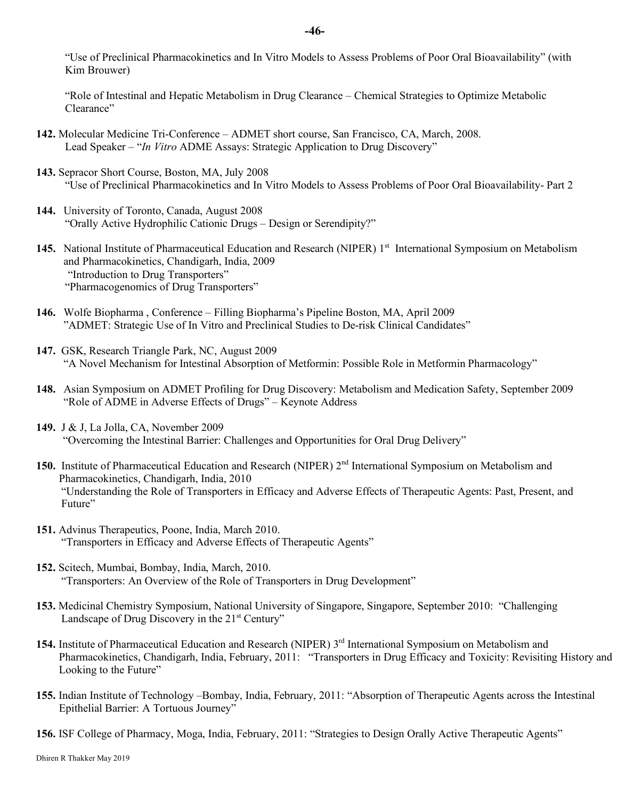"Use of Preclinical Pharmacokinetics and In Vitro Models to Assess Problems of Poor Oral Bioavailability" (with Kim Brouwer)

"Role of Intestinal and Hepatic Metabolism in Drug Clearance – Chemical Strategies to Optimize Metabolic Clearance"

- **142.** Molecular Medicine Tri-Conference ADMET short course, San Francisco, CA, March, 2008. Lead Speaker – "*In Vitro* ADME Assays: Strategic Application to Drug Discovery"
- **143.** Sepracor Short Course, Boston, MA, July 2008 "Use of Preclinical Pharmacokinetics and In Vitro Models to Assess Problems of Poor Oral Bioavailability- Part 2
- **144.** University of Toronto, Canada, August 2008 "Orally Active Hydrophilic Cationic Drugs – Design or Serendipity?"
- 145. National Institute of Pharmaceutical Education and Research (NIPER) 1<sup>st</sup> International Symposium on Metabolism and Pharmacokinetics, Chandigarh, India, 2009 "Introduction to Drug Transporters" "Pharmacogenomics of Drug Transporters"
- **146.** Wolfe Biopharma , Conference Filling Biopharma's Pipeline Boston, MA, April 2009 "ADMET: Strategic Use of In Vitro and Preclinical Studies to De-risk Clinical Candidates"
- **147.** GSK, Research Triangle Park, NC, August 2009 "A Novel Mechanism for Intestinal Absorption of Metformin: Possible Role in Metformin Pharmacology"
- **148.** Asian Symposium on ADMET Profiling for Drug Discovery: Metabolism and Medication Safety, September 2009 "Role of ADME in Adverse Effects of Drugs" – Keynote Address
- **149.** J & J, La Jolla, CA, November 2009 "Overcoming the Intestinal Barrier: Challenges and Opportunities for Oral Drug Delivery"
- **150.** Institute of Pharmaceutical Education and Research (NIPER) 2<sup>nd</sup> International Symposium on Metabolism and Pharmacokinetics, Chandigarh, India, 2010 "Understanding the Role of Transporters in Efficacy and Adverse Effects of Therapeutic Agents: Past, Present, and Future"
- **151.** Advinus Therapeutics, Poone, India, March 2010. "Transporters in Efficacy and Adverse Effects of Therapeutic Agents"
- **152.** Scitech, Mumbai, Bombay, India, March, 2010. "Transporters: An Overview of the Role of Transporters in Drug Development"
- **153.** Medicinal Chemistry Symposium, National University of Singapore, Singapore, September 2010: "Challenging Landscape of Drug Discovery in the  $21<sup>st</sup>$  Century"
- **154.** Institute of Pharmaceutical Education and Research (NIPER) 3<sup>rd</sup> International Symposium on Metabolism and Pharmacokinetics, Chandigarh, India, February, 2011: "Transporters in Drug Efficacy and Toxicity: Revisiting History and Looking to the Future"
- **155.** Indian Institute of Technology –Bombay, India, February, 2011: "Absorption of Therapeutic Agents across the Intestinal Epithelial Barrier: A Tortuous Journey"

**156.** ISF College of Pharmacy, Moga, India, February, 2011: "Strategies to Design Orally Active Therapeutic Agents"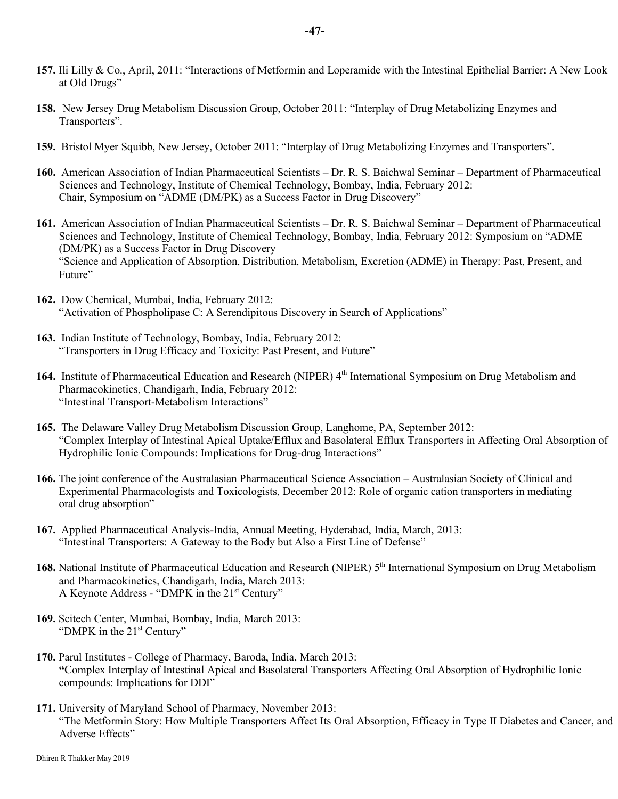- **157.** Ili Lilly & Co., April, 2011: "Interactions of Metformin and Loperamide with the Intestinal Epithelial Barrier: A New Look at Old Drugs"
- **158.** New Jersey Drug Metabolism Discussion Group, October 2011: "Interplay of Drug Metabolizing Enzymes and Transporters".
- **159.** Bristol Myer Squibb, New Jersey, October 2011: "Interplay of Drug Metabolizing Enzymes and Transporters".
- **160.** American Association of Indian Pharmaceutical Scientists Dr. R. S. Baichwal Seminar Department of Pharmaceutical Sciences and Technology, Institute of Chemical Technology, Bombay, India, February 2012: Chair, Symposium on "ADME (DM/PK) as a Success Factor in Drug Discovery"
- **161.** American Association of Indian Pharmaceutical Scientists Dr. R. S. Baichwal Seminar Department of Pharmaceutical Sciences and Technology, Institute of Chemical Technology, Bombay, India, February 2012: Symposium on "ADME (DM/PK) as a Success Factor in Drug Discovery "Science and Application of Absorption, Distribution, Metabolism, Excretion (ADME) in Therapy: Past, Present, and Future"
- **162.** Dow Chemical, Mumbai, India, February 2012: "Activation of Phospholipase C: A Serendipitous Discovery in Search of Applications"
- **163.** Indian Institute of Technology, Bombay, India, February 2012: "Transporters in Drug Efficacy and Toxicity: Past Present, and Future"
- 164. Institute of Pharmaceutical Education and Research (NIPER) 4<sup>th</sup> International Symposium on Drug Metabolism and Pharmacokinetics, Chandigarh, India, February 2012: "Intestinal Transport-Metabolism Interactions"
- **165.** The Delaware Valley Drug Metabolism Discussion Group, Langhome, PA, September 2012: "Complex Interplay of Intestinal Apical Uptake/Efflux and Basolateral Efflux Transporters in Affecting Oral Absorption of Hydrophilic Ionic Compounds: Implications for Drug-drug Interactions"
- **166.** The joint conference of the Australasian Pharmaceutical Science Association Australasian Society of Clinical and Experimental Pharmacologists and Toxicologists, December 2012: Role of organic cation transporters in mediating oral drug absorption"
- **167.** Applied Pharmaceutical Analysis-India, Annual Meeting, Hyderabad, India, March, 2013: "Intestinal Transporters: A Gateway to the Body but Also a First Line of Defense"
- 168. National Institute of Pharmaceutical Education and Research (NIPER) 5<sup>th</sup> International Symposium on Drug Metabolism and Pharmacokinetics, Chandigarh, India, March 2013: A Keynote Address - "DMPK in the 21<sup>st</sup> Century"
- **169.** Scitech Center, Mumbai, Bombay, India, March 2013: "DMPK in the 21<sup>st</sup> Century"
- **170.** Parul Institutes College of Pharmacy, Baroda, India, March 2013: **"**Complex Interplay of Intestinal Apical and Basolateral Transporters Affecting Oral Absorption of Hydrophilic Ionic compounds: Implications for DDI"
- **171.** University of Maryland School of Pharmacy, November 2013: "The Metformin Story: How Multiple Transporters Affect Its Oral Absorption, Efficacy in Type II Diabetes and Cancer, and Adverse Effects"